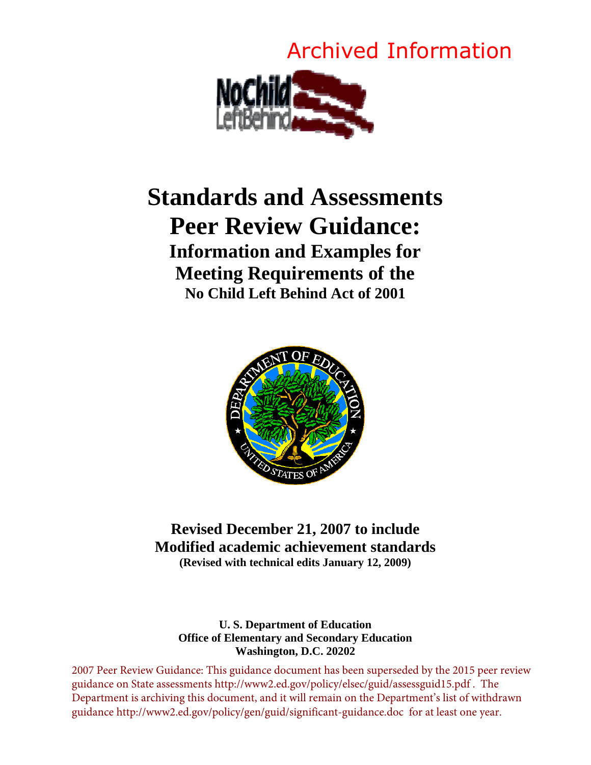# Archived Information



# **Standards and Assessments Peer Review Guidance: Information and Examples for Meeting Requirements of the No Child Left Behind Act of 2001**



# **Revised December 21, 2007 to include Modified academic achievement standards (Revised with technical edits January 12, 2009)**

## **U. S. Department of Education Office of Elementary and Secondary Education Washington, D.C. 20202**

2007 Peer Review Guidance: This guidance document has been superseded by the 2015 peer review guidance on State assessments http://www2.ed.gov/policy/elsec/guid/assessguid15.pdf . The Department is archiving this document, and it will remain on the Department's list of withdrawn guidance http://www2.ed.gov/policy/gen/guid/significant-guidance.doc for at least one year.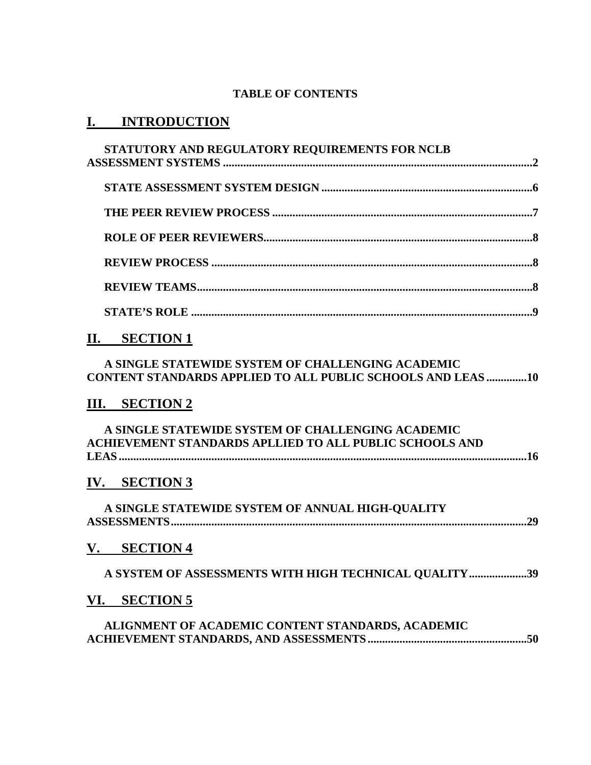## **TABLE OF CONTENTS**

# **I. INTRODUCTION**

# **II. SECTION 1**

## **A SINGLE STATEWIDE SYSTEM OF CHALLENGING ACADEMIC CONTENT STANDARDS APPLIED TO ALL PUBLIC SCHOOLS AND LEAS ..............10**

# **III. SECTION 2**

| A SINGLE STATEWIDE SYSTEM OF CHALLENGING ACADEMIC       |  |
|---------------------------------------------------------|--|
| ACHIEVEMENT STANDARDS APLLIED TO ALL PUBLIC SCHOOLS AND |  |
|                                                         |  |

# **IV. SECTION 3**

**A SINGLE STATEWIDE SYSTEM OF ANNUAL HIGH-QUALITY ASSESSMENTS...........................................................................................................................29** 

# **V. SECTION 4**

| A SYSTEM OF ASSESSMENTS WITH HIGH TECHNICAL QUALITY 39 |  |
|--------------------------------------------------------|--|
|--------------------------------------------------------|--|

## **VI. SECTION 5**

**ALIGNMENT OF ACADEMIC CONTENT STANDARDS, ACADEMIC ACHIEVEMENT STANDARDS, AND ASSESSMENTS .......................................................50**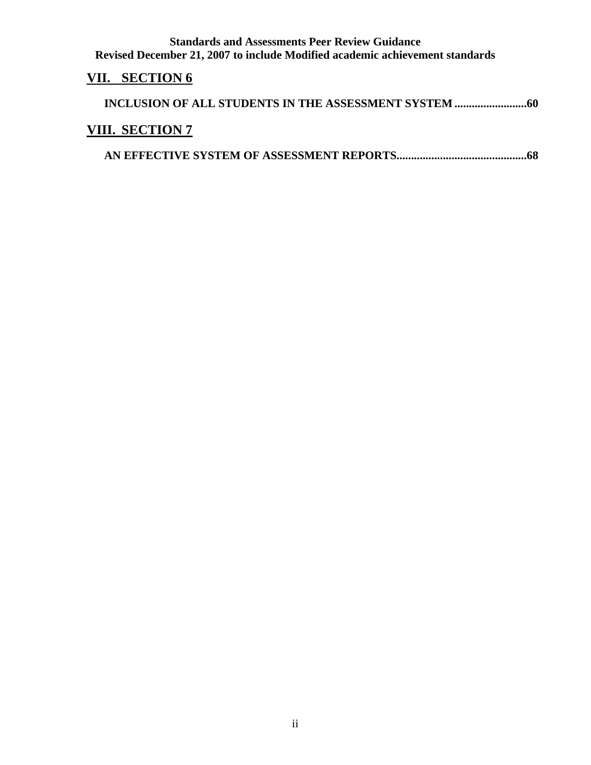# **VII. SECTION 6**

| <b>VIII. SECTION 7</b> |
|------------------------|
|                        |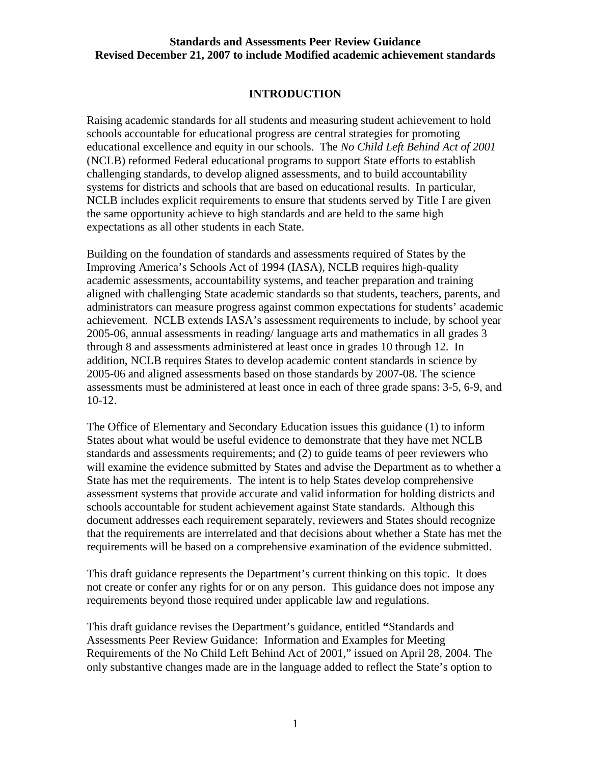## **INTRODUCTION**

Raising academic standards for all students and measuring student achievement to hold schools accountable for educational progress are central strategies for promoting educational excellence and equity in our schools. The *No Child Left Behind Act of 2001* (NCLB) reformed Federal educational programs to support State efforts to establish challenging standards, to develop aligned assessments, and to build accountability systems for districts and schools that are based on educational results. In particular, NCLB includes explicit requirements to ensure that students served by Title I are given the same opportunity achieve to high standards and are held to the same high expectations as all other students in each State.

Building on the foundation of standards and assessments required of States by the Improving America's Schools Act of 1994 (IASA), NCLB requires high-quality academic assessments, accountability systems, and teacher preparation and training aligned with challenging State academic standards so that students, teachers, parents, and administrators can measure progress against common expectations for students' academic achievement. NCLB extends IASA's assessment requirements to include, by school year 2005-06, annual assessments in reading/ language arts and mathematics in all grades 3 through 8 and assessments administered at least once in grades 10 through 12. In addition, NCLB requires States to develop academic content standards in science by 2005-06 and aligned assessments based on those standards by 2007-08. The science assessments must be administered at least once in each of three grade spans: 3-5, 6-9, and 10-12.

The Office of Elementary and Secondary Education issues this guidance (1) to inform States about what would be useful evidence to demonstrate that they have met NCLB standards and assessments requirements; and (2) to guide teams of peer reviewers who will examine the evidence submitted by States and advise the Department as to whether a State has met the requirements. The intent is to help States develop comprehensive assessment systems that provide accurate and valid information for holding districts and schools accountable for student achievement against State standards. Although this document addresses each requirement separately, reviewers and States should recognize that the requirements are interrelated and that decisions about whether a State has met the requirements will be based on a comprehensive examination of the evidence submitted.

This draft guidance represents the Department's current thinking on this topic. It does not create or confer any rights for or on any person. This guidance does not impose any requirements beyond those required under applicable law and regulations.

This draft guidance revises the Department's guidance, entitled **"**Standards and Assessments Peer Review Guidance: Information and Examples for Meeting Requirements of the No Child Left Behind Act of 2001," issued on April 28, 2004. The only substantive changes made are in the language added to reflect the State's option to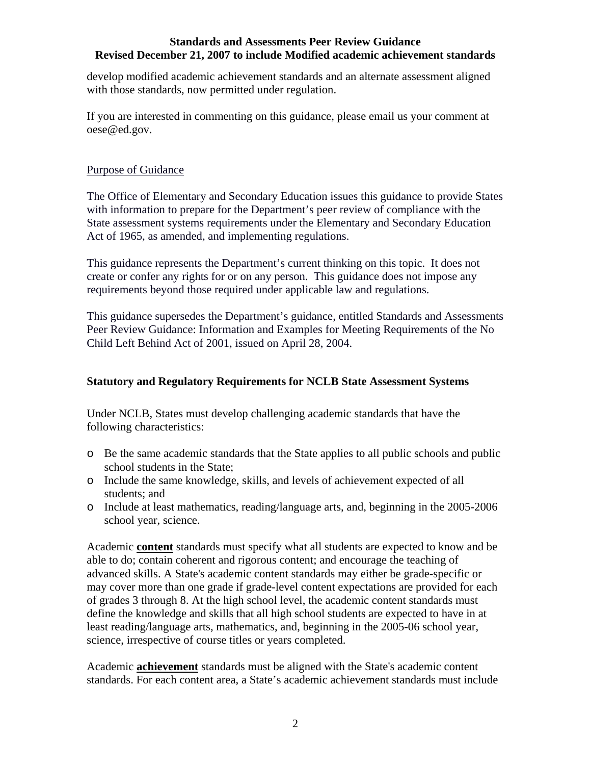develop modified academic achievement standards and an alternate assessment aligned with those standards, now permitted under regulation.

If you are interested in commenting on this guidance, please email us your comment at oese@ed.gov.

## Purpose of Guidance

The Office of Elementary and Secondary Education issues this guidance to provide States with information to prepare for the Department's peer review of compliance with the State assessment systems requirements under the Elementary and Secondary Education Act of 1965, as amended, and implementing regulations.

This guidance represents the Department's current thinking on this topic. It does not create or confer any rights for or on any person. This guidance does not impose any requirements beyond those required under applicable law and regulations.

This guidance supersedes the Department's guidance, entitled Standards and Assessments Peer Review Guidance: Information and Examples for Meeting Requirements of the No Child Left Behind Act of 2001, issued on April 28, 2004.

## **Statutory and Regulatory Requirements for NCLB State Assessment Systems**

Under NCLB, States must develop challenging academic standards that have the following characteristics:

- o Be the same academic standards that the State applies to all public schools and public school students in the State;
- o Include the same knowledge, skills, and levels of achievement expected of all students; and
- o Include at least mathematics, reading/language arts, and, beginning in the 2005-2006 school year, science.

Academic **content** standards must specify what all students are expected to know and be able to do; contain coherent and rigorous content; and encourage the teaching of advanced skills. A State's academic content standards may either be grade-specific or may cover more than one grade if grade-level content expectations are provided for each of grades 3 through 8. At the high school level, the academic content standards must define the knowledge and skills that all high school students are expected to have in at least reading/language arts, mathematics, and, beginning in the 2005-06 school year, science, irrespective of course titles or years completed.

Academic **achievement** standards must be aligned with the State's academic content standards. For each content area, a State's academic achievement standards must include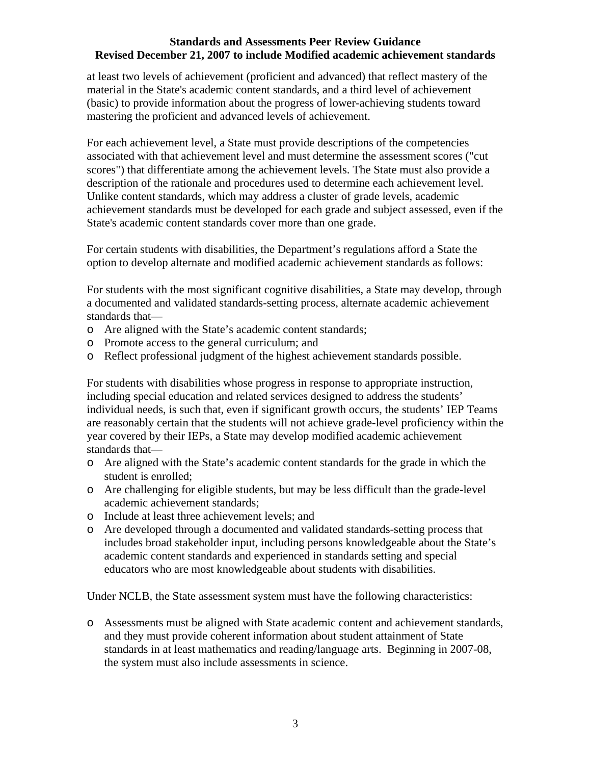at least two levels of achievement (proficient and advanced) that reflect mastery of the material in the State's academic content standards, and a third level of achievement (basic) to provide information about the progress of lower-achieving students toward mastering the proficient and advanced levels of achievement.

For each achievement level, a State must provide descriptions of the competencies associated with that achievement level and must determine the assessment scores ("cut scores") that differentiate among the achievement levels. The State must also provide a description of the rationale and procedures used to determine each achievement level. Unlike content standards, which may address a cluster of grade levels, academic achievement standards must be developed for each grade and subject assessed, even if the State's academic content standards cover more than one grade.

For certain students with disabilities, the Department's regulations afford a State the option to develop alternate and modified academic achievement standards as follows:

For students with the most significant cognitive disabilities, a State may develop, through a documented and validated standards-setting process, alternate academic achievement standards that—

- o Are aligned with the State's academic content standards;
- o Promote access to the general curriculum; and
- o Reflect professional judgment of the highest achievement standards possible.

For students with disabilities whose progress in response to appropriate instruction, including special education and related services designed to address the students' individual needs, is such that, even if significant growth occurs, the students' IEP Teams are reasonably certain that the students will not achieve grade-level proficiency within the year covered by their IEPs, a State may develop modified academic achievement standards that—

- o Are aligned with the State's academic content standards for the grade in which the student is enrolled;
- o Are challenging for eligible students, but may be less difficult than the grade-level academic achievement standards;
- o Include at least three achievement levels; and
- o Are developed through a documented and validated standards-setting process that includes broad stakeholder input, including persons knowledgeable about the State's academic content standards and experienced in standards setting and special educators who are most knowledgeable about students with disabilities.

Under NCLB, the State assessment system must have the following characteristics:

o Assessments must be aligned with State academic content and achievement standards, and they must provide coherent information about student attainment of State standards in at least mathematics and reading/language arts. Beginning in 2007-08, the system must also include assessments in science.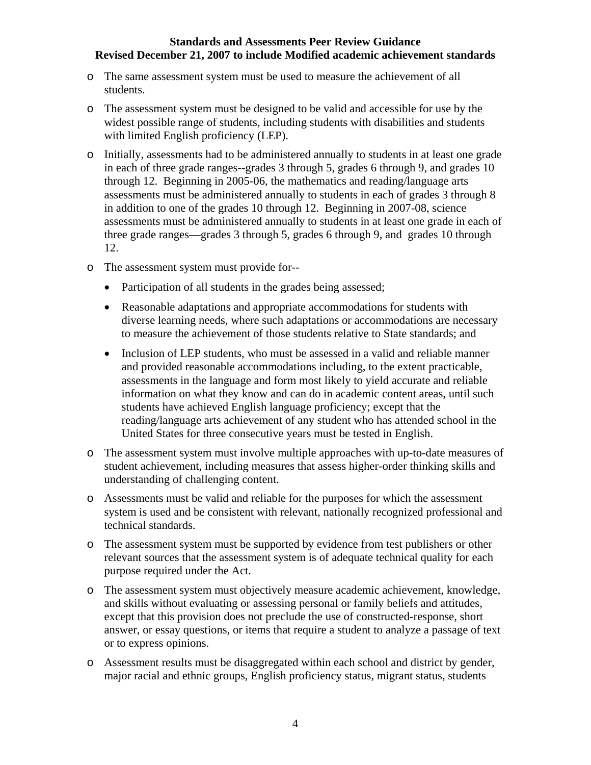- o The same assessment system must be used to measure the achievement of all students.
- o The assessment system must be designed to be valid and accessible for use by the widest possible range of students, including students with disabilities and students with limited English proficiency (LEP).
- o Initially, assessments had to be administered annually to students in at least one grade in each of three grade ranges--grades 3 through 5, grades 6 through 9, and grades 10 through 12. Beginning in 2005-06, the mathematics and reading/language arts assessments must be administered annually to students in each of grades 3 through 8 in addition to one of the grades 10 through 12. Beginning in 2007-08, science assessments must be administered annually to students in at least one grade in each of three grade ranges—grades 3 through 5, grades 6 through 9, and grades 10 through 12.
- o The assessment system must provide for--
	- Participation of all students in the grades being assessed;
	- Reasonable adaptations and appropriate accommodations for students with diverse learning needs, where such adaptations or accommodations are necessary to measure the achievement of those students relative to State standards; and
	- Inclusion of LEP students, who must be assessed in a valid and reliable manner and provided reasonable accommodations including, to the extent practicable, assessments in the language and form most likely to yield accurate and reliable information on what they know and can do in academic content areas, until such students have achieved English language proficiency; except that the reading/language arts achievement of any student who has attended school in the United States for three consecutive years must be tested in English.
- o The assessment system must involve multiple approaches with up-to-date measures of student achievement, including measures that assess higher-order thinking skills and understanding of challenging content.
- o Assessments must be valid and reliable for the purposes for which the assessment system is used and be consistent with relevant, nationally recognized professional and technical standards.
- o The assessment system must be supported by evidence from test publishers or other relevant sources that the assessment system is of adequate technical quality for each purpose required under the Act.
- o The assessment system must objectively measure academic achievement, knowledge, and skills without evaluating or assessing personal or family beliefs and attitudes, except that this provision does not preclude the use of constructed-response, short answer, or essay questions, or items that require a student to analyze a passage of text or to express opinions.
- o Assessment results must be disaggregated within each school and district by gender, major racial and ethnic groups, English proficiency status, migrant status, students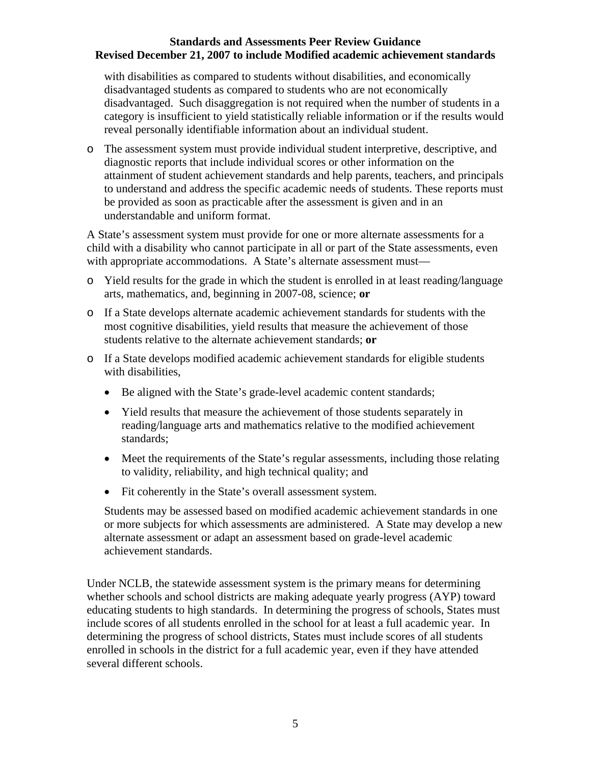with disabilities as compared to students without disabilities, and economically disadvantaged students as compared to students who are not economically disadvantaged. Such disaggregation is not required when the number of students in a category is insufficient to yield statistically reliable information or if the results would reveal personally identifiable information about an individual student.

o The assessment system must provide individual student interpretive, descriptive, and diagnostic reports that include individual scores or other information on the attainment of student achievement standards and help parents, teachers, and principals to understand and address the specific academic needs of students. These reports must be provided as soon as practicable after the assessment is given and in an understandable and uniform format.

A State's assessment system must provide for one or more alternate assessments for a child with a disability who cannot participate in all or part of the State assessments, even with appropriate accommodations. A State's alternate assessment must—

- o Yield results for the grade in which the student is enrolled in at least reading/language arts, mathematics, and, beginning in 2007-08, science; **or**
- o If a State develops alternate academic achievement standards for students with the most cognitive disabilities, yield results that measure the achievement of those students relative to the alternate achievement standards; **or**
- o If a State develops modified academic achievement standards for eligible students with disabilities,
	- Be aligned with the State's grade-level academic content standards;
	- Yield results that measure the achievement of those students separately in reading/language arts and mathematics relative to the modified achievement standards;
	- Meet the requirements of the State's regular assessments, including those relating to validity, reliability, and high technical quality; and
	- Fit coherently in the State's overall assessment system.

Students may be assessed based on modified academic achievement standards in one or more subjects for which assessments are administered. A State may develop a new alternate assessment or adapt an assessment based on grade-level academic achievement standards.

Under NCLB, the statewide assessment system is the primary means for determining whether schools and school districts are making adequate yearly progress (AYP) toward educating students to high standards. In determining the progress of schools, States must include scores of all students enrolled in the school for at least a full academic year. In determining the progress of school districts, States must include scores of all students enrolled in schools in the district for a full academic year, even if they have attended several different schools.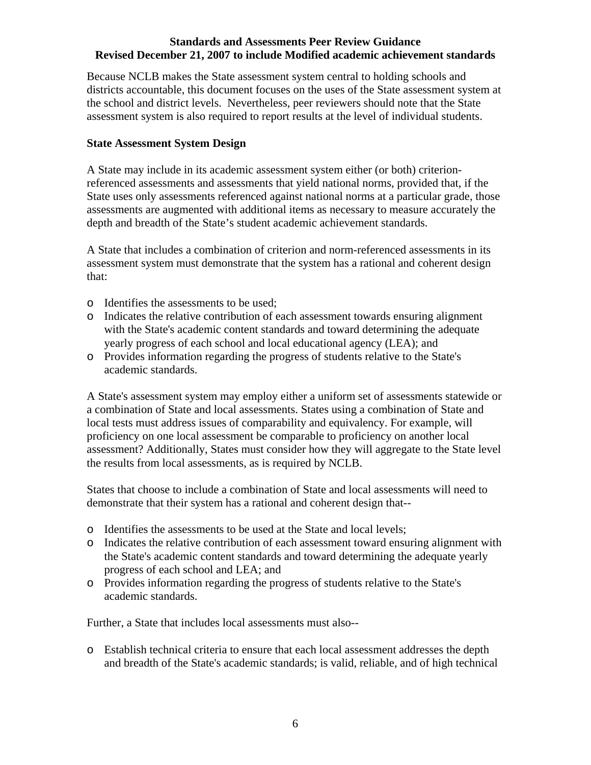Because NCLB makes the State assessment system central to holding schools and districts accountable, this document focuses on the uses of the State assessment system at the school and district levels. Nevertheless, peer reviewers should note that the State assessment system is also required to report results at the level of individual students.

## **State Assessment System Design**

A State may include in its academic assessment system either (or both) criterionreferenced assessments and assessments that yield national norms, provided that, if the State uses only assessments referenced against national norms at a particular grade, those assessments are augmented with additional items as necessary to measure accurately the depth and breadth of the State's student academic achievement standards.

A State that includes a combination of criterion and norm-referenced assessments in its assessment system must demonstrate that the system has a rational and coherent design that:

- o Identifies the assessments to be used;
- o Indicates the relative contribution of each assessment towards ensuring alignment with the State's academic content standards and toward determining the adequate yearly progress of each school and local educational agency (LEA); and
- o Provides information regarding the progress of students relative to the State's academic standards.

A State's assessment system may employ either a uniform set of assessments statewide or a combination of State and local assessments. States using a combination of State and local tests must address issues of comparability and equivalency. For example, will proficiency on one local assessment be comparable to proficiency on another local assessment? Additionally, States must consider how they will aggregate to the State level the results from local assessments, as is required by NCLB.

States that choose to include a combination of State and local assessments will need to demonstrate that their system has a rational and coherent design that--

- o Identifies the assessments to be used at the State and local levels;
- o Indicates the relative contribution of each assessment toward ensuring alignment with the State's academic content standards and toward determining the adequate yearly progress of each school and LEA; and
- o Provides information regarding the progress of students relative to the State's academic standards.

Further, a State that includes local assessments must also--

o Establish technical criteria to ensure that each local assessment addresses the depth and breadth of the State's academic standards; is valid, reliable, and of high technical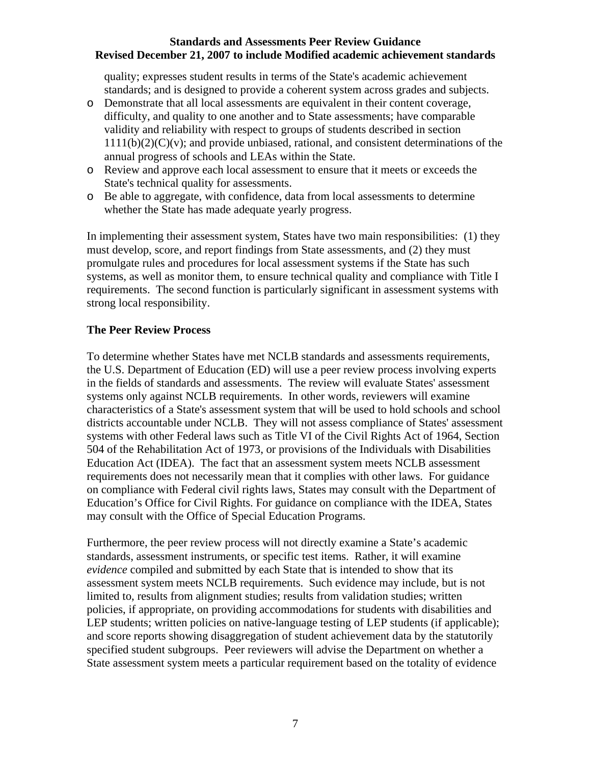quality; expresses student results in terms of the State's academic achievement standards; and is designed to provide a coherent system across grades and subjects.

- o Demonstrate that all local assessments are equivalent in their content coverage, difficulty, and quality to one another and to State assessments; have comparable validity and reliability with respect to groups of students described in section  $1111(b)(2)(C)(v)$ ; and provide unbiased, rational, and consistent determinations of the annual progress of schools and LEAs within the State.
- o Review and approve each local assessment to ensure that it meets or exceeds the State's technical quality for assessments.
- o Be able to aggregate, with confidence, data from local assessments to determine whether the State has made adequate yearly progress.

In implementing their assessment system, States have two main responsibilities: (1) they must develop, score, and report findings from State assessments, and (2) they must promulgate rules and procedures for local assessment systems if the State has such systems, as well as monitor them, to ensure technical quality and compliance with Title I requirements. The second function is particularly significant in assessment systems with strong local responsibility.

## **The Peer Review Process**

To determine whether States have met NCLB standards and assessments requirements, the U.S. Department of Education (ED) will use a peer review process involving experts in the fields of standards and assessments. The review will evaluate States' assessment systems only against NCLB requirements. In other words, reviewers will examine characteristics of a State's assessment system that will be used to hold schools and school districts accountable under NCLB. They will not assess compliance of States' assessment systems with other Federal laws such as Title VI of the Civil Rights Act of 1964, Section 504 of the Rehabilitation Act of 1973, or provisions of the Individuals with Disabilities Education Act (IDEA). The fact that an assessment system meets NCLB assessment requirements does not necessarily mean that it complies with other laws. For guidance on compliance with Federal civil rights laws, States may consult with the Department of Education's Office for Civil Rights. For guidance on compliance with the IDEA, States may consult with the Office of Special Education Programs.

Furthermore, the peer review process will not directly examine a State's academic standards, assessment instruments, or specific test items. Rather, it will examine *evidence* compiled and submitted by each State that is intended to show that its assessment system meets NCLB requirements. Such evidence may include, but is not limited to, results from alignment studies; results from validation studies; written policies, if appropriate, on providing accommodations for students with disabilities and LEP students; written policies on native-language testing of LEP students (if applicable); and score reports showing disaggregation of student achievement data by the statutorily specified student subgroups. Peer reviewers will advise the Department on whether a State assessment system meets a particular requirement based on the totality of evidence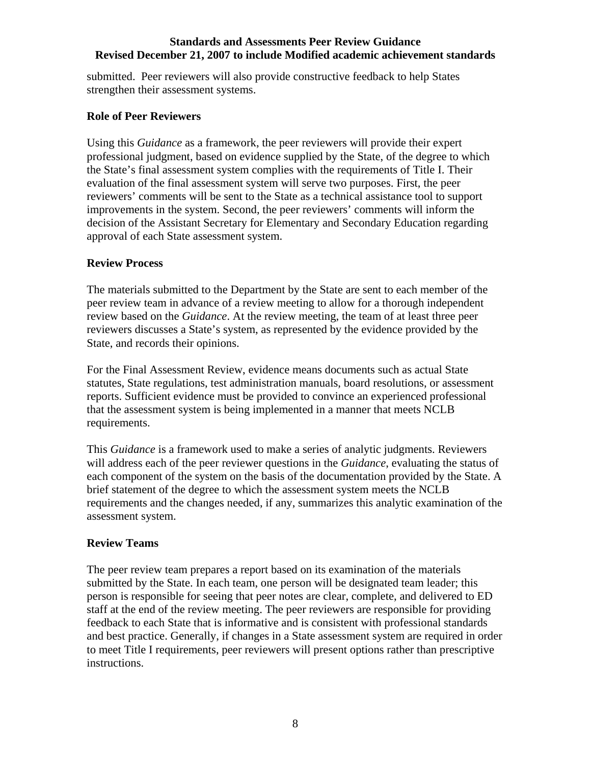submitted. Peer reviewers will also provide constructive feedback to help States strengthen their assessment systems.

## **Role of Peer Reviewers**

Using this *Guidance* as a framework, the peer reviewers will provide their expert professional judgment, based on evidence supplied by the State, of the degree to which the State's final assessment system complies with the requirements of Title I. Their evaluation of the final assessment system will serve two purposes. First, the peer reviewers' comments will be sent to the State as a technical assistance tool to support improvements in the system. Second, the peer reviewers' comments will inform the decision of the Assistant Secretary for Elementary and Secondary Education regarding approval of each State assessment system.

## **Review Process**

The materials submitted to the Department by the State are sent to each member of the peer review team in advance of a review meeting to allow for a thorough independent review based on the *Guidance*. At the review meeting, the team of at least three peer reviewers discusses a State's system, as represented by the evidence provided by the State, and records their opinions.

For the Final Assessment Review, evidence means documents such as actual State statutes, State regulations, test administration manuals, board resolutions, or assessment reports. Sufficient evidence must be provided to convince an experienced professional that the assessment system is being implemented in a manner that meets NCLB requirements.

This *Guidance* is a framework used to make a series of analytic judgments. Reviewers will address each of the peer reviewer questions in the *Guidance*, evaluating the status of each component of the system on the basis of the documentation provided by the State. A brief statement of the degree to which the assessment system meets the NCLB requirements and the changes needed, if any, summarizes this analytic examination of the assessment system.

## **Review Teams**

The peer review team prepares a report based on its examination of the materials submitted by the State. In each team, one person will be designated team leader; this person is responsible for seeing that peer notes are clear, complete, and delivered to ED staff at the end of the review meeting. The peer reviewers are responsible for providing feedback to each State that is informative and is consistent with professional standards and best practice. Generally, if changes in a State assessment system are required in order to meet Title I requirements, peer reviewers will present options rather than prescriptive instructions.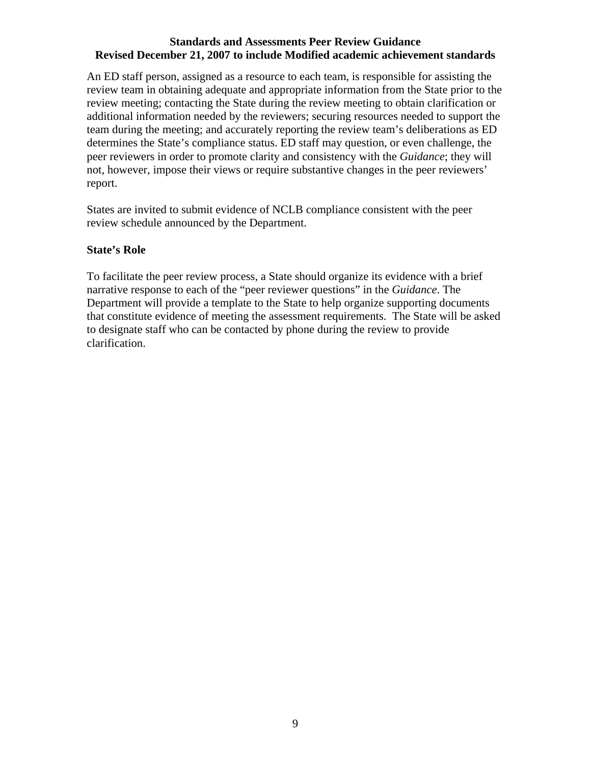An ED staff person, assigned as a resource to each team, is responsible for assisting the review team in obtaining adequate and appropriate information from the State prior to the review meeting; contacting the State during the review meeting to obtain clarification or additional information needed by the reviewers; securing resources needed to support the team during the meeting; and accurately reporting the review team's deliberations as ED determines the State's compliance status. ED staff may question, or even challenge, the peer reviewers in order to promote clarity and consistency with the *Guidance*; they will not, however, impose their views or require substantive changes in the peer reviewers' report.

States are invited to submit evidence of NCLB compliance consistent with the peer review schedule announced by the Department.

## **State's Role**

To facilitate the peer review process, a State should organize its evidence with a brief narrative response to each of the "peer reviewer questions" in the *Guidance*. The Department will provide a template to the State to help organize supporting documents that constitute evidence of meeting the assessment requirements. The State will be asked to designate staff who can be contacted by phone during the review to provide clarification.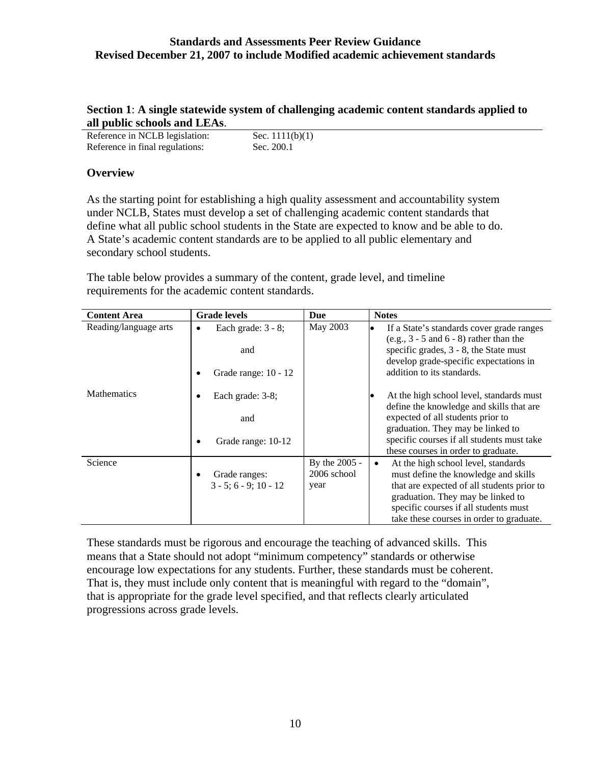## **Section 1**: **A single statewide system of challenging academic content standards applied to all public schools and LEAs**.

| Reference in NCLB legislation:  | Sec. $1111(b)(1)$ |
|---------------------------------|-------------------|
| Reference in final regulations: | Sec. 200.1        |

## **Overview**

As the starting point for establishing a high quality assessment and accountability system under NCLB, States must develop a set of challenging academic content standards that define what all public school students in the State are expected to know and be able to do. A State's academic content standards are to be applied to all public elementary and secondary school students.

The table below provides a summary of the content, grade level, and timeline requirements for the academic content standards.

| <b>Content Area</b>   | <b>Grade levels</b>                                                     | Due                                  | <b>Notes</b>                                                                                                                                                                                                                                                     |
|-----------------------|-------------------------------------------------------------------------|--------------------------------------|------------------------------------------------------------------------------------------------------------------------------------------------------------------------------------------------------------------------------------------------------------------|
| Reading/language arts | Each grade: $3 - 8$ ;<br>$\bullet$<br>and<br>Grade range: 10 - 12       | May 2003                             | If a State's standards cover grade ranges<br>$\bullet$<br>$(e.g., 3 - 5 and 6 - 8)$ rather than the<br>specific grades, 3 - 8, the State must<br>develop grade-specific expectations in<br>addition to its standards.                                            |
| <b>Mathematics</b>    | Each grade: 3-8;<br>$\bullet$<br>and<br>Grade range: 10-12<br>$\bullet$ |                                      | At the high school level, standards must<br>$\bullet$<br>define the knowledge and skills that are<br>expected of all students prior to<br>graduation. They may be linked to<br>specific courses if all students must take<br>these courses in order to graduate. |
| Science               | Grade ranges:<br>$\bullet$<br>$3 - 5: 6 - 9: 10 - 12$                   | By the 2005 -<br>2006 school<br>year | At the high school level, standards<br>must define the knowledge and skills<br>that are expected of all students prior to<br>graduation. They may be linked to<br>specific courses if all students must<br>take these courses in order to graduate.              |

These standards must be rigorous and encourage the teaching of advanced skills. This means that a State should not adopt "minimum competency" standards or otherwise encourage low expectations for any students. Further, these standards must be coherent. That is, they must include only content that is meaningful with regard to the "domain", that is appropriate for the grade level specified, and that reflects clearly articulated progressions across grade levels.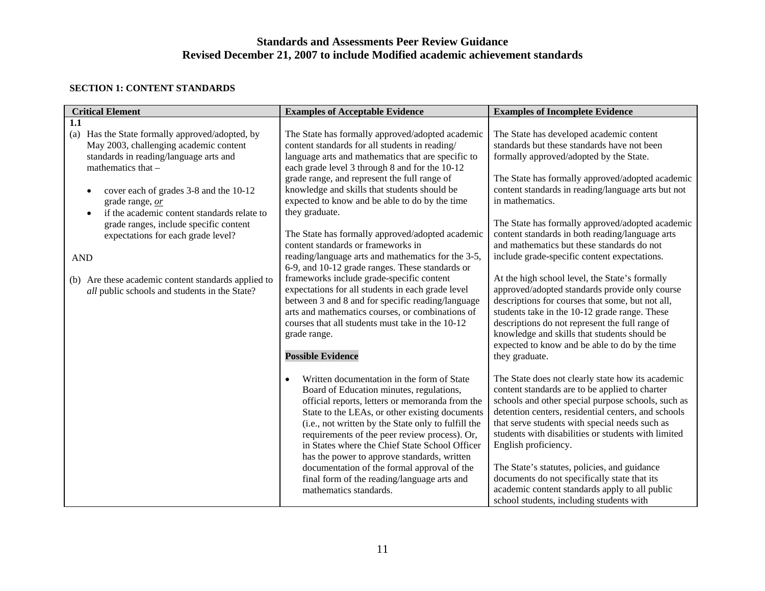#### **SECTION 1: CONTENT STANDARDS**

| <b>Critical Element</b>                                                                                                                                                                                                                                                                                                                                                                                                                                                               | <b>Examples of Acceptable Evidence</b>                                                                                                                                                                                                                                                                                                                                                                                                                                                                                                                                                                                                                                                                                                                                                                                                                                                       | <b>Examples of Incomplete Evidence</b>                                                                                                                                                                                                                                                                                                                                                                                                                                                                                                                                                                                                                                                                                                                                                                                                               |
|---------------------------------------------------------------------------------------------------------------------------------------------------------------------------------------------------------------------------------------------------------------------------------------------------------------------------------------------------------------------------------------------------------------------------------------------------------------------------------------|----------------------------------------------------------------------------------------------------------------------------------------------------------------------------------------------------------------------------------------------------------------------------------------------------------------------------------------------------------------------------------------------------------------------------------------------------------------------------------------------------------------------------------------------------------------------------------------------------------------------------------------------------------------------------------------------------------------------------------------------------------------------------------------------------------------------------------------------------------------------------------------------|------------------------------------------------------------------------------------------------------------------------------------------------------------------------------------------------------------------------------------------------------------------------------------------------------------------------------------------------------------------------------------------------------------------------------------------------------------------------------------------------------------------------------------------------------------------------------------------------------------------------------------------------------------------------------------------------------------------------------------------------------------------------------------------------------------------------------------------------------|
| 1.1<br>Has the State formally approved/adopted, by<br>(a)<br>May 2003, challenging academic content<br>standards in reading/language arts and<br>mathematics that -<br>cover each of grades 3-8 and the 10-12<br>grade range, or<br>if the academic content standards relate to<br>grade ranges, include specific content<br>expectations for each grade level?<br><b>AND</b><br>(b) Are these academic content standards applied to<br>all public schools and students in the State? | The State has formally approved/adopted academic<br>content standards for all students in reading/<br>language arts and mathematics that are specific to<br>each grade level 3 through 8 and for the 10-12<br>grade range, and represent the full range of<br>knowledge and skills that students should be<br>expected to know and be able to do by the time<br>they graduate.<br>The State has formally approved/adopted academic<br>content standards or frameworks in<br>reading/language arts and mathematics for the 3-5,<br>6-9, and 10-12 grade ranges. These standards or<br>frameworks include grade-specific content<br>expectations for all students in each grade level<br>between 3 and 8 and for specific reading/language<br>arts and mathematics courses, or combinations of<br>courses that all students must take in the 10-12<br>grade range.<br><b>Possible Evidence</b> | The State has developed academic content<br>standards but these standards have not been<br>formally approved/adopted by the State.<br>The State has formally approved/adopted academic<br>content standards in reading/language arts but not<br>in mathematics.<br>The State has formally approved/adopted academic<br>content standards in both reading/language arts<br>and mathematics but these standards do not<br>include grade-specific content expectations.<br>At the high school level, the State's formally<br>approved/adopted standards provide only course<br>descriptions for courses that some, but not all,<br>students take in the 10-12 grade range. These<br>descriptions do not represent the full range of<br>knowledge and skills that students should be<br>expected to know and be able to do by the time<br>they graduate. |
|                                                                                                                                                                                                                                                                                                                                                                                                                                                                                       | Written documentation in the form of State<br>$\bullet$<br>Board of Education minutes, regulations,<br>official reports, letters or memoranda from the<br>State to the LEAs, or other existing documents<br>(i.e., not written by the State only to fulfill the<br>requirements of the peer review process). Or,<br>in States where the Chief State School Officer<br>has the power to approve standards, written<br>documentation of the formal approval of the<br>final form of the reading/language arts and<br>mathematics standards.                                                                                                                                                                                                                                                                                                                                                    | The State does not clearly state how its academic<br>content standards are to be applied to charter<br>schools and other special purpose schools, such as<br>detention centers, residential centers, and schools<br>that serve students with special needs such as<br>students with disabilities or students with limited<br>English proficiency.<br>The State's statutes, policies, and guidance<br>documents do not specifically state that its<br>academic content standards apply to all public<br>school students, including students with                                                                                                                                                                                                                                                                                                      |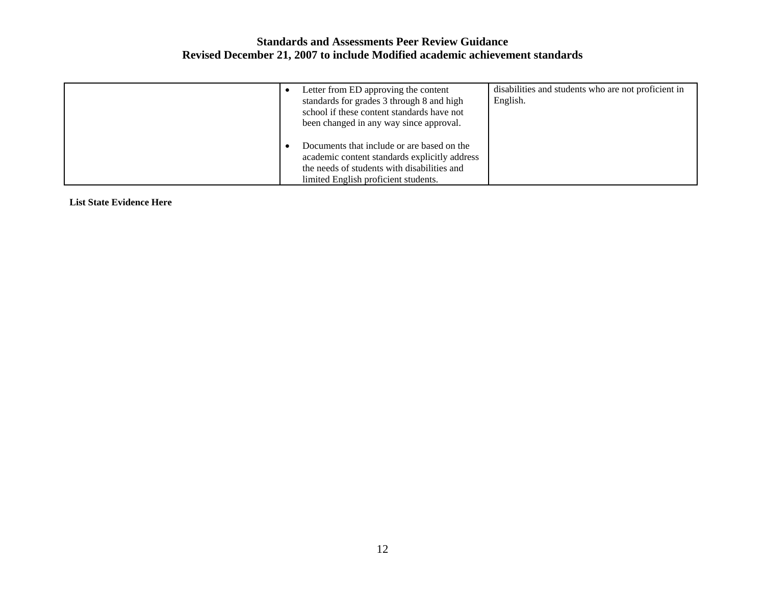| Letter from ED approving the content<br>standards for grades 3 through 8 and high<br>school if these content standards have not<br>been changed in any way since approval.         | disabilities and students who are not proficient in<br>English. |
|------------------------------------------------------------------------------------------------------------------------------------------------------------------------------------|-----------------------------------------------------------------|
| Documents that include or are based on the<br>academic content standards explicitly address<br>the needs of students with disabilities and<br>limited English proficient students. |                                                                 |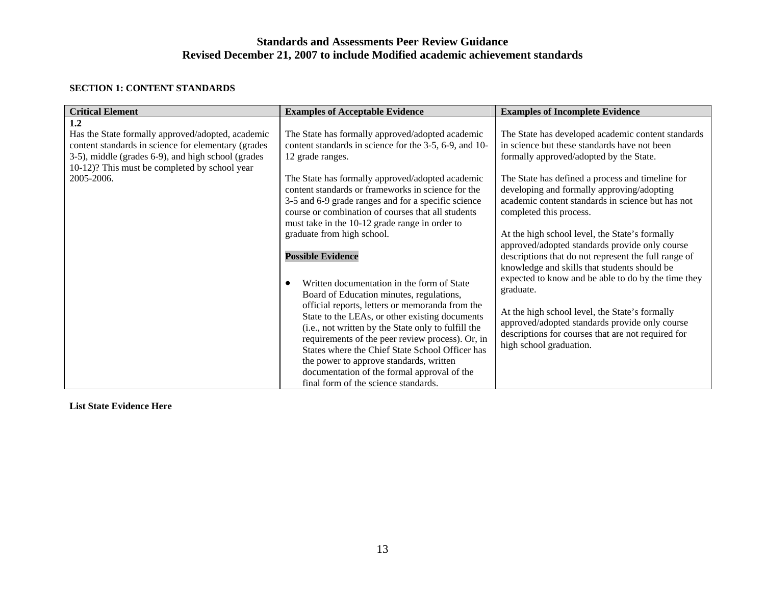#### **SECTION 1: CONTENT STANDARDS**

| <b>Critical Element</b>                                                                                                                                                                                                              | <b>Examples of Acceptable Evidence</b>                                                                                                                                                                                                                                                                                                                                                                                                                                                                                                                                                                                                                                                                                                                                                                                                                                                                                                                           | <b>Examples of Incomplete Evidence</b>                                                                                                                                                                                                                                                                                                                                                                                                                                                                                                                                                                                                                                                                                                                                                               |
|--------------------------------------------------------------------------------------------------------------------------------------------------------------------------------------------------------------------------------------|------------------------------------------------------------------------------------------------------------------------------------------------------------------------------------------------------------------------------------------------------------------------------------------------------------------------------------------------------------------------------------------------------------------------------------------------------------------------------------------------------------------------------------------------------------------------------------------------------------------------------------------------------------------------------------------------------------------------------------------------------------------------------------------------------------------------------------------------------------------------------------------------------------------------------------------------------------------|------------------------------------------------------------------------------------------------------------------------------------------------------------------------------------------------------------------------------------------------------------------------------------------------------------------------------------------------------------------------------------------------------------------------------------------------------------------------------------------------------------------------------------------------------------------------------------------------------------------------------------------------------------------------------------------------------------------------------------------------------------------------------------------------------|
| 1.2<br>Has the State formally approved/adopted, academic<br>content standards in science for elementary (grades<br>3-5), middle (grades 6-9), and high school (grades<br>10-12)? This must be completed by school year<br>2005-2006. | The State has formally approved/adopted academic<br>content standards in science for the 3-5, 6-9, and 10-<br>12 grade ranges.<br>The State has formally approved/adopted academic<br>content standards or frameworks in science for the<br>3-5 and 6-9 grade ranges and for a specific science<br>course or combination of courses that all students<br>must take in the 10-12 grade range in order to<br>graduate from high school.<br><b>Possible Evidence</b><br>Written documentation in the form of State<br>Board of Education minutes, regulations,<br>official reports, letters or memoranda from the<br>State to the LEAs, or other existing documents<br>(i.e., not written by the State only to fulfill the<br>requirements of the peer review process). Or, in<br>States where the Chief State School Officer has<br>the power to approve standards, written<br>documentation of the formal approval of the<br>final form of the science standards. | The State has developed academic content standards<br>in science but these standards have not been<br>formally approved/adopted by the State.<br>The State has defined a process and timeline for<br>developing and formally approving/adopting<br>academic content standards in science but has not<br>completed this process.<br>At the high school level, the State's formally<br>approved/adopted standards provide only course<br>descriptions that do not represent the full range of<br>knowledge and skills that students should be<br>expected to know and be able to do by the time they<br>graduate.<br>At the high school level, the State's formally<br>approved/adopted standards provide only course<br>descriptions for courses that are not required for<br>high school graduation. |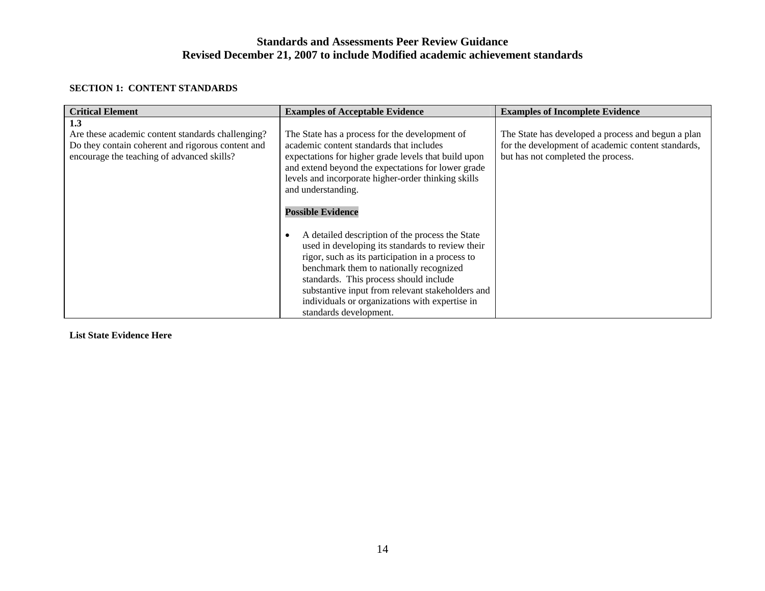#### **SECTION 1: CONTENT STANDARDS**

| <b>Critical Element</b>                                                                                                                                     | <b>Examples of Acceptable Evidence</b>                                                                                                                                                                                                                                                                                                                                       | <b>Examples of Incomplete Evidence</b>                                                                                                         |
|-------------------------------------------------------------------------------------------------------------------------------------------------------------|------------------------------------------------------------------------------------------------------------------------------------------------------------------------------------------------------------------------------------------------------------------------------------------------------------------------------------------------------------------------------|------------------------------------------------------------------------------------------------------------------------------------------------|
| 1.3<br>Are these academic content standards challenging?<br>Do they contain coherent and rigorous content and<br>encourage the teaching of advanced skills? | The State has a process for the development of<br>academic content standards that includes<br>expectations for higher grade levels that build upon<br>and extend beyond the expectations for lower grade<br>levels and incorporate higher-order thinking skills<br>and understanding.<br><b>Possible Evidence</b>                                                            | The State has developed a process and begun a plan<br>for the development of academic content standards,<br>but has not completed the process. |
|                                                                                                                                                             | A detailed description of the process the State<br>used in developing its standards to review their<br>rigor, such as its participation in a process to<br>benchmark them to nationally recognized<br>standards. This process should include<br>substantive input from relevant stakeholders and<br>individuals or organizations with expertise in<br>standards development. |                                                                                                                                                |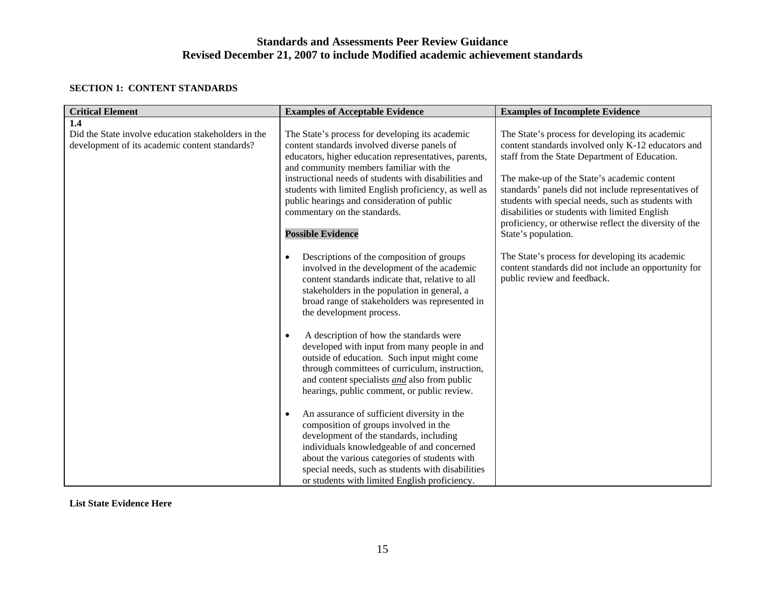#### **SECTION 1: CONTENT STANDARDS**

| <b>Critical Element</b>                                                                               | <b>Examples of Acceptable Evidence</b>                                                                                                                                                                                                                                                                                                                                                                                           | <b>Examples of Incomplete Evidence</b>                                                                                                                                                                                                                                                                                                                                                                                                                |
|-------------------------------------------------------------------------------------------------------|----------------------------------------------------------------------------------------------------------------------------------------------------------------------------------------------------------------------------------------------------------------------------------------------------------------------------------------------------------------------------------------------------------------------------------|-------------------------------------------------------------------------------------------------------------------------------------------------------------------------------------------------------------------------------------------------------------------------------------------------------------------------------------------------------------------------------------------------------------------------------------------------------|
| 1.4                                                                                                   |                                                                                                                                                                                                                                                                                                                                                                                                                                  |                                                                                                                                                                                                                                                                                                                                                                                                                                                       |
| Did the State involve education stakeholders in the<br>development of its academic content standards? | The State's process for developing its academic<br>content standards involved diverse panels of<br>educators, higher education representatives, parents,<br>and community members familiar with the<br>instructional needs of students with disabilities and<br>students with limited English proficiency, as well as<br>public hearings and consideration of public<br>commentary on the standards.<br><b>Possible Evidence</b> | The State's process for developing its academic<br>content standards involved only K-12 educators and<br>staff from the State Department of Education.<br>The make-up of the State's academic content<br>standards' panels did not include representatives of<br>students with special needs, such as students with<br>disabilities or students with limited English<br>proficiency, or otherwise reflect the diversity of the<br>State's population. |
|                                                                                                       | Descriptions of the composition of groups<br>$\bullet$<br>involved in the development of the academic<br>content standards indicate that, relative to all<br>stakeholders in the population in general, a<br>broad range of stakeholders was represented in<br>the development process.<br>A description of how the standards were<br>$\bullet$                                                                                  | The State's process for developing its academic<br>content standards did not include an opportunity for<br>public review and feedback.                                                                                                                                                                                                                                                                                                                |
|                                                                                                       | developed with input from many people in and<br>outside of education. Such input might come<br>through committees of curriculum, instruction,<br>and content specialists <i>and</i> also from public<br>hearings, public comment, or public review.                                                                                                                                                                              |                                                                                                                                                                                                                                                                                                                                                                                                                                                       |
|                                                                                                       | An assurance of sufficient diversity in the<br>$\bullet$<br>composition of groups involved in the<br>development of the standards, including<br>individuals knowledgeable of and concerned<br>about the various categories of students with<br>special needs, such as students with disabilities<br>or students with limited English proficiency.                                                                                |                                                                                                                                                                                                                                                                                                                                                                                                                                                       |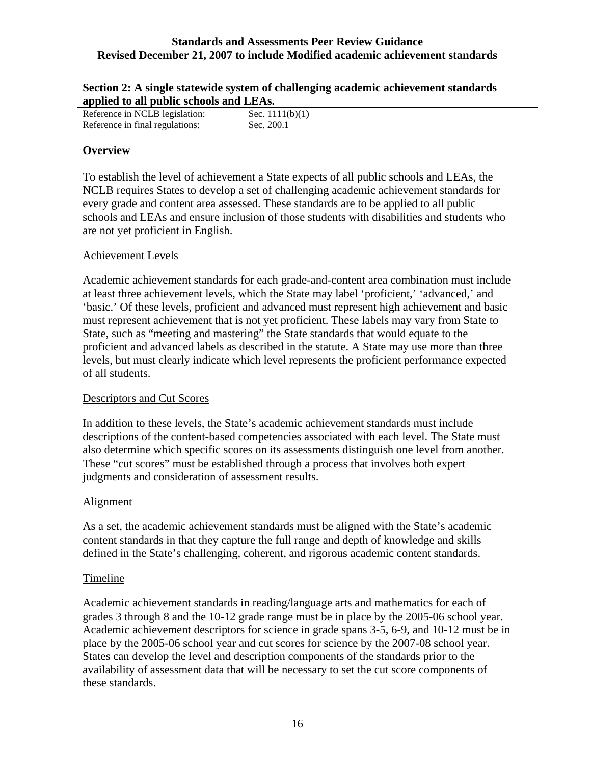| Section 2: A single statewide system of challenging academic achievement standards |
|------------------------------------------------------------------------------------|
| applied to all public schools and LEAs.                                            |

| .                               |                   |
|---------------------------------|-------------------|
| Reference in NCLB legislation:  | Sec. $1111(b)(1)$ |
| Reference in final regulations: | Sec. 200.1        |

## **Overview**

To establish the level of achievement a State expects of all public schools and LEAs, the NCLB requires States to develop a set of challenging academic achievement standards for every grade and content area assessed. These standards are to be applied to all public schools and LEAs and ensure inclusion of those students with disabilities and students who are not yet proficient in English.

## Achievement Levels

Academic achievement standards for each grade-and-content area combination must include at least three achievement levels, which the State may label 'proficient,' 'advanced,' and 'basic.' Of these levels, proficient and advanced must represent high achievement and basic must represent achievement that is not yet proficient. These labels may vary from State to State, such as "meeting and mastering" the State standards that would equate to the proficient and advanced labels as described in the statute. A State may use more than three levels, but must clearly indicate which level represents the proficient performance expected of all students.

## Descriptors and Cut Scores

In addition to these levels, the State's academic achievement standards must include descriptions of the content-based competencies associated with each level. The State must also determine which specific scores on its assessments distinguish one level from another. These "cut scores" must be established through a process that involves both expert judgments and consideration of assessment results.

## Alignment

As a set, the academic achievement standards must be aligned with the State's academic content standards in that they capture the full range and depth of knowledge and skills defined in the State's challenging, coherent, and rigorous academic content standards.

## Timeline

Academic achievement standards in reading/language arts and mathematics for each of grades 3 through 8 and the 10-12 grade range must be in place by the 2005-06 school year. Academic achievement descriptors for science in grade spans 3-5, 6-9, and 10-12 must be in place by the 2005-06 school year and cut scores for science by the 2007-08 school year. States can develop the level and description components of the standards prior to the availability of assessment data that will be necessary to set the cut score components of these standards.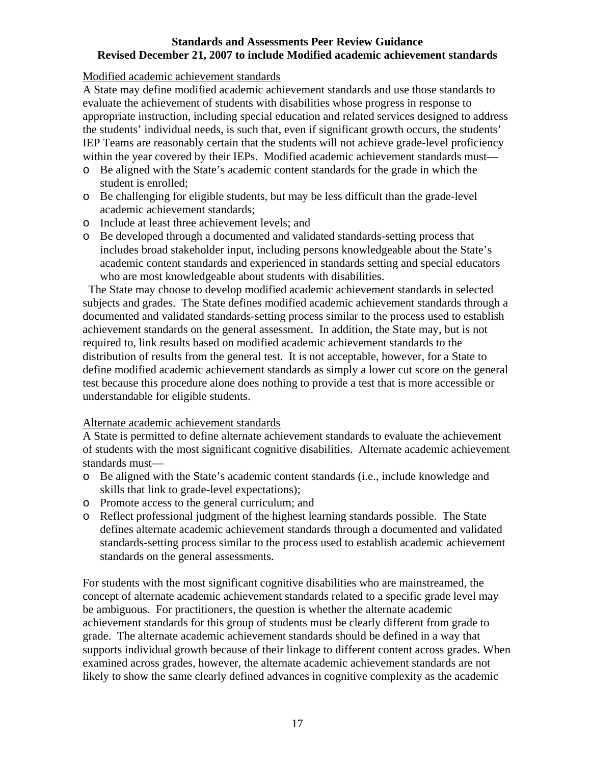Modified academic achievement standards

A State may define modified academic achievement standards and use those standards to evaluate the achievement of students with disabilities whose progress in response to appropriate instruction, including special education and related services designed to address the students' individual needs, is such that, even if significant growth occurs, the students' IEP Teams are reasonably certain that the students will not achieve grade-level proficiency within the year covered by their IEPs. Modified academic achievement standards must—

- o Be aligned with the State's academic content standards for the grade in which the student is enrolled;
- o Be challenging for eligible students, but may be less difficult than the grade-level academic achievement standards;
- o Include at least three achievement levels; and
- o Be developed through a documented and validated standards-setting process that includes broad stakeholder input, including persons knowledgeable about the State's academic content standards and experienced in standards setting and special educators who are most knowledgeable about students with disabilities.

 The State may choose to develop modified academic achievement standards in selected subjects and grades. The State defines modified academic achievement standards through a documented and validated standards-setting process similar to the process used to establish achievement standards on the general assessment. In addition, the State may, but is not required to, link results based on modified academic achievement standards to the distribution of results from the general test. It is not acceptable, however, for a State to define modified academic achievement standards as simply a lower cut score on the general test because this procedure alone does nothing to provide a test that is more accessible or understandable for eligible students.

## Alternate academic achievement standards

A State is permitted to define alternate achievement standards to evaluate the achievement of students with the most significant cognitive disabilities. Alternate academic achievement standards must—

- o Be aligned with the State's academic content standards (i.e., include knowledge and skills that link to grade-level expectations);
- o Promote access to the general curriculum; and
- o Reflect professional judgment of the highest learning standards possible. The State defines alternate academic achievement standards through a documented and validated standards-setting process similar to the process used to establish academic achievement standards on the general assessments.

For students with the most significant cognitive disabilities who are mainstreamed, the concept of alternate academic achievement standards related to a specific grade level may be ambiguous. For practitioners, the question is whether the alternate academic achievement standards for this group of students must be clearly different from grade to grade. The alternate academic achievement standards should be defined in a way that supports individual growth because of their linkage to different content across grades. When examined across grades, however, the alternate academic achievement standards are not likely to show the same clearly defined advances in cognitive complexity as the academic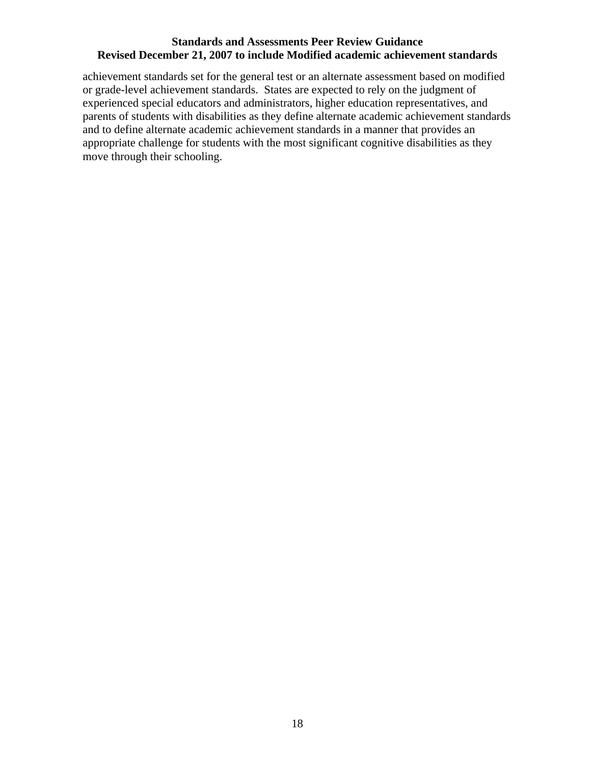achievement standards set for the general test or an alternate assessment based on modified or grade-level achievement standards. States are expected to rely on the judgment of experienced special educators and administrators, higher education representatives, and parents of students with disabilities as they define alternate academic achievement standards and to define alternate academic achievement standards in a manner that provides an appropriate challenge for students with the most significant cognitive disabilities as they move through their schooling.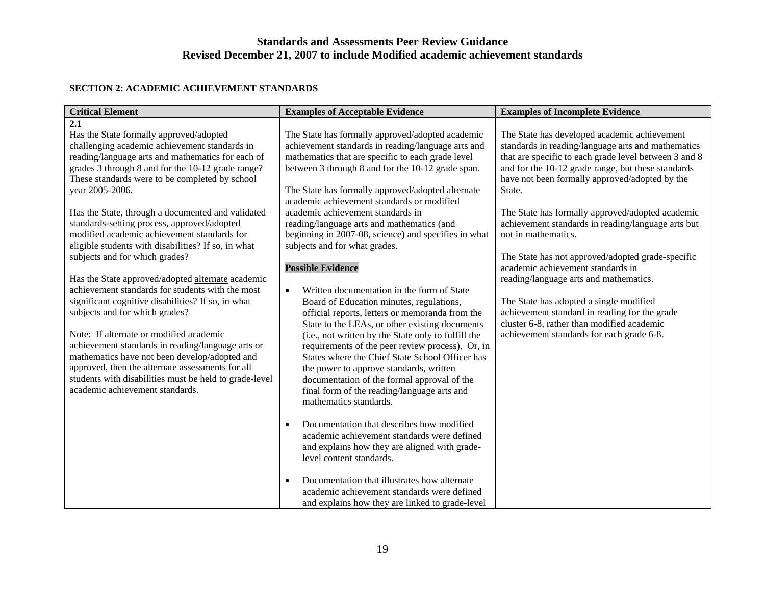#### **SECTION 2: ACADEMIC ACHIEVEMENT STANDARDS**

| <b>Critical Element</b>                                                                                                                                                                                                                                                                                                                                                                                                                                                                                                                                                                                                                                                                                                                                                                                                                                                                                                                                                                                                       | <b>Examples of Acceptable Evidence</b>                                                                                                                                                                                                                                                                                                                                                                                                                                                                                                                                                                                                                                                                                                                                                                                                                                                                                                                                                                                                                                                                                                                                                                                                            | <b>Examples of Incomplete Evidence</b>                                                                                                                                                                                                                                                                                                                                                                                                                                                                                                                                                                                                                                                                                                    |
|-------------------------------------------------------------------------------------------------------------------------------------------------------------------------------------------------------------------------------------------------------------------------------------------------------------------------------------------------------------------------------------------------------------------------------------------------------------------------------------------------------------------------------------------------------------------------------------------------------------------------------------------------------------------------------------------------------------------------------------------------------------------------------------------------------------------------------------------------------------------------------------------------------------------------------------------------------------------------------------------------------------------------------|---------------------------------------------------------------------------------------------------------------------------------------------------------------------------------------------------------------------------------------------------------------------------------------------------------------------------------------------------------------------------------------------------------------------------------------------------------------------------------------------------------------------------------------------------------------------------------------------------------------------------------------------------------------------------------------------------------------------------------------------------------------------------------------------------------------------------------------------------------------------------------------------------------------------------------------------------------------------------------------------------------------------------------------------------------------------------------------------------------------------------------------------------------------------------------------------------------------------------------------------------|-------------------------------------------------------------------------------------------------------------------------------------------------------------------------------------------------------------------------------------------------------------------------------------------------------------------------------------------------------------------------------------------------------------------------------------------------------------------------------------------------------------------------------------------------------------------------------------------------------------------------------------------------------------------------------------------------------------------------------------------|
| 2.1<br>Has the State formally approved/adopted<br>challenging academic achievement standards in<br>reading/language arts and mathematics for each of<br>grades 3 through 8 and for the 10-12 grade range?<br>These standards were to be completed by school<br>year 2005-2006.<br>Has the State, through a documented and validated<br>standards-setting process, approved/adopted<br>modified academic achievement standards for<br>eligible students with disabilities? If so, in what<br>subjects and for which grades?<br>Has the State approved/adopted alternate academic<br>achievement standards for students with the most<br>significant cognitive disabilities? If so, in what<br>subjects and for which grades?<br>Note: If alternate or modified academic<br>achievement standards in reading/language arts or<br>mathematics have not been develop/adopted and<br>approved, then the alternate assessments for all<br>students with disabilities must be held to grade-level<br>academic achievement standards. | The State has formally approved/adopted academic<br>achievement standards in reading/language arts and<br>mathematics that are specific to each grade level<br>between 3 through 8 and for the 10-12 grade span.<br>The State has formally approved/adopted alternate<br>academic achievement standards or modified<br>academic achievement standards in<br>reading/language arts and mathematics (and<br>beginning in 2007-08, science) and specifies in what<br>subjects and for what grades.<br><b>Possible Evidence</b><br>Written documentation in the form of State<br>$\bullet$<br>Board of Education minutes, regulations,<br>official reports, letters or memoranda from the<br>State to the LEAs, or other existing documents<br>(i.e., not written by the State only to fulfill the<br>requirements of the peer review process). Or, in<br>States where the Chief State School Officer has<br>the power to approve standards, written<br>documentation of the formal approval of the<br>final form of the reading/language arts and<br>mathematics standards.<br>Documentation that describes how modified<br>academic achievement standards were defined<br>and explains how they are aligned with grade-<br>level content standards. | The State has developed academic achievement<br>standards in reading/language arts and mathematics<br>that are specific to each grade level between 3 and 8<br>and for the 10-12 grade range, but these standards<br>have not been formally approved/adopted by the<br>State.<br>The State has formally approved/adopted academic<br>achievement standards in reading/language arts but<br>not in mathematics.<br>The State has not approved/adopted grade-specific<br>academic achievement standards in<br>reading/language arts and mathematics.<br>The State has adopted a single modified<br>achievement standard in reading for the grade<br>cluster 6-8, rather than modified academic<br>achievement standards for each grade 6-8. |
|                                                                                                                                                                                                                                                                                                                                                                                                                                                                                                                                                                                                                                                                                                                                                                                                                                                                                                                                                                                                                               | Documentation that illustrates how alternate<br>$\bullet$<br>academic achievement standards were defined<br>and explains how they are linked to grade-level                                                                                                                                                                                                                                                                                                                                                                                                                                                                                                                                                                                                                                                                                                                                                                                                                                                                                                                                                                                                                                                                                       |                                                                                                                                                                                                                                                                                                                                                                                                                                                                                                                                                                                                                                                                                                                                           |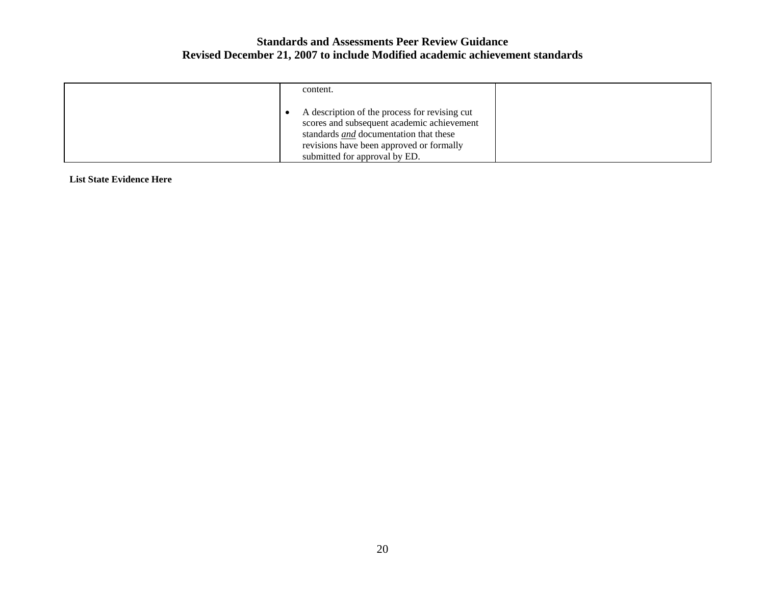| content.                                                                                                                                                                                                                  |  |
|---------------------------------------------------------------------------------------------------------------------------------------------------------------------------------------------------------------------------|--|
| A description of the process for revising cut<br>scores and subsequent academic achievement<br>standards <i>and</i> documentation that these<br>revisions have been approved or formally<br>submitted for approval by ED. |  |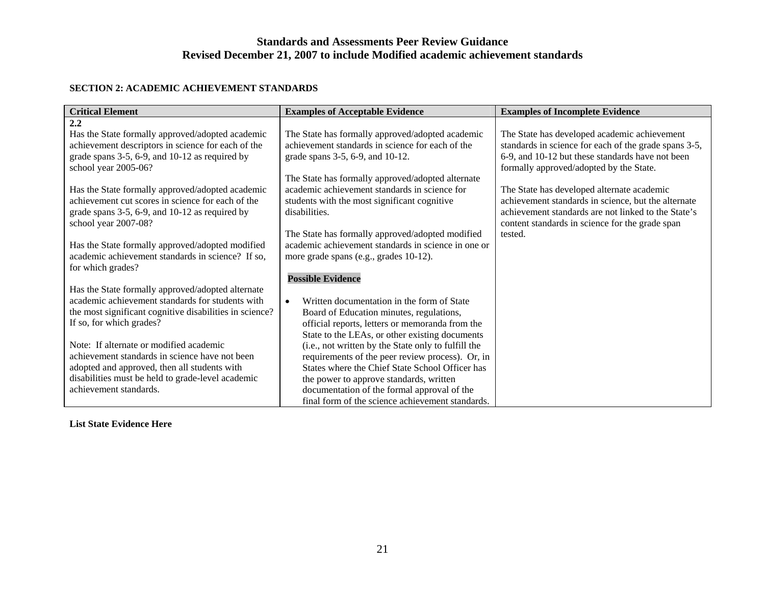#### **SECTION 2: ACADEMIC ACHIEVEMENT STANDARDS**

| <b>Critical Element</b>                                 | <b>Examples of Acceptable Evidence</b>                  | <b>Examples of Incomplete Evidence</b>                |
|---------------------------------------------------------|---------------------------------------------------------|-------------------------------------------------------|
| 2.2                                                     |                                                         |                                                       |
| Has the State formally approved/adopted academic        | The State has formally approved/adopted academic        | The State has developed academic achievement          |
| achievement descriptors in science for each of the      | achievement standards in science for each of the        | standards in science for each of the grade spans 3-5, |
| grade spans 3-5, 6-9, and 10-12 as required by          | grade spans 3-5, 6-9, and 10-12.                        | 6-9, and 10-12 but these standards have not been      |
| school year 2005-06?                                    |                                                         | formally approved/adopted by the State.               |
|                                                         | The State has formally approved/adopted alternate       |                                                       |
| Has the State formally approved/adopted academic        | academic achievement standards in science for           | The State has developed alternate academic            |
| achievement cut scores in science for each of the       | students with the most significant cognitive            | achievement standards in science, but the alternate   |
| grade spans 3-5, 6-9, and 10-12 as required by          | disabilities.                                           | achievement standards are not linked to the State's   |
| school year 2007-08?                                    |                                                         | content standards in science for the grade span       |
|                                                         | The State has formally approved/adopted modified        | tested.                                               |
| Has the State formally approved/adopted modified        | academic achievement standards in science in one or     |                                                       |
| academic achievement standards in science? If so,       | more grade spans (e.g., grades 10-12).                  |                                                       |
| for which grades?                                       |                                                         |                                                       |
|                                                         | <b>Possible Evidence</b>                                |                                                       |
| Has the State formally approved/adopted alternate       |                                                         |                                                       |
| academic achievement standards for students with        | Written documentation in the form of State<br>$\bullet$ |                                                       |
| the most significant cognitive disabilities in science? | Board of Education minutes, regulations,                |                                                       |
| If so, for which grades?                                | official reports, letters or memoranda from the         |                                                       |
|                                                         | State to the LEAs, or other existing documents          |                                                       |
| Note: If alternate or modified academic                 | (i.e., not written by the State only to fulfill the     |                                                       |
| achievement standards in science have not been          | requirements of the peer review process). Or, in        |                                                       |
| adopted and approved, then all students with            | States where the Chief State School Officer has         |                                                       |
| disabilities must be held to grade-level academic       | the power to approve standards, written                 |                                                       |
| achievement standards.                                  | documentation of the formal approval of the             |                                                       |
|                                                         | final form of the science achievement standards.        |                                                       |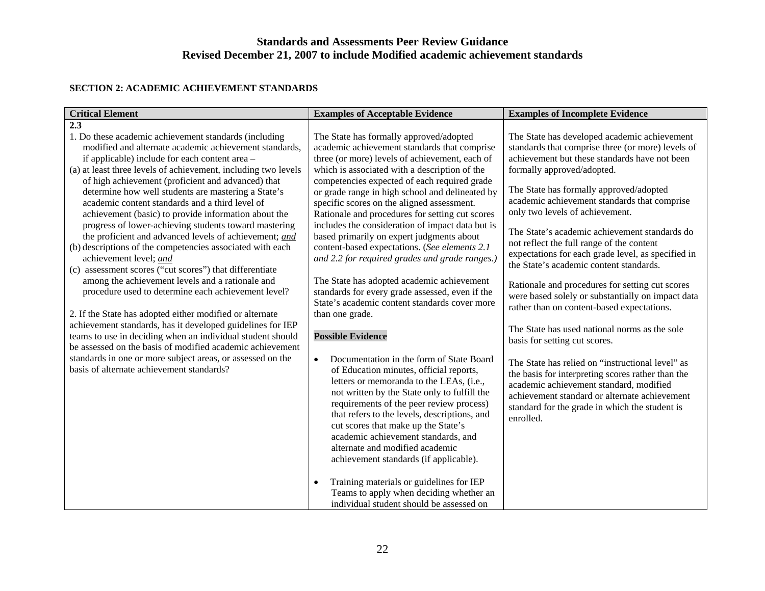#### **SECTION 2: ACADEMIC ACHIEVEMENT STANDARDS**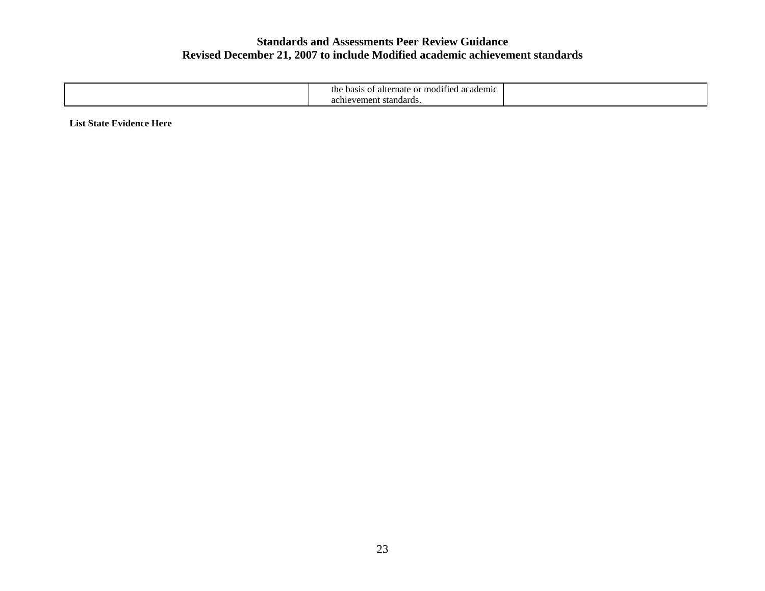| e or modified<br>academic<br>basis<br>alternate<br>$\sim$ $\sim$ $\sim$<br>ΩŤ<br>ult |  |
|--------------------------------------------------------------------------------------|--|
| nevement standards.<br>aliite                                                        |  |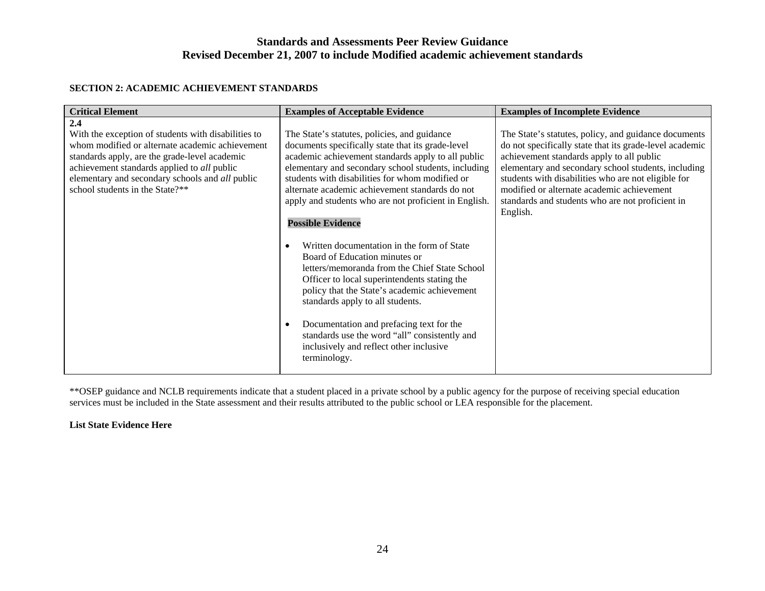#### **SECTION 2: ACADEMIC ACHIEVEMENT STANDARDS**

| <b>Critical Element</b>                                                                                                                                                                                                                                                                                    | <b>Examples of Acceptable Evidence</b>                                                                                                                                                                                                                                                                                                                                                                                                                                                                                                                                                                                                                                                                                                                                                                                                | <b>Examples of Incomplete Evidence</b>                                                                                                                                                                                                                                                                                                                                                   |
|------------------------------------------------------------------------------------------------------------------------------------------------------------------------------------------------------------------------------------------------------------------------------------------------------------|---------------------------------------------------------------------------------------------------------------------------------------------------------------------------------------------------------------------------------------------------------------------------------------------------------------------------------------------------------------------------------------------------------------------------------------------------------------------------------------------------------------------------------------------------------------------------------------------------------------------------------------------------------------------------------------------------------------------------------------------------------------------------------------------------------------------------------------|------------------------------------------------------------------------------------------------------------------------------------------------------------------------------------------------------------------------------------------------------------------------------------------------------------------------------------------------------------------------------------------|
| 2.4<br>With the exception of students with disabilities to<br>whom modified or alternate academic achievement<br>standards apply, are the grade-level academic<br>achievement standards applied to all public<br>elementary and secondary schools and <i>all</i> public<br>school students in the State?** | The State's statutes, policies, and guidance<br>documents specifically state that its grade-level<br>academic achievement standards apply to all public<br>elementary and secondary school students, including<br>students with disabilities for whom modified or<br>alternate academic achievement standards do not<br>apply and students who are not proficient in English.<br><b>Possible Evidence</b><br>Written documentation in the form of State<br>Board of Education minutes or<br>letters/memoranda from the Chief State School<br>Officer to local superintendents stating the<br>policy that the State's academic achievement<br>standards apply to all students.<br>Documentation and prefacing text for the<br>standards use the word "all" consistently and<br>inclusively and reflect other inclusive<br>terminology. | The State's statutes, policy, and guidance documents<br>do not specifically state that its grade-level academic<br>achievement standards apply to all public<br>elementary and secondary school students, including<br>students with disabilities who are not eligible for<br>modified or alternate academic achievement<br>standards and students who are not proficient in<br>English. |
|                                                                                                                                                                                                                                                                                                            |                                                                                                                                                                                                                                                                                                                                                                                                                                                                                                                                                                                                                                                                                                                                                                                                                                       |                                                                                                                                                                                                                                                                                                                                                                                          |

\*\*OSEP guidance and NCLB requirements indicate that a student placed in a private school by a public agency for the purpose of receiving special education services must be included in the State assessment and their results attributed to the public school or LEA responsible for the placement.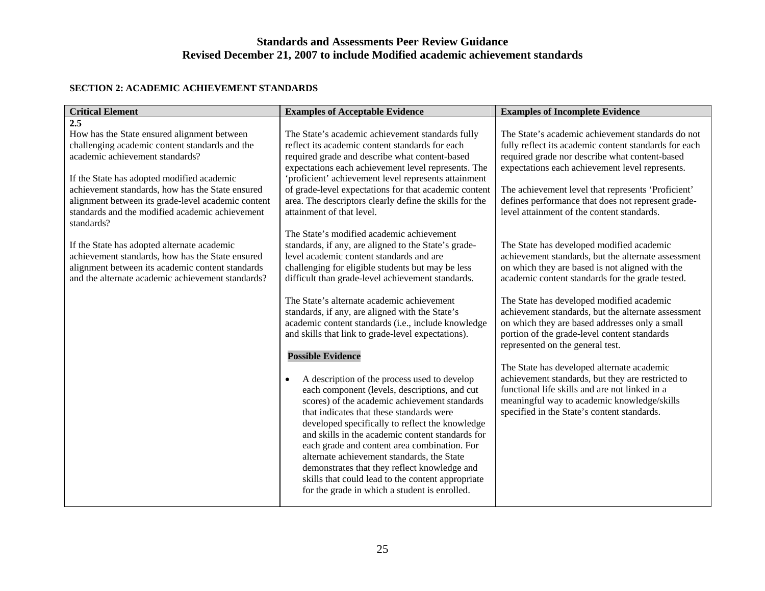#### **SECTION 2: ACADEMIC ACHIEVEMENT STANDARDS**

| <b>Critical Element</b>                                                                                                                                                                                                                                                                                                                                         | <b>Examples of Acceptable Evidence</b>                                                                                                                                                                                                                                                                                                                                                                                                                                                                                                                                                                          | <b>Examples of Incomplete Evidence</b>                                                                                                                                                                                                                                                                                                                                                                                                                                                                                                                                                                 |
|-----------------------------------------------------------------------------------------------------------------------------------------------------------------------------------------------------------------------------------------------------------------------------------------------------------------------------------------------------------------|-----------------------------------------------------------------------------------------------------------------------------------------------------------------------------------------------------------------------------------------------------------------------------------------------------------------------------------------------------------------------------------------------------------------------------------------------------------------------------------------------------------------------------------------------------------------------------------------------------------------|--------------------------------------------------------------------------------------------------------------------------------------------------------------------------------------------------------------------------------------------------------------------------------------------------------------------------------------------------------------------------------------------------------------------------------------------------------------------------------------------------------------------------------------------------------------------------------------------------------|
| $\overline{2.5}$<br>How has the State ensured alignment between<br>challenging academic content standards and the<br>academic achievement standards?<br>If the State has adopted modified academic<br>achievement standards, how has the State ensured<br>alignment between its grade-level academic content<br>standards and the modified academic achievement | The State's academic achievement standards fully<br>reflect its academic content standards for each<br>required grade and describe what content-based<br>expectations each achievement level represents. The<br>'proficient' achievement level represents attainment<br>of grade-level expectations for that academic content<br>area. The descriptors clearly define the skills for the<br>attainment of that level.                                                                                                                                                                                           | The State's academic achievement standards do not<br>fully reflect its academic content standards for each<br>required grade nor describe what content-based<br>expectations each achievement level represents.<br>The achievement level that represents 'Proficient'<br>defines performance that does not represent grade-<br>level attainment of the content standards.                                                                                                                                                                                                                              |
| standards?<br>If the State has adopted alternate academic<br>achievement standards, how has the State ensured<br>alignment between its academic content standards<br>and the alternate academic achievement standards?                                                                                                                                          | The State's modified academic achievement<br>standards, if any, are aligned to the State's grade-<br>level academic content standards and are<br>challenging for eligible students but may be less<br>difficult than grade-level achievement standards.<br>The State's alternate academic achievement<br>standards, if any, are aligned with the State's<br>academic content standards (i.e., include knowledge<br>and skills that link to grade-level expectations).<br><b>Possible Evidence</b><br>A description of the process used to develop<br>$\bullet$<br>each component (levels, descriptions, and cut | The State has developed modified academic<br>achievement standards, but the alternate assessment<br>on which they are based is not aligned with the<br>academic content standards for the grade tested.<br>The State has developed modified academic<br>achievement standards, but the alternate assessment<br>on which they are based addresses only a small<br>portion of the grade-level content standards<br>represented on the general test.<br>The State has developed alternate academic<br>achievement standards, but they are restricted to<br>functional life skills and are not linked in a |
|                                                                                                                                                                                                                                                                                                                                                                 | scores) of the academic achievement standards<br>that indicates that these standards were<br>developed specifically to reflect the knowledge<br>and skills in the academic content standards for<br>each grade and content area combination. For<br>alternate achievement standards, the State<br>demonstrates that they reflect knowledge and<br>skills that could lead to the content appropriate<br>for the grade in which a student is enrolled.                                                                                                                                                            | meaningful way to academic knowledge/skills<br>specified in the State's content standards.                                                                                                                                                                                                                                                                                                                                                                                                                                                                                                             |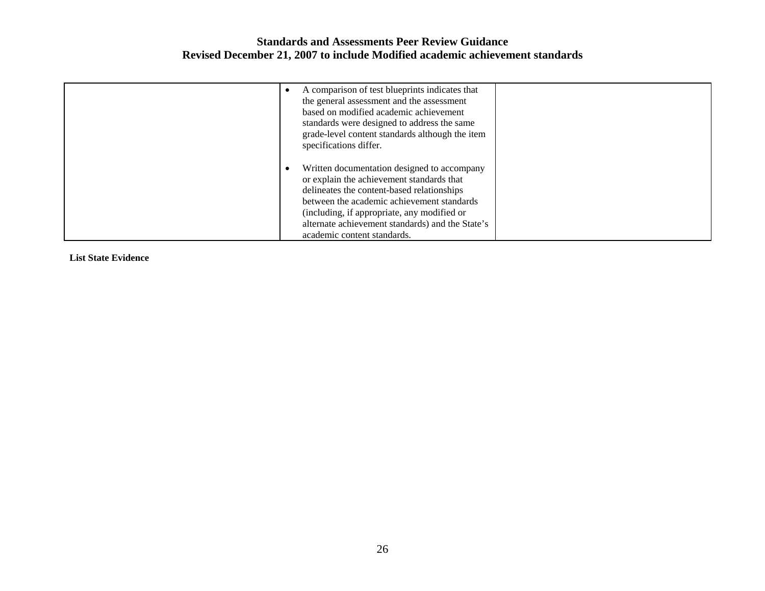| A comparison of test blueprints indicates that                                      |  |
|-------------------------------------------------------------------------------------|--|
| the general assessment and the assessment<br>based on modified academic achievement |  |
| standards were designed to address the same                                         |  |
| grade-level content standards although the item<br>specifications differ.           |  |
| Written documentation designed to accompany                                         |  |
| or explain the achievement standards that                                           |  |
| delineates the content-based relationships                                          |  |
| between the academic achievement standards                                          |  |
| (including, if appropriate, any modified or                                         |  |
| alternate achievement standards) and the State's                                    |  |
| academic content standards.                                                         |  |

**List State Evidence**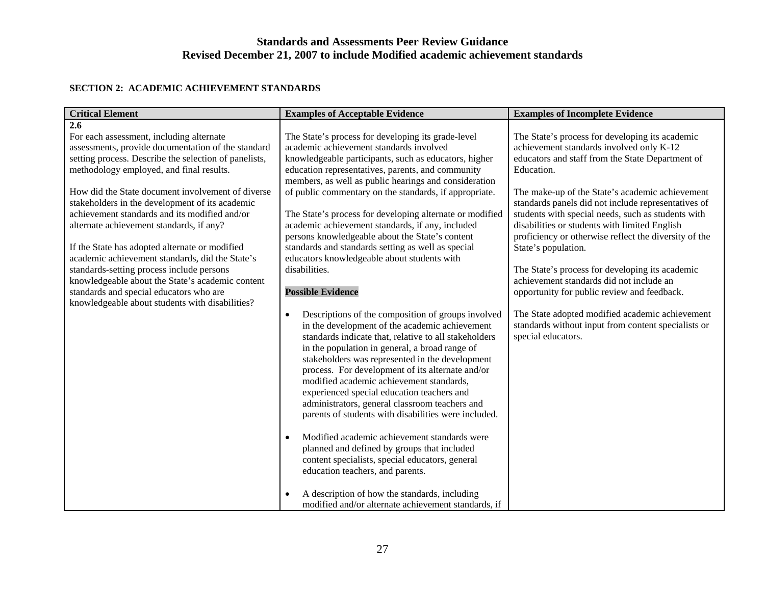#### **SECTION 2: ACADEMIC ACHIEVEMENT STANDARDS**

| <b>Critical Element</b>                                                                                                                                                                                                                                                                                                                                                                                                                                                                                                                                           | <b>Examples of Acceptable Evidence</b>                                                                                                                                                                                                                                                                                                                                                                                                                                                                                                                                                                                  | <b>Examples of Incomplete Evidence</b>                                                                                                                                                                                                                                                                                                                                                                                                                                                                            |
|-------------------------------------------------------------------------------------------------------------------------------------------------------------------------------------------------------------------------------------------------------------------------------------------------------------------------------------------------------------------------------------------------------------------------------------------------------------------------------------------------------------------------------------------------------------------|-------------------------------------------------------------------------------------------------------------------------------------------------------------------------------------------------------------------------------------------------------------------------------------------------------------------------------------------------------------------------------------------------------------------------------------------------------------------------------------------------------------------------------------------------------------------------------------------------------------------------|-------------------------------------------------------------------------------------------------------------------------------------------------------------------------------------------------------------------------------------------------------------------------------------------------------------------------------------------------------------------------------------------------------------------------------------------------------------------------------------------------------------------|
| 2.6<br>For each assessment, including alternate<br>assessments, provide documentation of the standard<br>setting process. Describe the selection of panelists,<br>methodology employed, and final results.<br>How did the State document involvement of diverse<br>stakeholders in the development of its academic<br>achievement standards and its modified and/or<br>alternate achievement standards, if any?<br>If the State has adopted alternate or modified<br>academic achievement standards, did the State's<br>standards-setting process include persons | The State's process for developing its grade-level<br>academic achievement standards involved<br>knowledgeable participants, such as educators, higher<br>education representatives, parents, and community<br>members, as well as public hearings and consideration<br>of public commentary on the standards, if appropriate.<br>The State's process for developing alternate or modified<br>academic achievement standards, if any, included<br>persons knowledgeable about the State's content<br>standards and standards setting as well as special<br>educators knowledgeable about students with<br>disabilities. | The State's process for developing its academic<br>achievement standards involved only K-12<br>educators and staff from the State Department of<br>Education.<br>The make-up of the State's academic achievement<br>standards panels did not include representatives of<br>students with special needs, such as students with<br>disabilities or students with limited English<br>proficiency or otherwise reflect the diversity of the<br>State's population.<br>The State's process for developing its academic |
| knowledgeable about the State's academic content<br>standards and special educators who are<br>knowledgeable about students with disabilities?                                                                                                                                                                                                                                                                                                                                                                                                                    | <b>Possible Evidence</b><br>Descriptions of the composition of groups involved<br>$\bullet$<br>in the development of the academic achievement                                                                                                                                                                                                                                                                                                                                                                                                                                                                           | achievement standards did not include an<br>opportunity for public review and feedback.<br>The State adopted modified academic achievement<br>standards without input from content specialists or                                                                                                                                                                                                                                                                                                                 |
|                                                                                                                                                                                                                                                                                                                                                                                                                                                                                                                                                                   | standards indicate that, relative to all stakeholders<br>in the population in general, a broad range of<br>stakeholders was represented in the development<br>process. For development of its alternate and/or<br>modified academic achievement standards,<br>experienced special education teachers and<br>administrators, general classroom teachers and<br>parents of students with disabilities were included.                                                                                                                                                                                                      | special educators.                                                                                                                                                                                                                                                                                                                                                                                                                                                                                                |
|                                                                                                                                                                                                                                                                                                                                                                                                                                                                                                                                                                   | Modified academic achievement standards were<br>$\bullet$<br>planned and defined by groups that included<br>content specialists, special educators, general<br>education teachers, and parents.                                                                                                                                                                                                                                                                                                                                                                                                                         |                                                                                                                                                                                                                                                                                                                                                                                                                                                                                                                   |
|                                                                                                                                                                                                                                                                                                                                                                                                                                                                                                                                                                   | A description of how the standards, including<br>modified and/or alternate achievement standards, if                                                                                                                                                                                                                                                                                                                                                                                                                                                                                                                    |                                                                                                                                                                                                                                                                                                                                                                                                                                                                                                                   |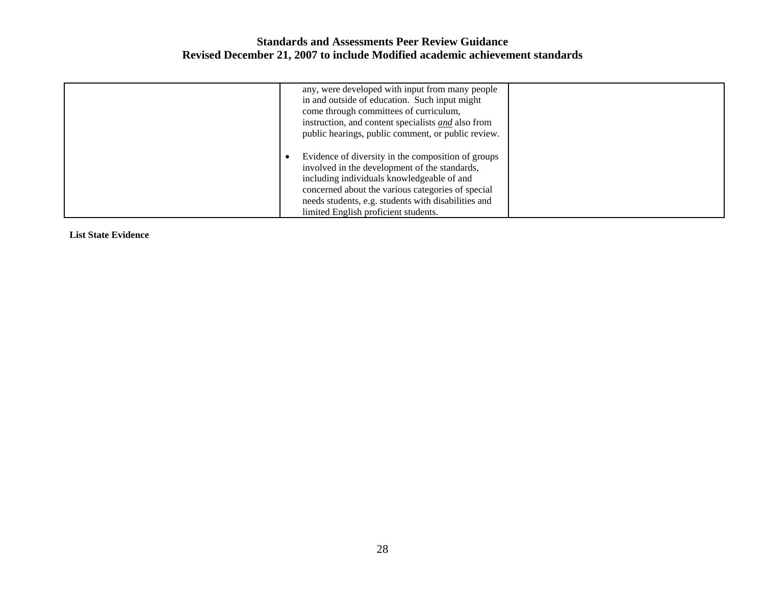| any, were developed with input from many people<br>in and outside of education. Such input might<br>come through committees of curriculum,<br>instruction, and content specialists and also from<br>public hearings, public comment, or public review.                                                |  |
|-------------------------------------------------------------------------------------------------------------------------------------------------------------------------------------------------------------------------------------------------------------------------------------------------------|--|
| Evidence of diversity in the composition of groups<br>involved in the development of the standards,<br>including individuals knowledgeable of and<br>concerned about the various categories of special<br>needs students, e.g. students with disabilities and<br>limited English proficient students. |  |

**List State Evidence**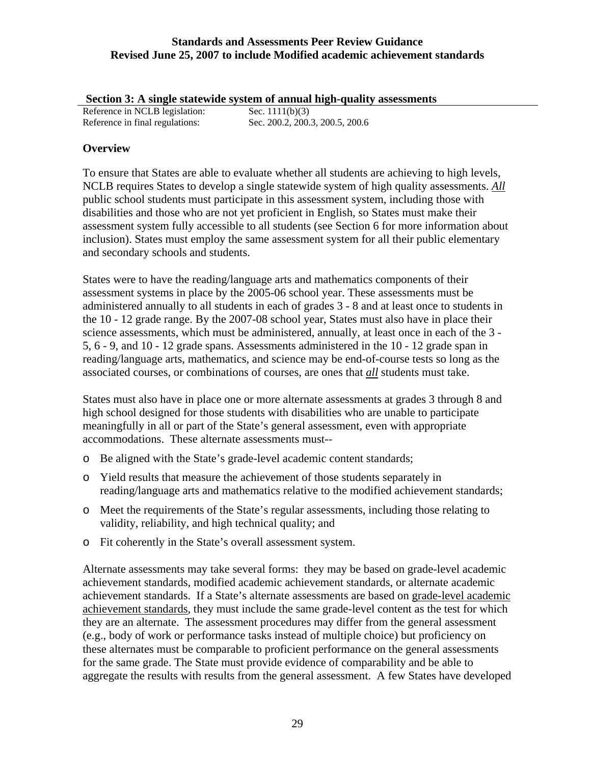**Section 3: A single statewide system of annual high-quality assessments**

| Reference in NCLB legislation:  | Sec. $1111(b)(3)$               |
|---------------------------------|---------------------------------|
| Reference in final regulations: | Sec. 200.2, 200.3, 200.5, 200.6 |

## **Overview**

To ensure that States are able to evaluate whether all students are achieving to high levels, NCLB requires States to develop a single statewide system of high quality assessments. *All* public school students must participate in this assessment system, including those with disabilities and those who are not yet proficient in English, so States must make their assessment system fully accessible to all students (see Section 6 for more information about inclusion). States must employ the same assessment system for all their public elementary and secondary schools and students.

States were to have the reading/language arts and mathematics components of their assessment systems in place by the 2005-06 school year. These assessments must be administered annually to all students in each of grades 3 - 8 and at least once to students in the 10 - 12 grade range. By the 2007-08 school year, States must also have in place their science assessments, which must be administered, annually, at least once in each of the 3 - 5, 6 - 9, and 10 - 12 grade spans. Assessments administered in the 10 - 12 grade span in reading/language arts, mathematics, and science may be end-of-course tests so long as the associated courses, or combinations of courses, are ones that *all* students must take.

States must also have in place one or more alternate assessments at grades 3 through 8 and high school designed for those students with disabilities who are unable to participate meaningfully in all or part of the State's general assessment, even with appropriate accommodations. These alternate assessments must--

- o Be aligned with the State's grade-level academic content standards;
- o Yield results that measure the achievement of those students separately in reading/language arts and mathematics relative to the modified achievement standards;
- o Meet the requirements of the State's regular assessments, including those relating to validity, reliability, and high technical quality; and
- o Fit coherently in the State's overall assessment system.

Alternate assessments may take several forms: they may be based on grade-level academic achievement standards, modified academic achievement standards, or alternate academic achievement standards. If a State's alternate assessments are based on grade-level academic achievement standards, they must include the same grade-level content as the test for which they are an alternate. The assessment procedures may differ from the general assessment (e.g., body of work or performance tasks instead of multiple choice) but proficiency on these alternates must be comparable to proficient performance on the general assessments for the same grade. The State must provide evidence of comparability and be able to aggregate the results with results from the general assessment. A few States have developed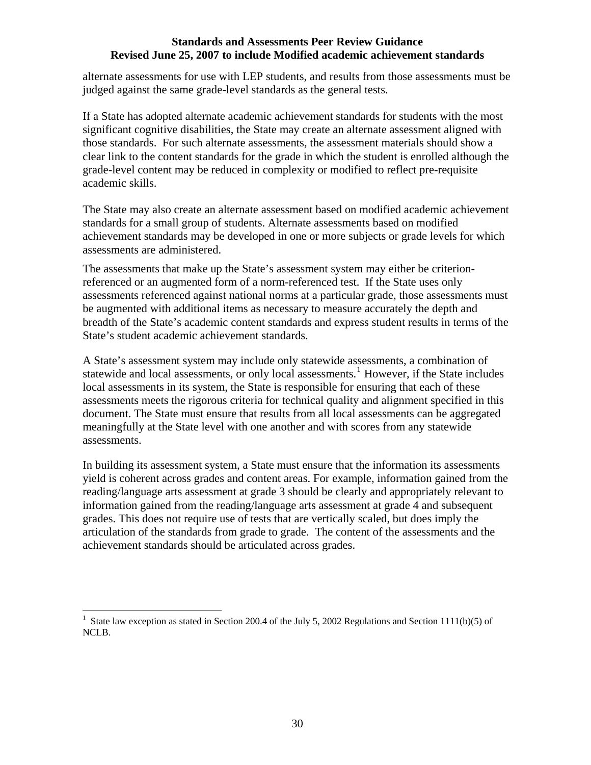<span id="page-32-0"></span>alternate assessments for use with LEP students, and results from those assessments must be judged against the same grade-level standards as the general tests.

If a State has adopted alternate academic achievement standards for students with the most significant cognitive disabilities, the State may create an alternate assessment aligned with those standards. For such alternate assessments, the assessment materials should show a clear link to the content standards for the grade in which the student is enrolled although the grade-level content may be reduced in complexity or modified to reflect pre-requisite academic skills.

The State may also create an alternate assessment based on modified academic achievement standards for a small group of students. Alternate assessments based on modified achievement standards may be developed in one or more subjects or grade levels for which assessments are administered.

The assessments that make up the State's assessment system may either be criterionreferenced or an augmented form of a norm-referenced test. If the State uses only assessments referenced against national norms at a particular grade, those assessments must be augmented with additional items as necessary to measure accurately the depth and breadth of the State's academic content standards and express student results in terms of the State's student academic achievement standards.

A State's assessment system may include only statewide assessments, a combination of statewide and local assessments, or only local assessments.<sup>[1](#page-32-0)</sup> However, if the State includes local assessments in its system, the State is responsible for ensuring that each of these assessments meets the rigorous criteria for technical quality and alignment specified in this document. The State must ensure that results from all local assessments can be aggregated meaningfully at the State level with one another and with scores from any statewide assessments.

In building its assessment system, a State must ensure that the information its assessments yield is coherent across grades and content areas. For example, information gained from the reading/language arts assessment at grade 3 should be clearly and appropriately relevant to information gained from the reading/language arts assessment at grade 4 and subsequent grades. This does not require use of tests that are vertically scaled, but does imply the articulation of the standards from grade to grade. The content of the assessments and the achievement standards should be articulated across grades.

 $\overline{a}$ 

<sup>1</sup> State law exception as stated in Section 200.4 of the July 5, 2002 Regulations and Section 1111(b)(5) of NCLB.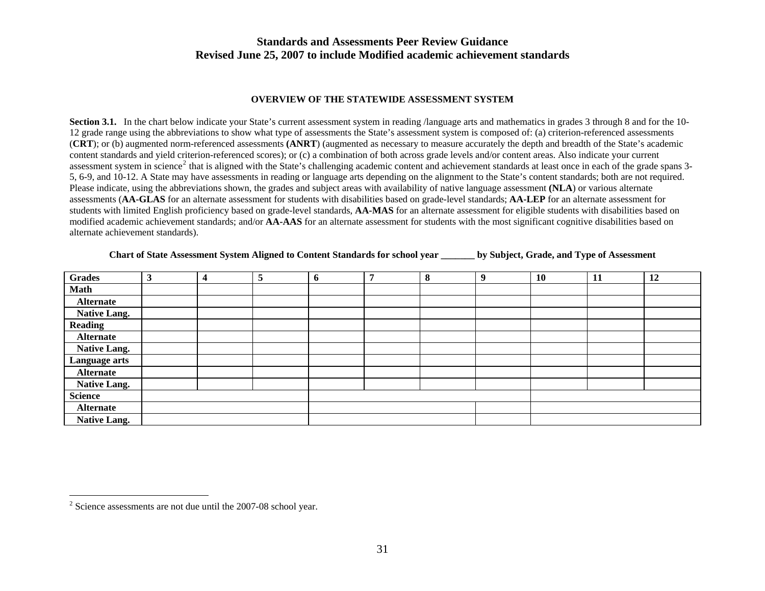#### **OVERVIEW OF THE STATEWIDE ASSESSMENT SYSTEM**

**Section 3.1.** In the chart below indicate your State's current assessment system in reading /language arts and mathematics in grades 3 through 8 and for the 10-12 grade range using the abbreviations to show what type of assessments the State's assessment system is composed of: (a) criterion-referenced assessments (**CRT**); or (b) augmented norm-referenced assessments **(ANRT**) (augmented as necessary to measure accurately the depth and breadth of the State's academic content standards and yield criterion-referenced scores); or (c) a combination of both across grade levels and/or content areas. Also indicate your current assessment system in science<sup>[2](#page-33-0)</sup> that is aligned with the State's challenging academic content and achievement standards at least once in each of the grade spans 3-5, 6-9, and 10-12. A State may have assessments in reading or language arts depending on the alignment to the State's content standards; both are not required. Please indicate, using the abbreviations shown, the grades and subject areas with availability of native language assessment **(NLA**) or various alternate assessments (**AA-GLAS** for an alternate assessment for students with disabilities based on grade-level standards; **AA-LEP** for an alternate assessment for students with limited English proficiency based on grade-level standards, **AA-MAS** for an alternate assessment for eligible students with disabilities based on modified academic achievement standards; and/or **AA-AAS** for an alternate assessment for students with the most significant cognitive disabilities based on alternate achievement standards).

#### **Chart of State Assessment System Aligned to Content Standards for school year \_\_\_\_\_\_\_ by Subject, Grade, and Type of Assessment**

| <b>Grades</b>       | $\mathbf{\hat{}}$<br>G | $\overline{\mathbf{4}}$ | 5 | $\mathbf{p}$ | 5 | 8 | 9 | <b>10</b> | 11 | 12 |
|---------------------|------------------------|-------------------------|---|--------------|---|---|---|-----------|----|----|
| <b>Math</b>         |                        |                         |   |              |   |   |   |           |    |    |
| <b>Alternate</b>    |                        |                         |   |              |   |   |   |           |    |    |
| <b>Native Lang.</b> |                        |                         |   |              |   |   |   |           |    |    |
| <b>Reading</b>      |                        |                         |   |              |   |   |   |           |    |    |
| <b>Alternate</b>    |                        |                         |   |              |   |   |   |           |    |    |
| <b>Native Lang.</b> |                        |                         |   |              |   |   |   |           |    |    |
| Language arts       |                        |                         |   |              |   |   |   |           |    |    |
| <b>Alternate</b>    |                        |                         |   |              |   |   |   |           |    |    |
| <b>Native Lang.</b> |                        |                         |   |              |   |   |   |           |    |    |
| <b>Science</b>      |                        |                         |   |              |   |   |   |           |    |    |
| <b>Alternate</b>    |                        |                         |   |              |   |   |   |           |    |    |
| <b>Native Lang.</b> |                        |                         |   |              |   |   |   |           |    |    |

<span id="page-33-0"></span><sup>&</sup>lt;sup>2</sup> Science assessments are not due until the 2007-08 school year.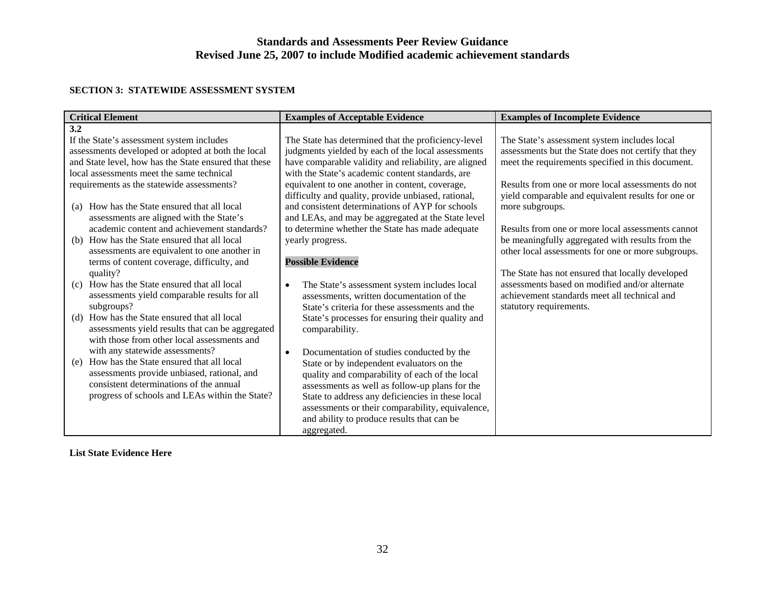#### **SECTION 3: STATEWIDE ASSESSMENT SYSTEM**

| <b>Critical Element</b>                               | <b>Examples of Acceptable Evidence</b>                    | <b>Examples of Incomplete Evidence</b>               |  |
|-------------------------------------------------------|-----------------------------------------------------------|------------------------------------------------------|--|
| 3.2                                                   |                                                           |                                                      |  |
| If the State's assessment system includes             | The State has determined that the proficiency-level       | The State's assessment system includes local         |  |
| assessments developed or adopted at both the local    | judgments yielded by each of the local assessments        | assessments but the State does not certify that they |  |
| and State level, how has the State ensured that these | have comparable validity and reliability, are aligned     | meet the requirements specified in this document.    |  |
| local assessments meet the same technical             | with the State's academic content standards, are          |                                                      |  |
| requirements as the statewide assessments?            | equivalent to one another in content, coverage,           | Results from one or more local assessments do not    |  |
|                                                       | difficulty and quality, provide unbiased, rational,       | yield comparable and equivalent results for one or   |  |
| How has the State ensured that all local<br>(a)       | and consistent determinations of AYP for schools          | more subgroups.                                      |  |
| assessments are aligned with the State's              | and LEAs, and may be aggregated at the State level        |                                                      |  |
| academic content and achievement standards?           | to determine whether the State has made adequate          | Results from one or more local assessments cannot    |  |
| How has the State ensured that all local<br>(b)       | yearly progress.                                          | be meaningfully aggregated with results from the     |  |
| assessments are equivalent to one another in          |                                                           | other local assessments for one or more subgroups.   |  |
| terms of content coverage, difficulty, and            | <b>Possible Evidence</b>                                  |                                                      |  |
| quality?                                              |                                                           | The State has not ensured that locally developed     |  |
| How has the State ensured that all local<br>(c)       | The State's assessment system includes local<br>$\bullet$ | assessments based on modified and/or alternate       |  |
| assessments yield comparable results for all          | assessments, written documentation of the                 | achievement standards meet all technical and         |  |
| subgroups?                                            | State's criteria for these assessments and the            | statutory requirements.                              |  |
| How has the State ensured that all local<br>(d)       | State's processes for ensuring their quality and          |                                                      |  |
| assessments yield results that can be aggregated      | comparability.                                            |                                                      |  |
| with those from other local assessments and           |                                                           |                                                      |  |
| with any statewide assessments?                       | Documentation of studies conducted by the<br>$\bullet$    |                                                      |  |
| How has the State ensured that all local<br>(e)       | State or by independent evaluators on the                 |                                                      |  |
| assessments provide unbiased, rational, and           | quality and comparability of each of the local            |                                                      |  |
| consistent determinations of the annual               | assessments as well as follow-up plans for the            |                                                      |  |
| progress of schools and LEAs within the State?        | State to address any deficiencies in these local          |                                                      |  |
|                                                       | assessments or their comparability, equivalence,          |                                                      |  |
|                                                       | and ability to produce results that can be                |                                                      |  |
|                                                       | aggregated.                                               |                                                      |  |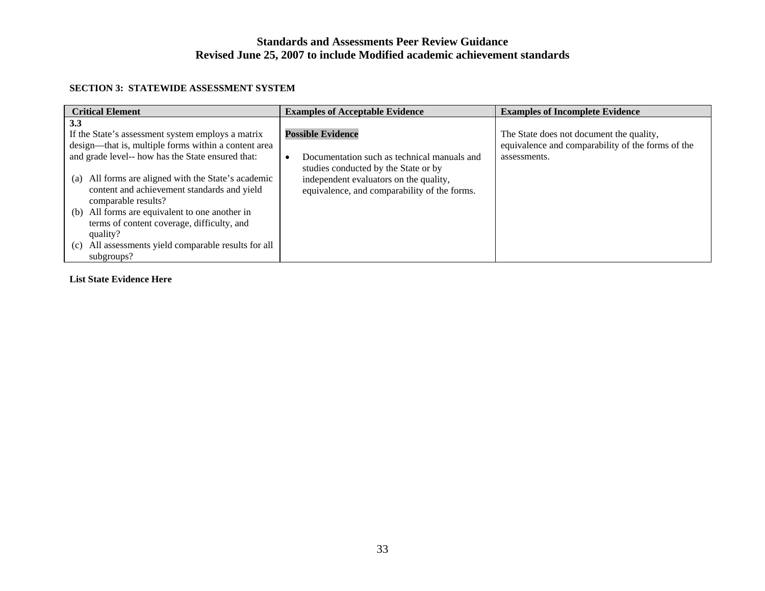#### **SECTION 3: STATEWIDE ASSESSMENT SYSTEM**

| <b>Critical Element</b>                                 | <b>Examples of Acceptable Evidence</b>       | <b>Examples of Incomplete Evidence</b>            |  |  |
|---------------------------------------------------------|----------------------------------------------|---------------------------------------------------|--|--|
| 3.3                                                     |                                              |                                                   |  |  |
| If the State's assessment system employs a matrix       | <b>Possible Evidence</b>                     | The State does not document the quality,          |  |  |
| design—that is, multiple forms within a content area    |                                              | equivalence and comparability of the forms of the |  |  |
| and grade level-- how has the State ensured that:       | Documentation such as technical manuals and  | assessments.                                      |  |  |
|                                                         | studies conducted by the State or by         |                                                   |  |  |
| All forms are aligned with the State's academic<br>(a)  | independent evaluators on the quality,       |                                                   |  |  |
| content and achievement standards and yield             | equivalence, and comparability of the forms. |                                                   |  |  |
| comparable results?                                     |                                              |                                                   |  |  |
| (b) All forms are equivalent to one another in          |                                              |                                                   |  |  |
| terms of content coverage, difficulty, and              |                                              |                                                   |  |  |
| quality?                                                |                                              |                                                   |  |  |
| All assessments yield comparable results for all<br>(c) |                                              |                                                   |  |  |
| subgroups?                                              |                                              |                                                   |  |  |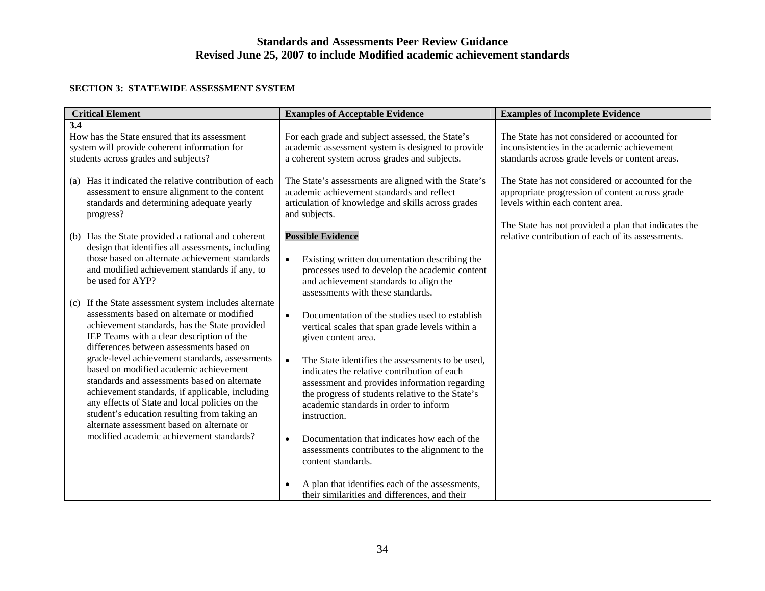#### **SECTION 3: STATEWIDE ASSESSMENT SYSTEM**

| <b>Critical Element</b>                                                                                                                                                                                                                                                                                                                     | <b>Examples of Acceptable Evidence</b>                                                                                                                                                                                                                                     | <b>Examples of Incomplete Evidence</b>                                                                                                                                                           |
|---------------------------------------------------------------------------------------------------------------------------------------------------------------------------------------------------------------------------------------------------------------------------------------------------------------------------------------------|----------------------------------------------------------------------------------------------------------------------------------------------------------------------------------------------------------------------------------------------------------------------------|--------------------------------------------------------------------------------------------------------------------------------------------------------------------------------------------------|
| 3.4<br>How has the State ensured that its assessment<br>system will provide coherent information for<br>students across grades and subjects?                                                                                                                                                                                                | For each grade and subject assessed, the State's<br>academic assessment system is designed to provide<br>a coherent system across grades and subjects.                                                                                                                     | The State has not considered or accounted for<br>inconsistencies in the academic achievement<br>standards across grade levels or content areas.                                                  |
| Has it indicated the relative contribution of each<br>(a)<br>assessment to ensure alignment to the content<br>standards and determining adequate yearly<br>progress?                                                                                                                                                                        | The State's assessments are aligned with the State's<br>academic achievement standards and reflect<br>articulation of knowledge and skills across grades<br>and subjects.                                                                                                  | The State has not considered or accounted for the<br>appropriate progression of content across grade<br>levels within each content area.<br>The State has not provided a plan that indicates the |
| Has the State provided a rational and coherent<br>(b)<br>design that identifies all assessments, including<br>those based on alternate achievement standards<br>and modified achievement standards if any, to<br>be used for AYP?                                                                                                           | <b>Possible Evidence</b><br>Existing written documentation describing the<br>processes used to develop the academic content<br>and achievement standards to align the<br>assessments with these standards.                                                                 | relative contribution of each of its assessments.                                                                                                                                                |
| If the State assessment system includes alternate<br>(c)<br>assessments based on alternate or modified<br>achievement standards, has the State provided<br>IEP Teams with a clear description of the<br>differences between assessments based on                                                                                            | $\bullet$<br>Documentation of the studies used to establish<br>vertical scales that span grade levels within a<br>given content area.                                                                                                                                      |                                                                                                                                                                                                  |
| grade-level achievement standards, assessments<br>based on modified academic achievement<br>standards and assessments based on alternate<br>achievement standards, if applicable, including<br>any effects of State and local policies on the<br>student's education resulting from taking an<br>alternate assessment based on alternate or | The State identifies the assessments to be used,<br>$\bullet$<br>indicates the relative contribution of each<br>assessment and provides information regarding<br>the progress of students relative to the State's<br>academic standards in order to inform<br>instruction. |                                                                                                                                                                                                  |
| modified academic achievement standards?                                                                                                                                                                                                                                                                                                    | Documentation that indicates how each of the<br>$\bullet$<br>assessments contributes to the alignment to the<br>content standards.                                                                                                                                         |                                                                                                                                                                                                  |
|                                                                                                                                                                                                                                                                                                                                             | A plan that identifies each of the assessments,<br>their similarities and differences, and their                                                                                                                                                                           |                                                                                                                                                                                                  |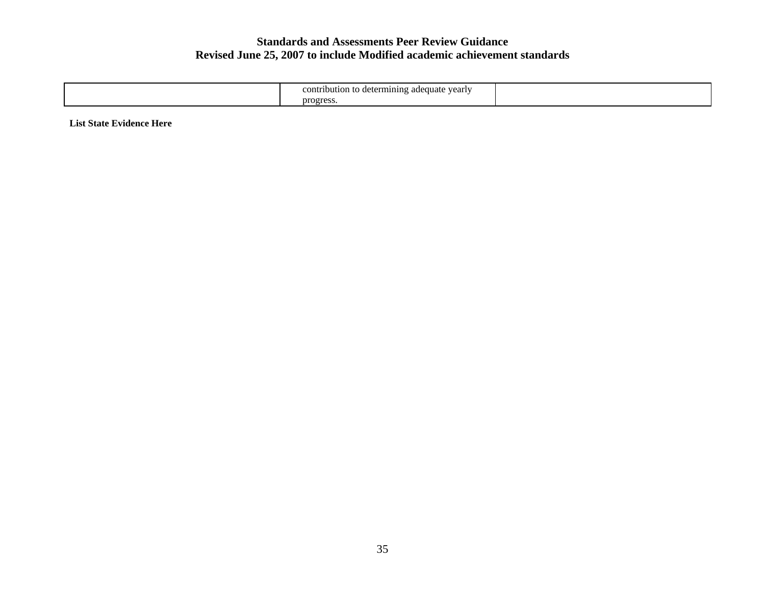| $\bullet$<br>contribution to determining adequate $v2$<br>: yearly |  |
|--------------------------------------------------------------------|--|
| progres                                                            |  |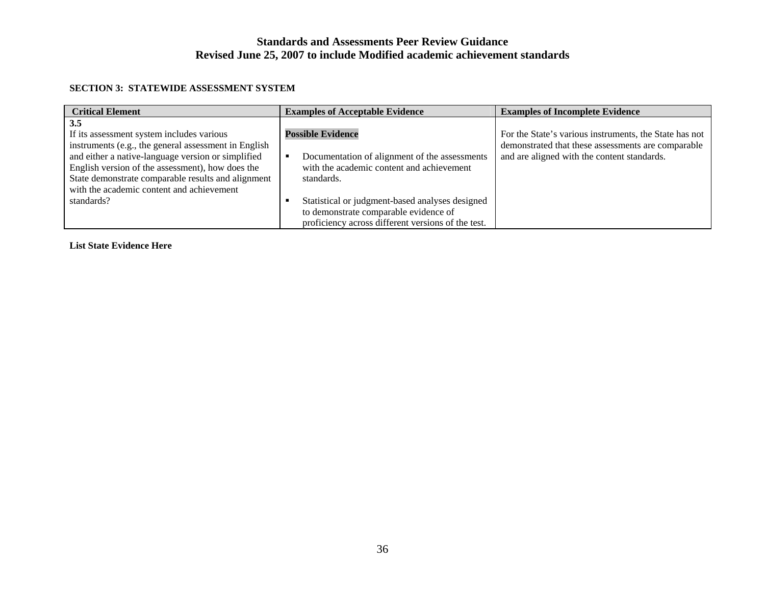#### **SECTION 3: STATEWIDE ASSESSMENT SYSTEM**

| <b>Critical Element</b>                                                                                                                                                                                                                                                                                                             | <b>Examples of Acceptable Evidence</b>                                                                                                                                                                                           | <b>Examples of Incomplete Evidence</b>                                                                                                                      |  |
|-------------------------------------------------------------------------------------------------------------------------------------------------------------------------------------------------------------------------------------------------------------------------------------------------------------------------------------|----------------------------------------------------------------------------------------------------------------------------------------------------------------------------------------------------------------------------------|-------------------------------------------------------------------------------------------------------------------------------------------------------------|--|
| 3.5<br>If its assessment system includes various<br>instruments (e.g., the general assessment in English<br>and either a native-language version or simplified<br>English version of the assessment), how does the<br>State demonstrate comparable results and alignment<br>with the academic content and achievement<br>standards? | <b>Possible Evidence</b><br>Documentation of alignment of the assessments<br>with the academic content and achievement<br>standards.<br>Statistical or judgment-based analyses designed<br>to demonstrate comparable evidence of | For the State's various instruments, the State has not<br>demonstrated that these assessments are comparable<br>and are aligned with the content standards. |  |
|                                                                                                                                                                                                                                                                                                                                     | proficiency across different versions of the test.                                                                                                                                                                               |                                                                                                                                                             |  |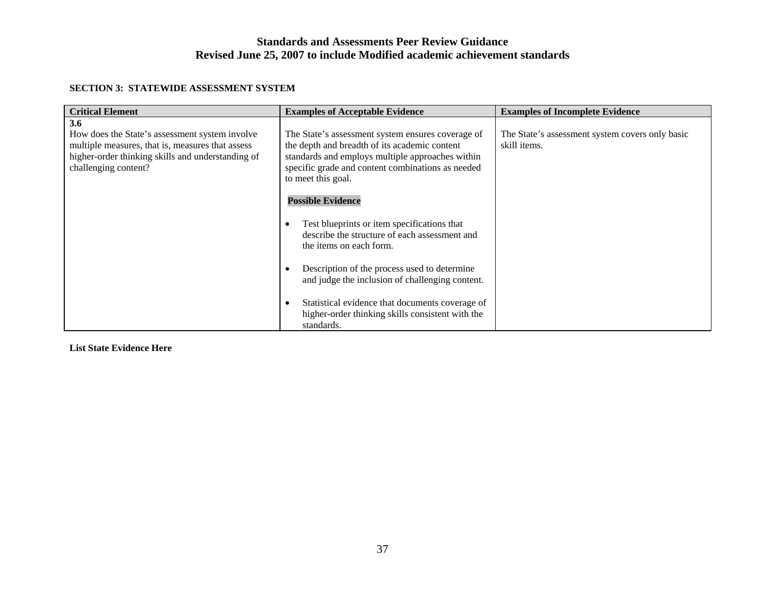#### **SECTION 3: STATEWIDE ASSESSMENT SYSTEM**

| <b>Critical Element</b>                                                                                                                                                                                                                                                                                                                                                                                                     | <b>Examples of Acceptable Evidence</b>                                                                                                              | <b>Examples of Incomplete Evidence</b>                          |
|-----------------------------------------------------------------------------------------------------------------------------------------------------------------------------------------------------------------------------------------------------------------------------------------------------------------------------------------------------------------------------------------------------------------------------|-----------------------------------------------------------------------------------------------------------------------------------------------------|-----------------------------------------------------------------|
| 3.6<br>How does the State's assessment system involve<br>The State's assessment system ensures coverage of<br>multiple measures, that is, measures that assess<br>the depth and breadth of its academic content<br>standards and employs multiple approaches within<br>higher-order thinking skills and understanding of<br>challenging content?<br>specific grade and content combinations as needed<br>to meet this goal. |                                                                                                                                                     | The State's assessment system covers only basic<br>skill items. |
|                                                                                                                                                                                                                                                                                                                                                                                                                             | <b>Possible Evidence</b><br>Test blueprints or item specifications that<br>describe the structure of each assessment and<br>the items on each form. |                                                                 |
|                                                                                                                                                                                                                                                                                                                                                                                                                             | Description of the process used to determine<br>and judge the inclusion of challenging content.                                                     |                                                                 |
|                                                                                                                                                                                                                                                                                                                                                                                                                             | Statistical evidence that documents coverage of<br>higher-order thinking skills consistent with the<br>standards.                                   |                                                                 |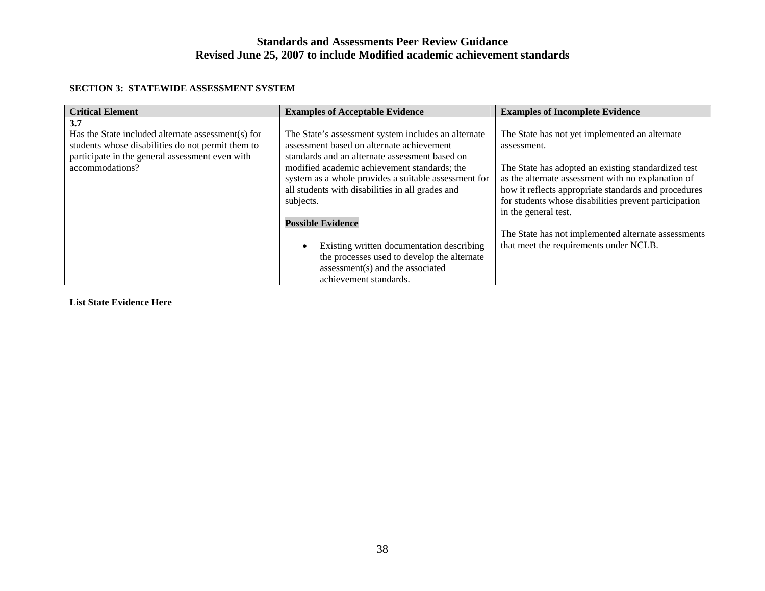#### **SECTION 3: STATEWIDE ASSESSMENT SYSTEM**

| <b>Critical Element</b>                                                                                                                                                              | <b>Examples of Acceptable Evidence</b>                                                                                                                                                                                                                                                                                                                                                                                                              | <b>Examples of Incomplete Evidence</b>                                                                                                                                                                                                                                                                                                                                                                               |
|--------------------------------------------------------------------------------------------------------------------------------------------------------------------------------------|-----------------------------------------------------------------------------------------------------------------------------------------------------------------------------------------------------------------------------------------------------------------------------------------------------------------------------------------------------------------------------------------------------------------------------------------------------|----------------------------------------------------------------------------------------------------------------------------------------------------------------------------------------------------------------------------------------------------------------------------------------------------------------------------------------------------------------------------------------------------------------------|
| 3.7<br>Has the State included alternate assessment(s) for<br>students whose disabilities do not permit them to<br>participate in the general assessment even with<br>accommodations? | The State's assessment system includes an alternate<br>assessment based on alternate achievement<br>standards and an alternate assessment based on<br>modified academic achievement standards; the<br>system as a whole provides a suitable assessment for<br>all students with disabilities in all grades and<br>subjects.<br><b>Possible Evidence</b><br>Existing written documentation describing<br>the processes used to develop the alternate | The State has not yet implemented an alternate<br>assessment.<br>The State has adopted an existing standardized test<br>as the alternate assessment with no explanation of<br>how it reflects appropriate standards and procedures<br>for students whose disabilities prevent participation<br>in the general test.<br>The State has not implemented alternate assessments<br>that meet the requirements under NCLB. |
|                                                                                                                                                                                      | assessment(s) and the associated<br>achievement standards.                                                                                                                                                                                                                                                                                                                                                                                          |                                                                                                                                                                                                                                                                                                                                                                                                                      |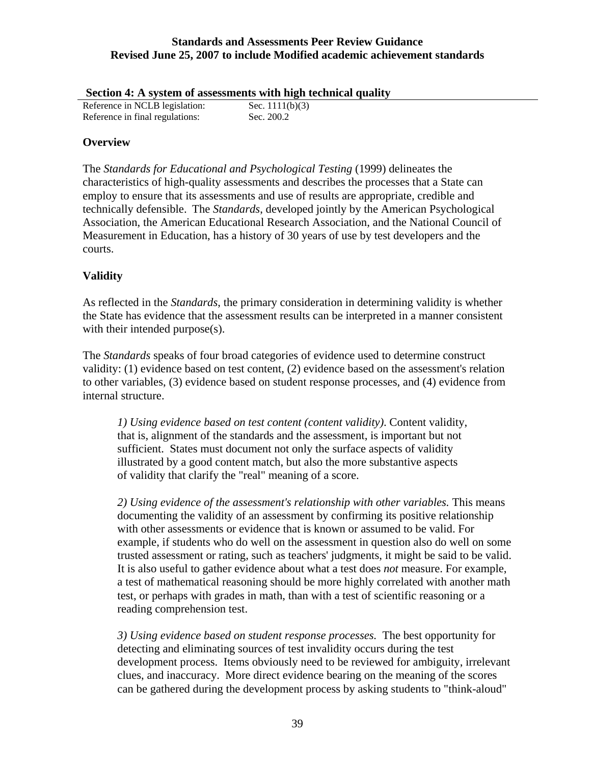| Section 4: A system of assessments with high technical quality |  |  |  |
|----------------------------------------------------------------|--|--|--|
|                                                                |  |  |  |

| Reference in NCLB legislation:  | Sec. $1111(b)(3)$ |
|---------------------------------|-------------------|
| Reference in final regulations: | Sec. 200.2        |

# **Overview**

The *Standards for Educational and Psychological Testing* (1999) delineates the characteristics of high-quality assessments and describes the processes that a State can employ to ensure that its assessments and use of results are appropriate, credible and technically defensible. The *Standards*, developed jointly by the American Psychological Association, the American Educational Research Association, and the National Council of Measurement in Education, has a history of 30 years of use by test developers and the courts.

# **Validity**

As reflected in the *Standards*, the primary consideration in determining validity is whether the State has evidence that the assessment results can be interpreted in a manner consistent with their intended purpose(s).

The *Standards* speaks of four broad categories of evidence used to determine construct validity: (1) evidence based on test content, (2) evidence based on the assessment's relation to other variables, (3) evidence based on student response processes, and (4) evidence from internal structure.

*1) Using evidence based on test content (content validity)*. Content validity, that is, alignment of the standards and the assessment, is important but not sufficient. States must document not only the surface aspects of validity illustrated by a good content match, but also the more substantive aspects of validity that clarify the "real" meaning of a score.

*2) Using evidence of the assessment's relationship with other variables.* This means documenting the validity of an assessment by confirming its positive relationship with other assessments or evidence that is known or assumed to be valid. For example, if students who do well on the assessment in question also do well on some trusted assessment or rating, such as teachers' judgments, it might be said to be valid. It is also useful to gather evidence about what a test does *not* measure. For example, a test of mathematical reasoning should be more highly correlated with another math test, or perhaps with grades in math, than with a test of scientific reasoning or a reading comprehension test.

*3) Using evidence based on student response processes.* The best opportunity for detecting and eliminating sources of test invalidity occurs during the test development process. Items obviously need to be reviewed for ambiguity, irrelevant clues, and inaccuracy. More direct evidence bearing on the meaning of the scores can be gathered during the development process by asking students to "think-aloud"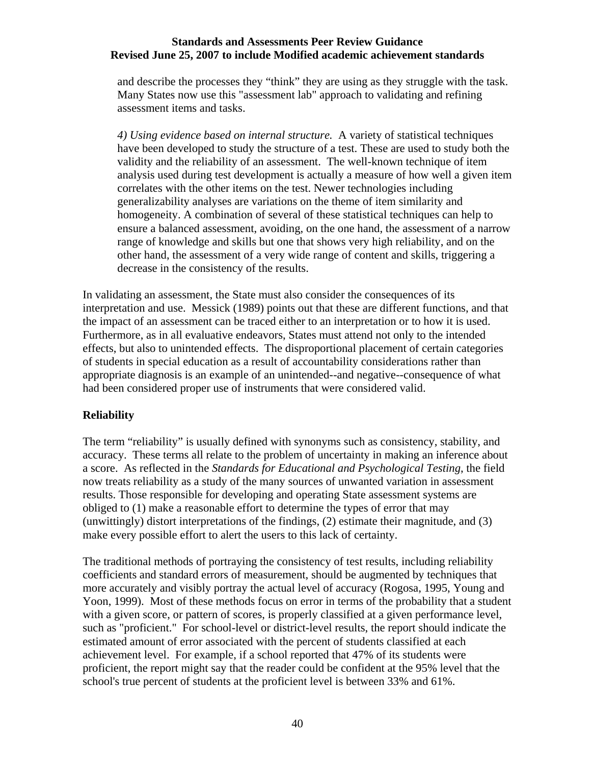and describe the processes they "think" they are using as they struggle with the task. Many States now use this "assessment lab" approach to validating and refining assessment items and tasks.

*4) Using evidence based on internal structure.* A variety of statistical techniques have been developed to study the structure of a test. These are used to study both the validity and the reliability of an assessment. The well-known technique of item analysis used during test development is actually a measure of how well a given item correlates with the other items on the test. Newer technologies including generalizability analyses are variations on the theme of item similarity and homogeneity. A combination of several of these statistical techniques can help to ensure a balanced assessment, avoiding, on the one hand, the assessment of a narrow range of knowledge and skills but one that shows very high reliability, and on the other hand, the assessment of a very wide range of content and skills, triggering a decrease in the consistency of the results.

In validating an assessment, the State must also consider the consequences of its interpretation and use. Messick (1989) points out that these are different functions, and that the impact of an assessment can be traced either to an interpretation or to how it is used. Furthermore, as in all evaluative endeavors, States must attend not only to the intended effects, but also to unintended effects. The disproportional placement of certain categories of students in special education as a result of accountability considerations rather than appropriate diagnosis is an example of an unintended--and negative--consequence of what had been considered proper use of instruments that were considered valid.

# **Reliability**

The term "reliability" is usually defined with synonyms such as consistency, stability, and accuracy. These terms all relate to the problem of uncertainty in making an inference about a score. As reflected in the *Standards for Educational and Psychological Testing*, the field now treats reliability as a study of the many sources of unwanted variation in assessment results. Those responsible for developing and operating State assessment systems are obliged to (1) make a reasonable effort to determine the types of error that may (unwittingly) distort interpretations of the findings, (2) estimate their magnitude, and (3) make every possible effort to alert the users to this lack of certainty.

The traditional methods of portraying the consistency of test results, including reliability coefficients and standard errors of measurement, should be augmented by techniques that more accurately and visibly portray the actual level of accuracy (Rogosa, 1995, Young and Yoon, 1999). Most of these methods focus on error in terms of the probability that a student with a given score, or pattern of scores, is properly classified at a given performance level, such as "proficient." For school-level or district-level results, the report should indicate the estimated amount of error associated with the percent of students classified at each achievement level. For example, if a school reported that 47% of its students were proficient, the report might say that the reader could be confident at the 95% level that the school's true percent of students at the proficient level is between 33% and 61%.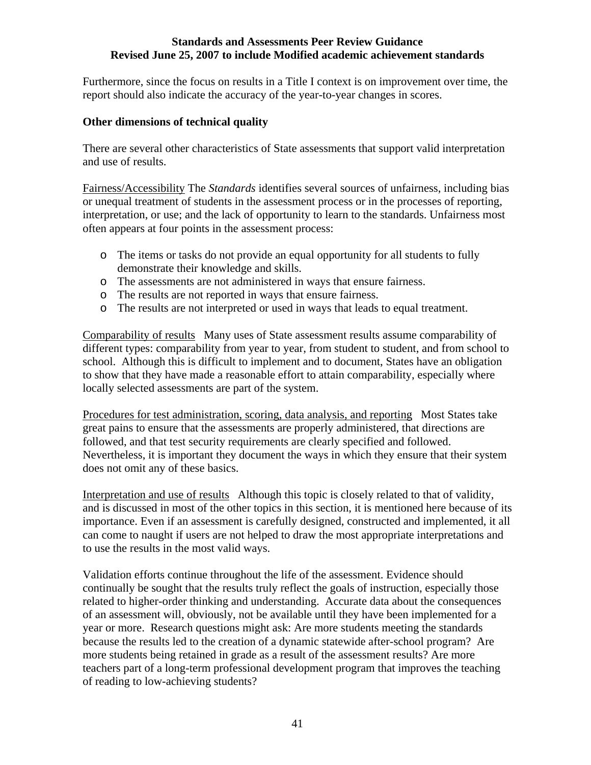Furthermore, since the focus on results in a Title I context is on improvement over time, the report should also indicate the accuracy of the year-to-year changes in scores.

### **Other dimensions of technical quality**

There are several other characteristics of State assessments that support valid interpretation and use of results.

Fairness/Accessibility The *Standards* identifies several sources of unfairness, including bias or unequal treatment of students in the assessment process or in the processes of reporting, interpretation, or use; and the lack of opportunity to learn to the standards. Unfairness most often appears at four points in the assessment process:

- o The items or tasks do not provide an equal opportunity for all students to fully demonstrate their knowledge and skills.
- o The assessments are not administered in ways that ensure fairness.
- o The results are not reported in ways that ensure fairness.
- o The results are not interpreted or used in ways that leads to equal treatment.

Comparability of results Many uses of State assessment results assume comparability of different types: comparability from year to year, from student to student, and from school to school. Although this is difficult to implement and to document, States have an obligation to show that they have made a reasonable effort to attain comparability, especially where locally selected assessments are part of the system.

Procedures for test administration, scoring, data analysis, and reporting Most States take great pains to ensure that the assessments are properly administered, that directions are followed, and that test security requirements are clearly specified and followed. Nevertheless, it is important they document the ways in which they ensure that their system does not omit any of these basics.

Interpretation and use of results Although this topic is closely related to that of validity, and is discussed in most of the other topics in this section, it is mentioned here because of its importance. Even if an assessment is carefully designed, constructed and implemented, it all can come to naught if users are not helped to draw the most appropriate interpretations and to use the results in the most valid ways.

Validation efforts continue throughout the life of the assessment. Evidence should continually be sought that the results truly reflect the goals of instruction, especially those related to higher-order thinking and understanding. Accurate data about the consequences of an assessment will, obviously, not be available until they have been implemented for a year or more. Research questions might ask: Are more students meeting the standards because the results led to the creation of a dynamic statewide after-school program? Are more students being retained in grade as a result of the assessment results? Are more teachers part of a long-term professional development program that improves the teaching of reading to low-achieving students?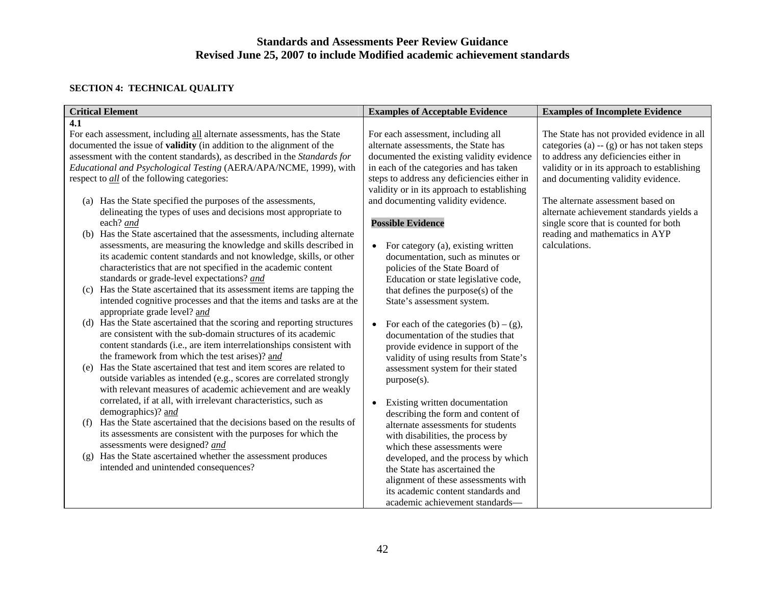### **SECTION 4: TECHNICAL QUALITY**

|     | <b>Critical Element</b>                                                                                                                  | <b>Examples of Acceptable Evidence</b>                               | <b>Examples of Incomplete Evidence</b>        |
|-----|------------------------------------------------------------------------------------------------------------------------------------------|----------------------------------------------------------------------|-----------------------------------------------|
| 4.1 |                                                                                                                                          |                                                                      |                                               |
|     | For each assessment, including all alternate assessments, has the State                                                                  | For each assessment, including all                                   | The State has not provided evidence in all    |
|     | documented the issue of <b>validity</b> (in addition to the alignment of the                                                             | alternate assessments, the State has                                 | categories (a) $-$ (g) or has not taken steps |
|     | assessment with the content standards), as described in the Standards for                                                                | documented the existing validity evidence                            | to address any deficiencies either in         |
|     | Educational and Psychological Testing (AERA/APA/NCME, 1999), with                                                                        | in each of the categories and has taken                              | validity or in its approach to establishing   |
|     | respect to <i>all</i> of the following categories:                                                                                       | steps to address any deficiencies either in                          | and documenting validity evidence.            |
|     |                                                                                                                                          | validity or in its approach to establishing                          |                                               |
|     | (a) Has the State specified the purposes of the assessments,                                                                             | and documenting validity evidence.                                   | The alternate assessment based on             |
|     | delineating the types of uses and decisions most appropriate to                                                                          |                                                                      | alternate achievement standards yields a      |
|     | each? and                                                                                                                                | <b>Possible Evidence</b>                                             | single score that is counted for both         |
|     | (b) Has the State ascertained that the assessments, including alternate                                                                  |                                                                      | reading and mathematics in AYP                |
|     | assessments, are measuring the knowledge and skills described in                                                                         | • For category (a), existing written                                 | calculations.                                 |
|     | its academic content standards and not knowledge, skills, or other                                                                       | documentation, such as minutes or                                    |                                               |
|     | characteristics that are not specified in the academic content                                                                           | policies of the State Board of                                       |                                               |
|     | standards or grade-level expectations? and                                                                                               | Education or state legislative code,                                 |                                               |
|     | (c) Has the State ascertained that its assessment items are tapping the                                                                  | that defines the purpose(s) of the                                   |                                               |
|     | intended cognitive processes and that the items and tasks are at the                                                                     | State's assessment system.                                           |                                               |
|     | appropriate grade level? and                                                                                                             |                                                                      |                                               |
|     | (d) Has the State ascertained that the scoring and reporting structures<br>are consistent with the sub-domain structures of its academic | • For each of the categories $(b) - (g)$ ,                           |                                               |
|     | content standards (i.e., are item interrelationships consistent with                                                                     | documentation of the studies that                                    |                                               |
|     | the framework from which the test arises)? and                                                                                           | provide evidence in support of the                                   |                                               |
|     | (e) Has the State ascertained that test and item scores are related to                                                                   | validity of using results from State's                               |                                               |
|     | outside variables as intended (e.g., scores are correlated strongly                                                                      | assessment system for their stated                                   |                                               |
|     | with relevant measures of academic achievement and are weakly                                                                            | purpose(s).                                                          |                                               |
|     | correlated, if at all, with irrelevant characteristics, such as                                                                          |                                                                      |                                               |
|     | demographics)? and                                                                                                                       | Existing written documentation<br>describing the form and content of |                                               |
| (f) | Has the State ascertained that the decisions based on the results of                                                                     | alternate assessments for students                                   |                                               |
|     | its assessments are consistent with the purposes for which the                                                                           | with disabilities, the process by                                    |                                               |
|     | assessments were designed? and                                                                                                           | which these assessments were                                         |                                               |
|     | (g) Has the State ascertained whether the assessment produces                                                                            | developed, and the process by which                                  |                                               |
|     | intended and unintended consequences?                                                                                                    | the State has ascertained the                                        |                                               |
|     |                                                                                                                                          | alignment of these assessments with                                  |                                               |
|     |                                                                                                                                          | its academic content standards and                                   |                                               |
|     |                                                                                                                                          | academic achievement standards-                                      |                                               |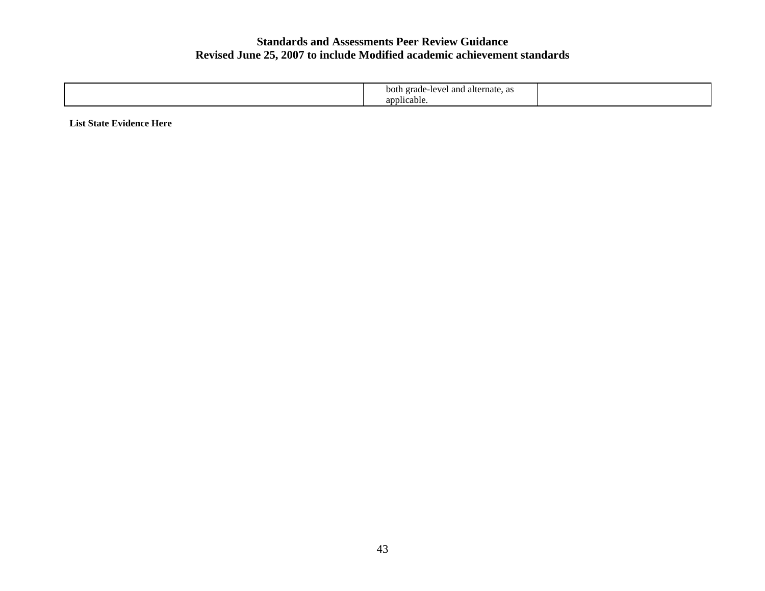| grade-level<br>and alternate, as<br>both |  |
|------------------------------------------|--|
| applicable.                              |  |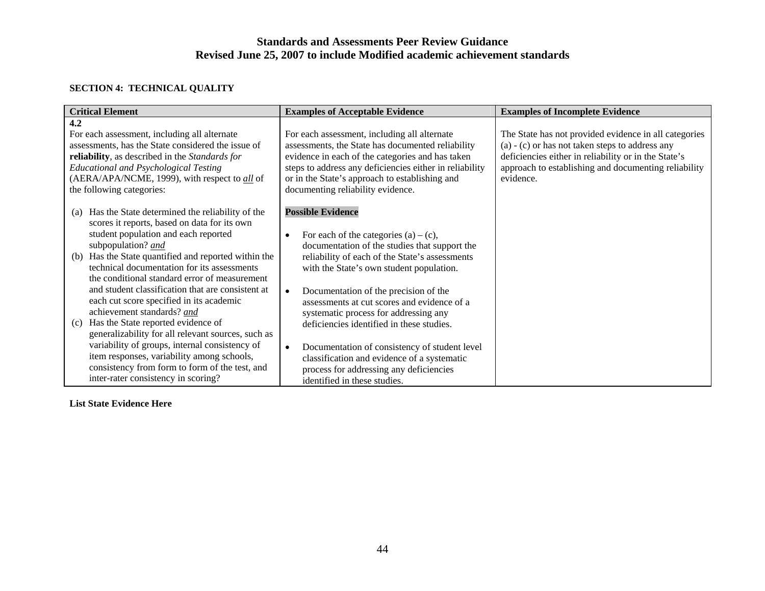### **SECTION 4: TECHNICAL QUALITY**

| <b>Critical Element</b>                                                                                                                                                                                                                                                                                                                                                                                                          | <b>Examples of Acceptable Evidence</b>                                                                                                                                                                                                                                                                                   | <b>Examples of Incomplete Evidence</b>                                                                                                                                                                                                  |
|----------------------------------------------------------------------------------------------------------------------------------------------------------------------------------------------------------------------------------------------------------------------------------------------------------------------------------------------------------------------------------------------------------------------------------|--------------------------------------------------------------------------------------------------------------------------------------------------------------------------------------------------------------------------------------------------------------------------------------------------------------------------|-----------------------------------------------------------------------------------------------------------------------------------------------------------------------------------------------------------------------------------------|
| 4.2<br>For each assessment, including all alternate<br>assessments, has the State considered the issue of<br>reliability, as described in the Standards for<br><b>Educational and Psychological Testing</b><br>(AERA/APA/NCME, 1999), with respect to <i>all</i> of<br>the following categories:                                                                                                                                 | For each assessment, including all alternate<br>assessments, the State has documented reliability<br>evidence in each of the categories and has taken<br>steps to address any deficiencies either in reliability<br>or in the State's approach to establishing and<br>documenting reliability evidence.                  | The State has not provided evidence in all categories<br>$(a) - (c)$ or has not taken steps to address any<br>deficiencies either in reliability or in the State's<br>approach to establishing and documenting reliability<br>evidence. |
| Has the State determined the reliability of the<br>(a)<br>scores it reports, based on data for its own<br>student population and each reported<br>subpopulation? and<br>Has the State quantified and reported within the<br>(b)<br>technical documentation for its assessments<br>the conditional standard error of measurement<br>and student classification that are consistent at<br>each cut score specified in its academic | <b>Possible Evidence</b><br>For each of the categories $(a) - (c)$ ,<br>$\bullet$<br>documentation of the studies that support the<br>reliability of each of the State's assessments<br>with the State's own student population.<br>Documentation of the precision of the<br>assessments at cut scores and evidence of a |                                                                                                                                                                                                                                         |
| achievement standards? and<br>Has the State reported evidence of<br>(c)<br>generalizability for all relevant sources, such as<br>variability of groups, internal consistency of<br>item responses, variability among schools,<br>consistency from form to form of the test, and<br>inter-rater consistency in scoring?                                                                                                           | systematic process for addressing any<br>deficiencies identified in these studies.<br>Documentation of consistency of student level<br>$\bullet$<br>classification and evidence of a systematic<br>process for addressing any deficiencies<br>identified in these studies.                                               |                                                                                                                                                                                                                                         |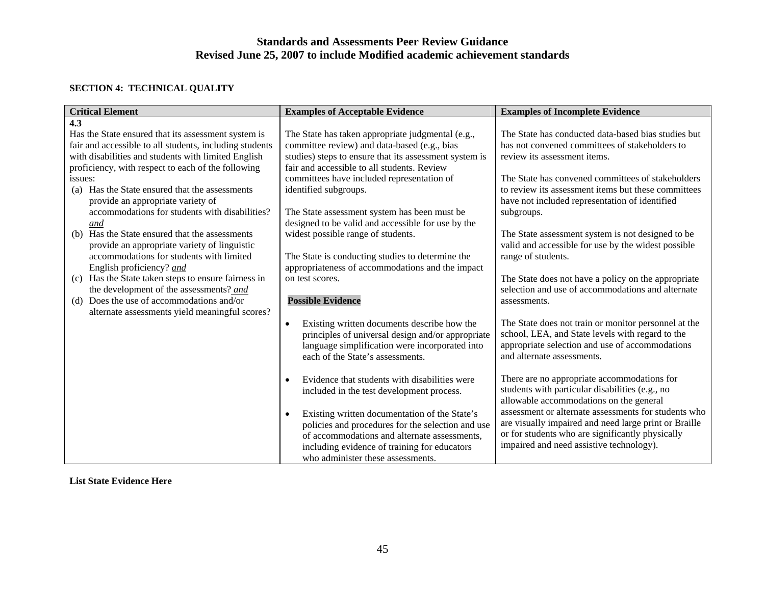## **SECTION 4: TECHNICAL QUALITY**

| <b>Critical Element</b>                                                                                                                                                                                                     | <b>Examples of Acceptable Evidence</b>                                                                                                                                                                                                               | <b>Examples of Incomplete Evidence</b>                                                                                                                                                                        |  |
|-----------------------------------------------------------------------------------------------------------------------------------------------------------------------------------------------------------------------------|------------------------------------------------------------------------------------------------------------------------------------------------------------------------------------------------------------------------------------------------------|---------------------------------------------------------------------------------------------------------------------------------------------------------------------------------------------------------------|--|
| 4.3                                                                                                                                                                                                                         |                                                                                                                                                                                                                                                      |                                                                                                                                                                                                               |  |
| Has the State ensured that its assessment system is<br>fair and accessible to all students, including students<br>with disabilities and students with limited English<br>proficiency, with respect to each of the following | The State has taken appropriate judgmental (e.g.,<br>committee review) and data-based (e.g., bias<br>studies) steps to ensure that its assessment system is<br>fair and accessible to all students. Review                                           | The State has conducted data-based bias studies but<br>has not convened committees of stakeholders to<br>review its assessment items.                                                                         |  |
| issues:                                                                                                                                                                                                                     | committees have included representation of                                                                                                                                                                                                           | The State has convened committees of stakeholders                                                                                                                                                             |  |
| Has the State ensured that the assessments<br>(a)<br>provide an appropriate variety of<br>accommodations for students with disabilities?                                                                                    | identified subgroups.<br>The State assessment system has been must be                                                                                                                                                                                | to review its assessment items but these committees<br>have not included representation of identified<br>subgroups.                                                                                           |  |
| and<br>(b) Has the State ensured that the assessments<br>provide an appropriate variety of linguistic<br>accommodations for students with limited<br>English proficiency? and                                               | designed to be valid and accessible for use by the<br>widest possible range of students.<br>The State is conducting studies to determine the<br>appropriateness of accommodations and the impact                                                     | The State assessment system is not designed to be<br>valid and accessible for use by the widest possible<br>range of students.                                                                                |  |
| (c) Has the State taken steps to ensure fairness in<br>the development of the assessments? and<br>(d) Does the use of accommodations and/or<br>alternate assessments yield meaningful scores?                               | on test scores.<br><b>Possible Evidence</b>                                                                                                                                                                                                          | The State does not have a policy on the appropriate<br>selection and use of accommodations and alternate<br>assessments.                                                                                      |  |
|                                                                                                                                                                                                                             | Existing written documents describe how the<br>$\bullet$<br>principles of universal design and/or appropriate<br>language simplification were incorporated into<br>each of the State's assessments.                                                  | The State does not train or monitor personnel at the<br>school, LEA, and State levels with regard to the<br>appropriate selection and use of accommodations<br>and alternate assessments.                     |  |
|                                                                                                                                                                                                                             | Evidence that students with disabilities were<br>included in the test development process.                                                                                                                                                           | There are no appropriate accommodations for<br>students with particular disabilities (e.g., no<br>allowable accommodations on the general                                                                     |  |
|                                                                                                                                                                                                                             | Existing written documentation of the State's<br>$\bullet$<br>policies and procedures for the selection and use<br>of accommodations and alternate assessments,<br>including evidence of training for educators<br>who administer these assessments. | assessment or alternate assessments for students who<br>are visually impaired and need large print or Braille<br>or for students who are significantly physically<br>impaired and need assistive technology). |  |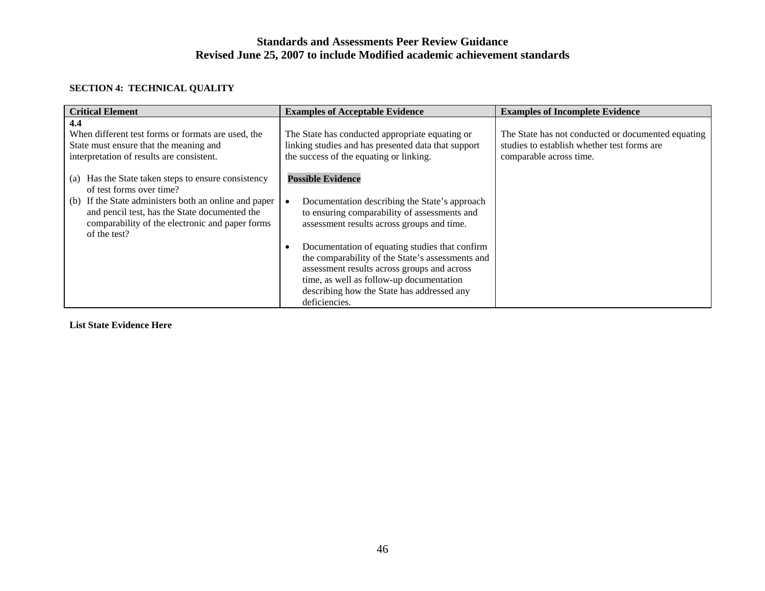## **SECTION 4: TECHNICAL QUALITY**

| <b>Critical Element</b>                                                                                                                                                                                                                                            | <b>Examples of Acceptable Evidence</b><br><b>Examples of Incomplete Evidence</b>                                                                                                                                                                                                                                                                                         |                                                                                                                              |
|--------------------------------------------------------------------------------------------------------------------------------------------------------------------------------------------------------------------------------------------------------------------|--------------------------------------------------------------------------------------------------------------------------------------------------------------------------------------------------------------------------------------------------------------------------------------------------------------------------------------------------------------------------|------------------------------------------------------------------------------------------------------------------------------|
| 4.4<br>When different test forms or formats are used, the<br>State must ensure that the meaning and<br>interpretation of results are consistent.                                                                                                                   | The State has conducted appropriate equating or<br>linking studies and has presented data that support<br>the success of the equating or linking.                                                                                                                                                                                                                        | The State has not conducted or documented equating<br>studies to establish whether test forms are<br>comparable across time. |
| Has the State taken steps to ensure consistency<br>(a)<br>of test forms over time?<br>If the State administers both an online and paper<br>(b)<br>and pencil test, has the State documented the<br>comparability of the electronic and paper forms<br>of the test? | <b>Possible Evidence</b><br>Documentation describing the State's approach<br>to ensuring comparability of assessments and<br>assessment results across groups and time.<br>Documentation of equating studies that confirm<br>the comparability of the State's assessments and<br>assessment results across groups and across<br>time, as well as follow-up documentation |                                                                                                                              |
|                                                                                                                                                                                                                                                                    | describing how the State has addressed any<br>deficiencies.                                                                                                                                                                                                                                                                                                              |                                                                                                                              |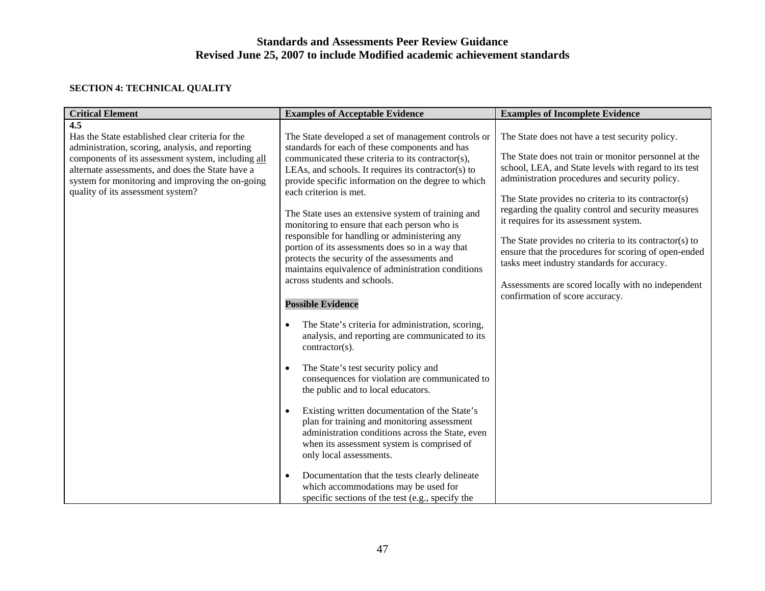## **SECTION 4: TECHNICAL QUALITY**

| <b>Critical Element</b>                                                                                                                                                                                                                                                                                        | <b>Examples of Acceptable Evidence</b>                                                                                                                                                                                                                                                                                                                                                                                                                                                                                                                                                                                                                                                                                                                                                                                                                                                                                                                                                                                                                                                                                                                                                                                                                                                                                                                      | <b>Examples of Incomplete Evidence</b>                                                                                                                                                                                                                                                                                                                                                                                                                                                                                                                                                                                               |
|----------------------------------------------------------------------------------------------------------------------------------------------------------------------------------------------------------------------------------------------------------------------------------------------------------------|-------------------------------------------------------------------------------------------------------------------------------------------------------------------------------------------------------------------------------------------------------------------------------------------------------------------------------------------------------------------------------------------------------------------------------------------------------------------------------------------------------------------------------------------------------------------------------------------------------------------------------------------------------------------------------------------------------------------------------------------------------------------------------------------------------------------------------------------------------------------------------------------------------------------------------------------------------------------------------------------------------------------------------------------------------------------------------------------------------------------------------------------------------------------------------------------------------------------------------------------------------------------------------------------------------------------------------------------------------------|--------------------------------------------------------------------------------------------------------------------------------------------------------------------------------------------------------------------------------------------------------------------------------------------------------------------------------------------------------------------------------------------------------------------------------------------------------------------------------------------------------------------------------------------------------------------------------------------------------------------------------------|
| 4.5<br>Has the State established clear criteria for the<br>administration, scoring, analysis, and reporting<br>components of its assessment system, including all<br>alternate assessments, and does the State have a<br>system for monitoring and improving the on-going<br>quality of its assessment system? | The State developed a set of management controls or<br>standards for each of these components and has<br>communicated these criteria to its contractor(s),<br>LEAs, and schools. It requires its contractor(s) to<br>provide specific information on the degree to which<br>each criterion is met.<br>The State uses an extensive system of training and<br>monitoring to ensure that each person who is<br>responsible for handling or administering any<br>portion of its assessments does so in a way that<br>protects the security of the assessments and<br>maintains equivalence of administration conditions<br>across students and schools.<br><b>Possible Evidence</b><br>The State's criteria for administration, scoring,<br>analysis, and reporting are communicated to its<br>contractor(s).<br>The State's test security policy and<br>$\bullet$<br>consequences for violation are communicated to<br>the public and to local educators.<br>Existing written documentation of the State's<br>$\bullet$<br>plan for training and monitoring assessment<br>administration conditions across the State, even<br>when its assessment system is comprised of<br>only local assessments.<br>Documentation that the tests clearly delineate<br>$\bullet$<br>which accommodations may be used for<br>specific sections of the test (e.g., specify the | The State does not have a test security policy.<br>The State does not train or monitor personnel at the<br>school, LEA, and State levels with regard to its test<br>administration procedures and security policy.<br>The State provides no criteria to its contractor(s)<br>regarding the quality control and security measures<br>it requires for its assessment system.<br>The State provides no criteria to its contractor(s) to<br>ensure that the procedures for scoring of open-ended<br>tasks meet industry standards for accuracy.<br>Assessments are scored locally with no independent<br>confirmation of score accuracy. |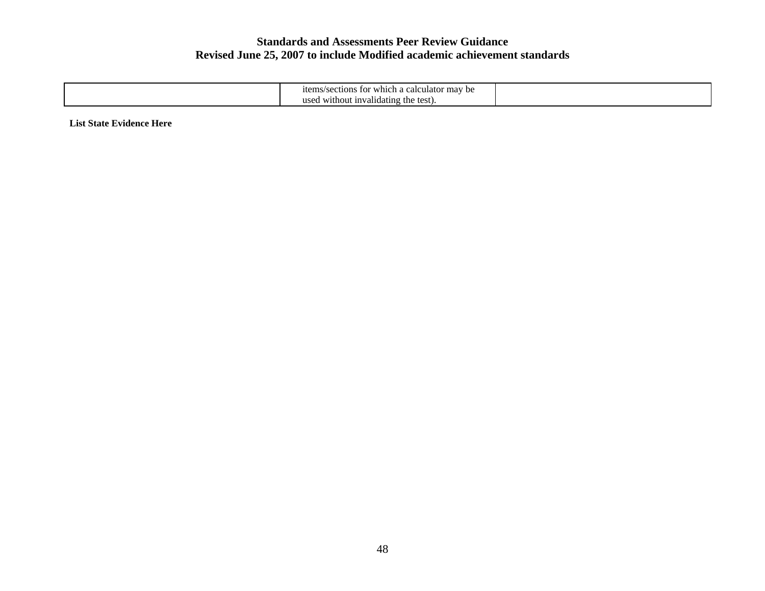| i calculator mav be<br>/section:<br>r which a<br>1tems<br>. for |  |
|-----------------------------------------------------------------|--|
| usec<br>d without invalidating the test).                       |  |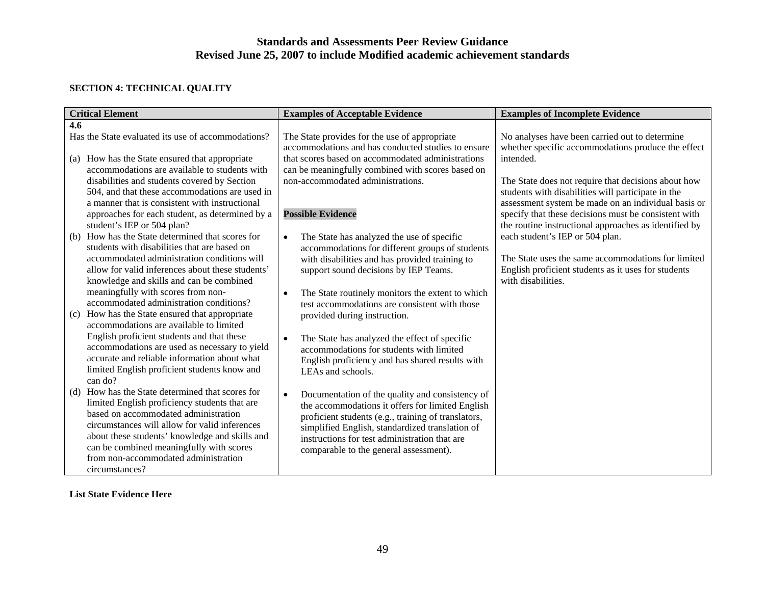## **SECTION 4: TECHNICAL QUALITY**

| <b>Critical Element</b>                             | <b>Examples of Acceptable Evidence</b>                                                              | <b>Examples of Incomplete Evidence</b>                                                               |
|-----------------------------------------------------|-----------------------------------------------------------------------------------------------------|------------------------------------------------------------------------------------------------------|
| 4.6                                                 |                                                                                                     |                                                                                                      |
| Has the State evaluated its use of accommodations?  | The State provides for the use of appropriate<br>accommodations and has conducted studies to ensure | No analyses have been carried out to determine<br>whether specific accommodations produce the effect |
| How has the State ensured that appropriate<br>(a)   | that scores based on accommodated administrations                                                   | intended.                                                                                            |
| accommodations are available to students with       | can be meaningfully combined with scores based on                                                   |                                                                                                      |
| disabilities and students covered by Section        | non-accommodated administrations.                                                                   | The State does not require that decisions about how                                                  |
| 504, and that these accommodations are used in      |                                                                                                     | students with disabilities will participate in the                                                   |
| a manner that is consistent with instructional      |                                                                                                     | assessment system be made on an individual basis or                                                  |
| approaches for each student, as determined by a     | <b>Possible Evidence</b>                                                                            | specify that these decisions must be consistent with                                                 |
| student's IEP or 504 plan?                          |                                                                                                     | the routine instructional approaches as identified by                                                |
| How has the State determined that scores for<br>(b) | The State has analyzed the use of specific<br>$\bullet$                                             | each student's IEP or 504 plan.                                                                      |
| students with disabilities that are based on        | accommodations for different groups of students                                                     |                                                                                                      |
| accommodated administration conditions will         | with disabilities and has provided training to                                                      | The State uses the same accommodations for limited                                                   |
| allow for valid inferences about these students'    | support sound decisions by IEP Teams.                                                               | English proficient students as it uses for students                                                  |
| knowledge and skills and can be combined            |                                                                                                     | with disabilities.                                                                                   |
| meaningfully with scores from non-                  | The State routinely monitors the extent to which<br>$\bullet$                                       |                                                                                                      |
| accommodated administration conditions?             | test accommodations are consistent with those                                                       |                                                                                                      |
| How has the State ensured that appropriate<br>(c)   | provided during instruction.                                                                        |                                                                                                      |
| accommodations are available to limited             |                                                                                                     |                                                                                                      |
| English proficient students and that these          | The State has analyzed the effect of specific<br>$\bullet$                                          |                                                                                                      |
| accommodations are used as necessary to yield       | accommodations for students with limited                                                            |                                                                                                      |
| accurate and reliable information about what        | English proficiency and has shared results with                                                     |                                                                                                      |
| limited English proficient students know and        | LEAs and schools.                                                                                   |                                                                                                      |
| can do?                                             |                                                                                                     |                                                                                                      |
| How has the State determined that scores for<br>(d) | $\bullet$<br>Documentation of the quality and consistency of                                        |                                                                                                      |
| limited English proficiency students that are       | the accommodations it offers for limited English                                                    |                                                                                                      |
| based on accommodated administration                | proficient students (e.g., training of translators,                                                 |                                                                                                      |
| circumstances will allow for valid inferences       | simplified English, standardized translation of                                                     |                                                                                                      |
| about these students' knowledge and skills and      | instructions for test administration that are                                                       |                                                                                                      |
| can be combined meaningfully with scores            | comparable to the general assessment).                                                              |                                                                                                      |
| from non-accommodated administration                |                                                                                                     |                                                                                                      |
| circumstances?                                      |                                                                                                     |                                                                                                      |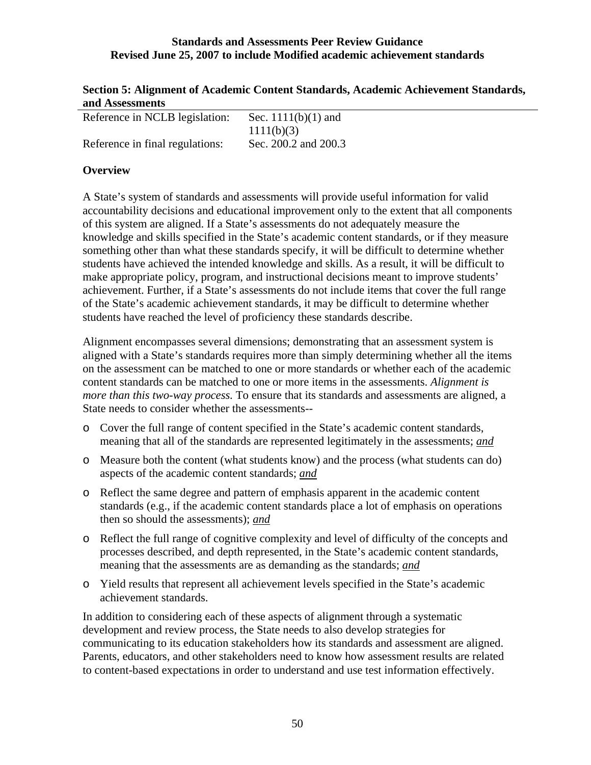| Section 5: Alignment of Academic Content Standards, Academic Achievement Standards, |  |
|-------------------------------------------------------------------------------------|--|
| and Assessments                                                                     |  |

| Reference in NCLB legislation:  | Sec. $1111(b)(1)$ and |
|---------------------------------|-----------------------|
|                                 | 1111(b)(3)            |
| Reference in final regulations: | Sec. 200.2 and 200.3  |

# **Overview**

A State's system of standards and assessments will provide useful information for valid accountability decisions and educational improvement only to the extent that all components of this system are aligned. If a State's assessments do not adequately measure the knowledge and skills specified in the State's academic content standards, or if they measure something other than what these standards specify, it will be difficult to determine whether students have achieved the intended knowledge and skills. As a result, it will be difficult to make appropriate policy, program, and instructional decisions meant to improve students' achievement. Further, if a State's assessments do not include items that cover the full range of the State's academic achievement standards, it may be difficult to determine whether students have reached the level of proficiency these standards describe.

Alignment encompasses several dimensions; demonstrating that an assessment system is aligned with a State's standards requires more than simply determining whether all the items on the assessment can be matched to one or more standards or whether each of the academic content standards can be matched to one or more items in the assessments. *Alignment is more than this two-way process.* To ensure that its standards and assessments are aligned, a State needs to consider whether the assessments--

- o Cover the full range of content specified in the State's academic content standards, meaning that all of the standards are represented legitimately in the assessments; *and*
- o Measure both the content (what students know) and the process (what students can do) aspects of the academic content standards; *and*
- o Reflect the same degree and pattern of emphasis apparent in the academic content standards (e.g., if the academic content standards place a lot of emphasis on operations then so should the assessments); *and*
- o Reflect the full range of cognitive complexity and level of difficulty of the concepts and processes described, and depth represented, in the State's academic content standards, meaning that the assessments are as demanding as the standards; *and*
- o Yield results that represent all achievement levels specified in the State's academic achievement standards.

In addition to considering each of these aspects of alignment through a systematic development and review process, the State needs to also develop strategies for communicating to its education stakeholders how its standards and assessment are aligned. Parents, educators, and other stakeholders need to know how assessment results are related to content-based expectations in order to understand and use test information effectively.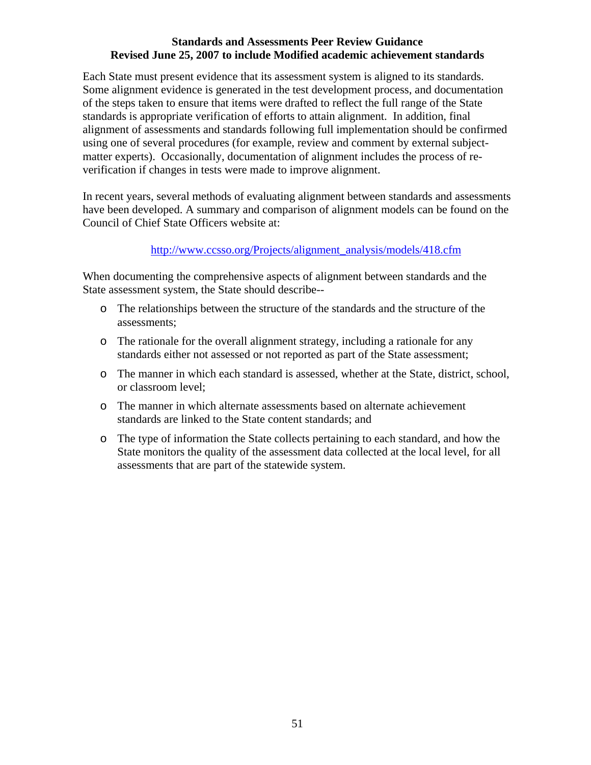Each State must present evidence that its assessment system is aligned to its standards. Some alignment evidence is generated in the test development process, and documentation of the steps taken to ensure that items were drafted to reflect the full range of the State standards is appropriate verification of efforts to attain alignment. In addition, final alignment of assessments and standards following full implementation should be confirmed using one of several procedures (for example, review and comment by external subjectmatter experts). Occasionally, documentation of alignment includes the process of reverification if changes in tests were made to improve alignment.

In recent years, several methods of evaluating alignment between standards and assessments have been developed. A summary and comparison of alignment models can be found on the Council of Chief State Officers website at:

# [http://www.ccsso.org/Projects/alignment\\_analysis/models/418.cfm](http://www.ccsso.org/Projects/alignment_analysis/models/418.cfm)

When documenting the comprehensive aspects of alignment between standards and the State assessment system, the State should describe--

- o The relationships between the structure of the standards and the structure of the assessments;
- o The rationale for the overall alignment strategy, including a rationale for any standards either not assessed or not reported as part of the State assessment;
- o The manner in which each standard is assessed, whether at the State, district, school, or classroom level;
- o The manner in which alternate assessments based on alternate achievement standards are linked to the State content standards; and
- o The type of information the State collects pertaining to each standard, and how the State monitors the quality of the assessment data collected at the local level, for all assessments that are part of the statewide system.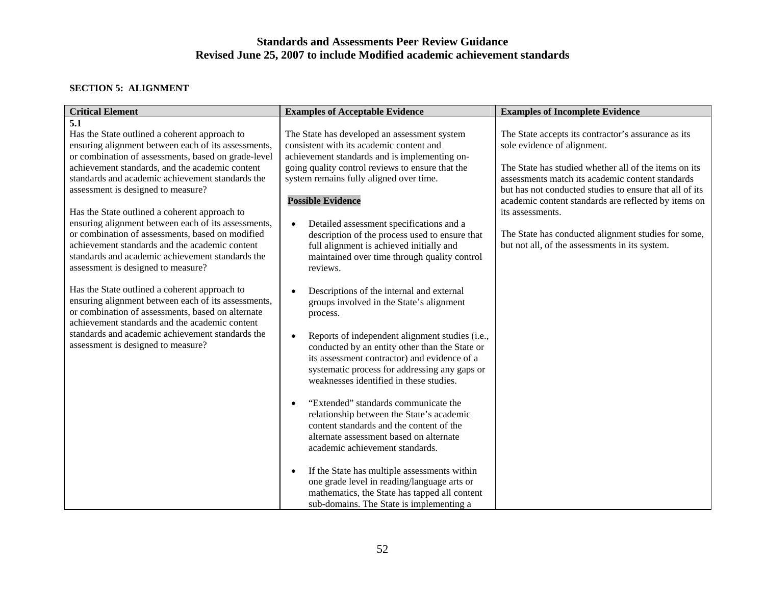#### **SECTION 5: ALIGNMENT**

| <b>Critical Element</b>                                                                                                                                                                                                                                                                                                                                                                                                                                                                                                                                                                                                                                                                                                                                                                                                                                                                                                          | <b>Examples of Acceptable Evidence</b>                                                                                                                                                                                                                                                                                                                                                                                                                                                                                                                                                                                                                                                                                                                                                                                                                                                                                                                                                                                                                                                              | <b>Examples of Incomplete Evidence</b>                                                                                                                                                                                                                                                                                                                                                                                                          |
|----------------------------------------------------------------------------------------------------------------------------------------------------------------------------------------------------------------------------------------------------------------------------------------------------------------------------------------------------------------------------------------------------------------------------------------------------------------------------------------------------------------------------------------------------------------------------------------------------------------------------------------------------------------------------------------------------------------------------------------------------------------------------------------------------------------------------------------------------------------------------------------------------------------------------------|-----------------------------------------------------------------------------------------------------------------------------------------------------------------------------------------------------------------------------------------------------------------------------------------------------------------------------------------------------------------------------------------------------------------------------------------------------------------------------------------------------------------------------------------------------------------------------------------------------------------------------------------------------------------------------------------------------------------------------------------------------------------------------------------------------------------------------------------------------------------------------------------------------------------------------------------------------------------------------------------------------------------------------------------------------------------------------------------------------|-------------------------------------------------------------------------------------------------------------------------------------------------------------------------------------------------------------------------------------------------------------------------------------------------------------------------------------------------------------------------------------------------------------------------------------------------|
| 5.1<br>Has the State outlined a coherent approach to<br>ensuring alignment between each of its assessments,<br>or combination of assessments, based on grade-level<br>achievement standards, and the academic content<br>standards and academic achievement standards the<br>assessment is designed to measure?<br>Has the State outlined a coherent approach to<br>ensuring alignment between each of its assessments,<br>or combination of assessments, based on modified<br>achievement standards and the academic content<br>standards and academic achievement standards the<br>assessment is designed to measure?<br>Has the State outlined a coherent approach to<br>ensuring alignment between each of its assessments,<br>or combination of assessments, based on alternate<br>achievement standards and the academic content<br>standards and academic achievement standards the<br>assessment is designed to measure? | The State has developed an assessment system<br>consistent with its academic content and<br>achievement standards and is implementing on-<br>going quality control reviews to ensure that the<br>system remains fully aligned over time.<br><b>Possible Evidence</b><br>Detailed assessment specifications and a<br>$\bullet$<br>description of the process used to ensure that<br>full alignment is achieved initially and<br>maintained over time through quality control<br>reviews.<br>Descriptions of the internal and external<br>$\bullet$<br>groups involved in the State's alignment<br>process.<br>Reports of independent alignment studies (i.e.,<br>$\bullet$<br>conducted by an entity other than the State or<br>its assessment contractor) and evidence of a<br>systematic process for addressing any gaps or<br>weaknesses identified in these studies.<br>"Extended" standards communicate the<br>$\bullet$<br>relationship between the State's academic<br>content standards and the content of the<br>alternate assessment based on alternate<br>academic achievement standards. | The State accepts its contractor's assurance as its<br>sole evidence of alignment.<br>The State has studied whether all of the items on its<br>assessments match its academic content standards<br>but has not conducted studies to ensure that all of its<br>academic content standards are reflected by items on<br>its assessments.<br>The State has conducted alignment studies for some,<br>but not all, of the assessments in its system. |
|                                                                                                                                                                                                                                                                                                                                                                                                                                                                                                                                                                                                                                                                                                                                                                                                                                                                                                                                  | If the State has multiple assessments within<br>$\bullet$<br>one grade level in reading/language arts or<br>mathematics, the State has tapped all content<br>sub-domains. The State is implementing a                                                                                                                                                                                                                                                                                                                                                                                                                                                                                                                                                                                                                                                                                                                                                                                                                                                                                               |                                                                                                                                                                                                                                                                                                                                                                                                                                                 |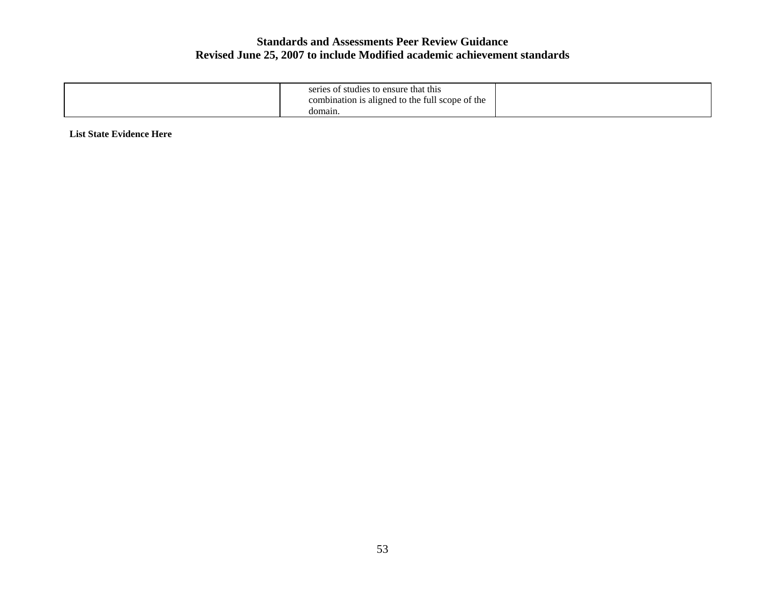| series of studies to ensure that this<br>combination is aligned to the full scope of the |  |
|------------------------------------------------------------------------------------------|--|
| c<br>domain.                                                                             |  |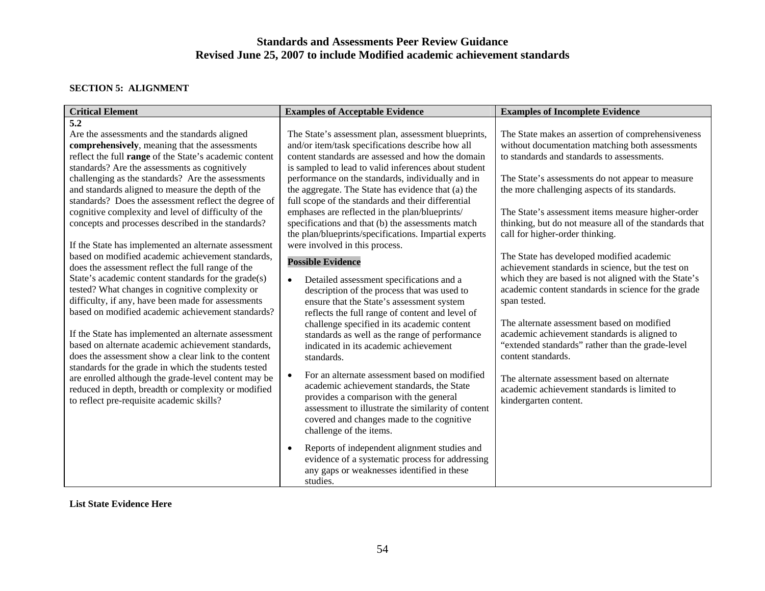#### **SECTION 5: ALIGNMENT**

| <b>Critical Element</b>                                                                                                                                                                                           | <b>Examples of Acceptable Evidence</b>                                                                                                                                                                                                                                          | <b>Examples of Incomplete Evidence</b>                                                                                                                               |
|-------------------------------------------------------------------------------------------------------------------------------------------------------------------------------------------------------------------|---------------------------------------------------------------------------------------------------------------------------------------------------------------------------------------------------------------------------------------------------------------------------------|----------------------------------------------------------------------------------------------------------------------------------------------------------------------|
| $\overline{5.2}$<br>Are the assessments and the standards aligned                                                                                                                                                 | The State's assessment plan, assessment blueprints,                                                                                                                                                                                                                             | The State makes an assertion of comprehensiveness                                                                                                                    |
| comprehensively, meaning that the assessments<br>reflect the full range of the State's academic content<br>standards? Are the assessments as cognitively                                                          | and/or item/task specifications describe how all<br>content standards are assessed and how the domain<br>is sampled to lead to valid inferences about student                                                                                                                   | without documentation matching both assessments<br>to standards and standards to assessments.                                                                        |
| challenging as the standards? Are the assessments<br>and standards aligned to measure the depth of the<br>standards? Does the assessment reflect the degree of                                                    | performance on the standards, individually and in<br>the aggregate. The State has evidence that (a) the<br>full scope of the standards and their differential                                                                                                                   | The State's assessments do not appear to measure<br>the more challenging aspects of its standards.                                                                   |
| cognitive complexity and level of difficulty of the<br>concepts and processes described in the standards?                                                                                                         | emphases are reflected in the plan/blueprints/<br>specifications and that (b) the assessments match<br>the plan/blueprints/specifications. Impartial experts                                                                                                                    | The State's assessment items measure higher-order<br>thinking, but do not measure all of the standards that<br>call for higher-order thinking.                       |
| If the State has implemented an alternate assessment<br>based on modified academic achievement standards.<br>does the assessment reflect the full range of the                                                    | were involved in this process.<br><b>Possible Evidence</b>                                                                                                                                                                                                                      | The State has developed modified academic<br>achievement standards in science, but the test on                                                                       |
| State's academic content standards for the grade(s)<br>tested? What changes in cognitive complexity or<br>difficulty, if any, have been made for assessments<br>based on modified academic achievement standards? | Detailed assessment specifications and a<br>$\bullet$<br>description of the process that was used to<br>ensure that the State's assessment system<br>reflects the full range of content and level of                                                                            | which they are based is not aligned with the State's<br>academic content standards in science for the grade<br>span tested.                                          |
| If the State has implemented an alternate assessment<br>based on alternate academic achievement standards,<br>does the assessment show a clear link to the content                                                | challenge specified in its academic content<br>standards as well as the range of performance<br>indicated in its academic achievement<br>standards.                                                                                                                             | The alternate assessment based on modified<br>academic achievement standards is aligned to<br>"extended standards" rather than the grade-level<br>content standards. |
| standards for the grade in which the students tested<br>are enrolled although the grade-level content may be<br>reduced in depth, breadth or complexity or modified<br>to reflect pre-requisite academic skills?  | For an alternate assessment based on modified<br>$\bullet$<br>academic achievement standards, the State<br>provides a comparison with the general<br>assessment to illustrate the similarity of content<br>covered and changes made to the cognitive<br>challenge of the items. | The alternate assessment based on alternate<br>academic achievement standards is limited to<br>kindergarten content.                                                 |
|                                                                                                                                                                                                                   | Reports of independent alignment studies and<br>$\bullet$<br>evidence of a systematic process for addressing<br>any gaps or weaknesses identified in these<br>studies.                                                                                                          |                                                                                                                                                                      |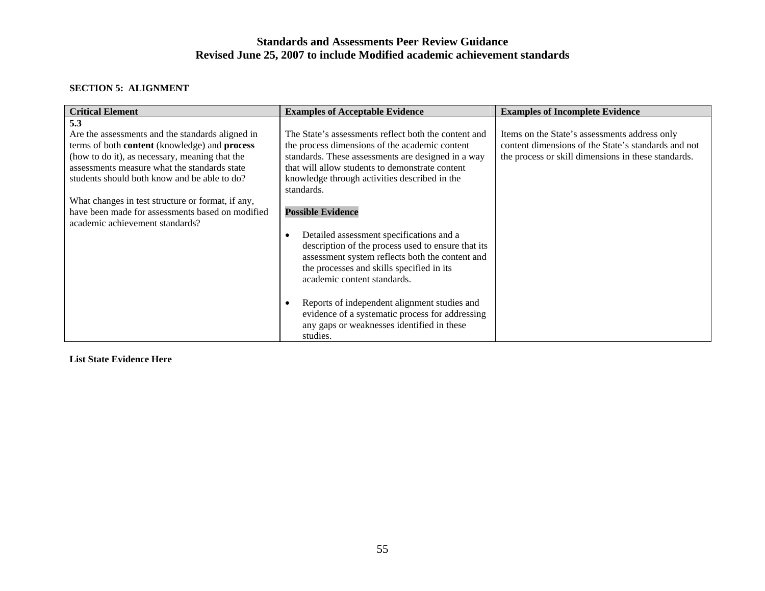#### **SECTION 5: ALIGNMENT**

| <b>Critical Element</b>                           | <b>Examples of Acceptable Evidence</b>               | <b>Examples of Incomplete Evidence</b>              |
|---------------------------------------------------|------------------------------------------------------|-----------------------------------------------------|
| 5.3                                               |                                                      |                                                     |
| Are the assessments and the standards aligned in  | The State's assessments reflect both the content and | Items on the State's assessments address only       |
| terms of both content (knowledge) and process     | the process dimensions of the academic content       | content dimensions of the State's standards and not |
| (how to do it), as necessary, meaning that the    | standards. These assessments are designed in a way   | the process or skill dimensions in these standards. |
| assessments measure what the standards state      | that will allow students to demonstrate content      |                                                     |
| students should both know and be able to do?      | knowledge through activities described in the        |                                                     |
|                                                   | standards.                                           |                                                     |
| What changes in test structure or format, if any, |                                                      |                                                     |
| have been made for assessments based on modified  | <b>Possible Evidence</b>                             |                                                     |
| academic achievement standards?                   |                                                      |                                                     |
|                                                   | Detailed assessment specifications and a             |                                                     |
|                                                   | description of the process used to ensure that its   |                                                     |
|                                                   | assessment system reflects both the content and      |                                                     |
|                                                   | the processes and skills specified in its            |                                                     |
|                                                   | academic content standards.                          |                                                     |
|                                                   |                                                      |                                                     |
|                                                   | Reports of independent alignment studies and         |                                                     |
|                                                   | evidence of a systematic process for addressing      |                                                     |
|                                                   | any gaps or weaknesses identified in these           |                                                     |
|                                                   | studies.                                             |                                                     |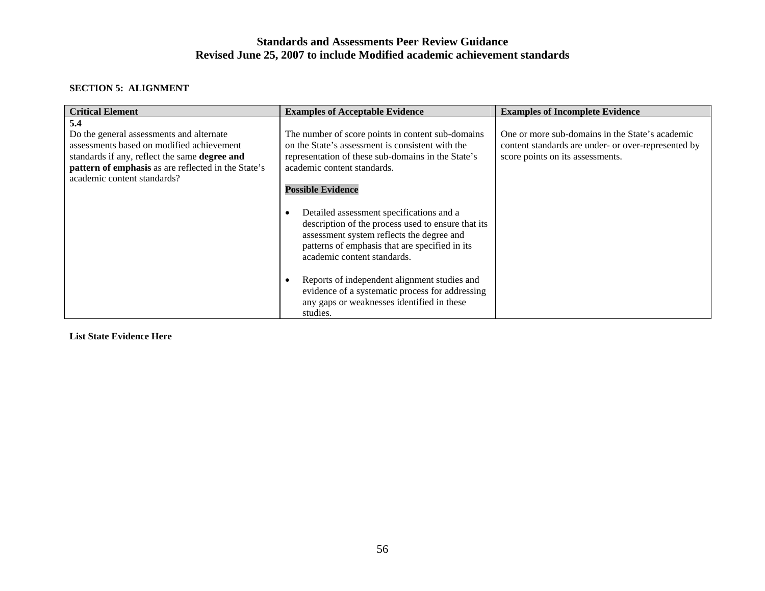#### **SECTION 5: ALIGNMENT**

| <b>Critical Element</b>                                                                                                                                                                                                                           | <b>Examples of Acceptable Evidence</b>                                                                                                                                                                                       | <b>Examples of Incomplete Evidence</b>                                                                                                     |
|---------------------------------------------------------------------------------------------------------------------------------------------------------------------------------------------------------------------------------------------------|------------------------------------------------------------------------------------------------------------------------------------------------------------------------------------------------------------------------------|--------------------------------------------------------------------------------------------------------------------------------------------|
| 5.4<br>Do the general assessments and alternate<br>assessments based on modified achievement<br>standards if any, reflect the same <b>degree and</b><br><b>pattern of emphasis</b> as are reflected in the State's<br>academic content standards? | The number of score points in content sub-domains<br>on the State's assessment is consistent with the<br>representation of these sub-domains in the State's<br>academic content standards.<br><b>Possible Evidence</b>       | One or more sub-domains in the State's academic<br>content standards are under- or over-represented by<br>score points on its assessments. |
|                                                                                                                                                                                                                                                   | Detailed assessment specifications and a<br>description of the process used to ensure that its<br>assessment system reflects the degree and<br>patterns of emphasis that are specified in its<br>academic content standards. |                                                                                                                                            |
|                                                                                                                                                                                                                                                   | Reports of independent alignment studies and<br>evidence of a systematic process for addressing<br>any gaps or weaknesses identified in these<br>studies.                                                                    |                                                                                                                                            |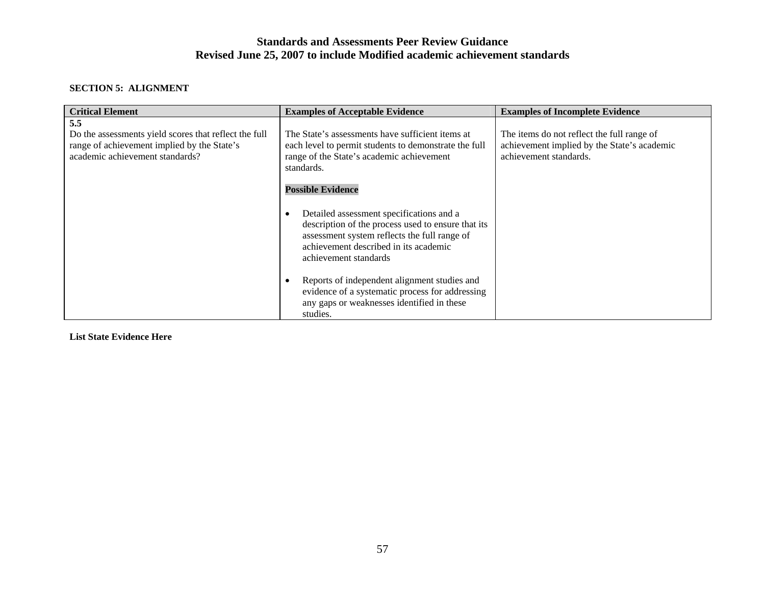#### **SECTION 5: ALIGNMENT**

| <b>Critical Element</b>                                                                                                                        | <b>Examples of Acceptable Evidence</b>                                                                                                                                                                                        | <b>Examples of Incomplete Evidence</b>                                                                              |
|------------------------------------------------------------------------------------------------------------------------------------------------|-------------------------------------------------------------------------------------------------------------------------------------------------------------------------------------------------------------------------------|---------------------------------------------------------------------------------------------------------------------|
| 5.5<br>Do the assessments yield scores that reflect the full<br>range of achievement implied by the State's<br>academic achievement standards? | The State's assessments have sufficient items at<br>each level to permit students to demonstrate the full<br>range of the State's academic achievement<br>standards.<br><b>Possible Evidence</b>                              | The items do not reflect the full range of<br>achievement implied by the State's academic<br>achievement standards. |
|                                                                                                                                                | Detailed assessment specifications and a<br>$\bullet$<br>description of the process used to ensure that its<br>assessment system reflects the full range of<br>achievement described in its academic<br>achievement standards |                                                                                                                     |
|                                                                                                                                                | Reports of independent alignment studies and<br>evidence of a systematic process for addressing<br>any gaps or weaknesses identified in these<br>studies.                                                                     |                                                                                                                     |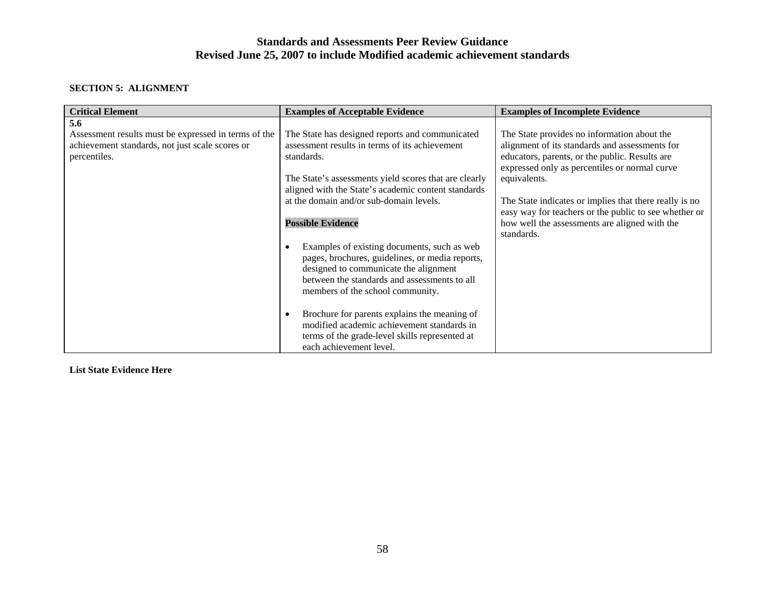#### **SECTION 5: ALIGNMENT**

| <b>Critical Element</b>                                                                                                        | <b>Examples of Acceptable Evidence</b>                                                                                                                                                                                      | <b>Examples of Incomplete Evidence</b>                                                                                                                           |
|--------------------------------------------------------------------------------------------------------------------------------|-----------------------------------------------------------------------------------------------------------------------------------------------------------------------------------------------------------------------------|------------------------------------------------------------------------------------------------------------------------------------------------------------------|
| 5.6<br>Assessment results must be expressed in terms of the<br>achievement standards, not just scale scores or<br>percentiles. | The State has designed reports and communicated<br>assessment results in terms of its achievement<br>standards.                                                                                                             | The State provides no information about the<br>alignment of its standards and assessments for<br>educators, parents, or the public. Results are                  |
|                                                                                                                                | The State's assessments yield scores that are clearly<br>aligned with the State's academic content standards                                                                                                                | expressed only as percentiles or normal curve<br>equivalents.                                                                                                    |
|                                                                                                                                | at the domain and/or sub-domain levels.<br><b>Possible Evidence</b>                                                                                                                                                         | The State indicates or implies that there really is no<br>easy way for teachers or the public to see whether or<br>how well the assessments are aligned with the |
|                                                                                                                                | Examples of existing documents, such as web<br>pages, brochures, guidelines, or media reports,<br>designed to communicate the alignment<br>between the standards and assessments to all<br>members of the school community. | standards.                                                                                                                                                       |
|                                                                                                                                | Brochure for parents explains the meaning of<br>modified academic achievement standards in<br>terms of the grade-level skills represented at<br>each achievement level.                                                     |                                                                                                                                                                  |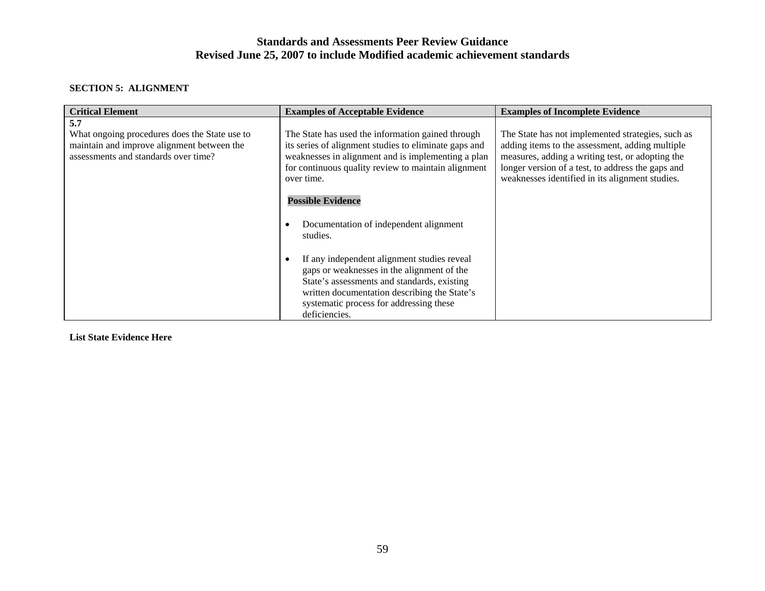#### **SECTION 5: ALIGNMENT**

| <b>Critical Element</b>                                                                                                                    | <b>Examples of Acceptable Evidence</b>                                                                                                                                                                                                               | <b>Examples of Incomplete Evidence</b>                                                                                                                                                                                                                           |
|--------------------------------------------------------------------------------------------------------------------------------------------|------------------------------------------------------------------------------------------------------------------------------------------------------------------------------------------------------------------------------------------------------|------------------------------------------------------------------------------------------------------------------------------------------------------------------------------------------------------------------------------------------------------------------|
| 5.7<br>What ongoing procedures does the State use to<br>maintain and improve alignment between the<br>assessments and standards over time? | The State has used the information gained through<br>its series of alignment studies to eliminate gaps and<br>weaknesses in alignment and is implementing a plan<br>for continuous quality review to maintain alignment<br>over time.                | The State has not implemented strategies, such as<br>adding items to the assessment, adding multiple<br>measures, adding a writing test, or adopting the<br>longer version of a test, to address the gaps and<br>weaknesses identified in its alignment studies. |
|                                                                                                                                            | <b>Possible Evidence</b><br>Documentation of independent alignment<br>studies.                                                                                                                                                                       |                                                                                                                                                                                                                                                                  |
|                                                                                                                                            | If any independent alignment studies reveal<br>gaps or weaknesses in the alignment of the<br>State's assessments and standards, existing<br>written documentation describing the State's<br>systematic process for addressing these<br>deficiencies. |                                                                                                                                                                                                                                                                  |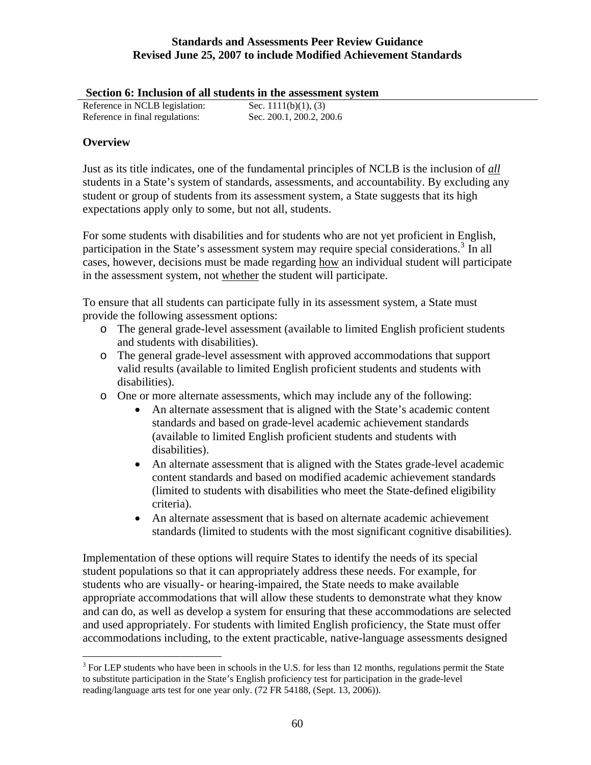<span id="page-62-0"></span>

|  | Section 6: Inclusion of all students in the assessment system |
|--|---------------------------------------------------------------|
|  |                                                               |

|                                 | Decubil vi microsión of an stauchos in the assessment t |
|---------------------------------|---------------------------------------------------------|
| Reference in NCLB legislation:  | Sec. $1111(b)(1)$ , (3)                                 |
| Reference in final regulations: | Sec. 200.1, 200.2, 200.6                                |

## **Overview**

 $\overline{a}$ 

Just as its title indicates, one of the fundamental principles of NCLB is the inclusion of *all* students in a State's system of standards, assessments, and accountability. By excluding any student or group of students from its assessment system, a State suggests that its high expectations apply only to some, but not all, students.

For some students with disabilities and for students who are not yet proficient in English, participation in the State's assessment system may require special considerations.<sup>[3](#page-62-0)</sup> In all cases, however, decisions must be made regarding how an individual student will participate in the assessment system, not whether the student will participate.

To ensure that all students can participate fully in its assessment system, a State must provide the following assessment options:

- o The general grade-level assessment (available to limited English proficient students and students with disabilities).
- o The general grade-level assessment with approved accommodations that support valid results (available to limited English proficient students and students with disabilities).
- o One or more alternate assessments, which may include any of the following:
	- An alternate assessment that is aligned with the State's academic content standards and based on grade-level academic achievement standards (available to limited English proficient students and students with disabilities).
	- An alternate assessment that is aligned with the States grade-level academic content standards and based on modified academic achievement standards (limited to students with disabilities who meet the State-defined eligibility criteria).
	- An alternate assessment that is based on alternate academic achievement standards (limited to students with the most significant cognitive disabilities).

Implementation of these options will require States to identify the needs of its special student populations so that it can appropriately address these needs. For example, for students who are visually- or hearing-impaired, the State needs to make available appropriate accommodations that will allow these students to demonstrate what they know and can do, as well as develop a system for ensuring that these accommodations are selected and used appropriately. For students with limited English proficiency, the State must offer accommodations including, to the extent practicable, native-language assessments designed

 $3$  For LEP students who have been in schools in the U.S. for less than 12 months, regulations permit the State to substitute participation in the State's English proficiency test for participation in the grade-level reading/language arts test for one year only. (72 FR 54188, (Sept. 13, 2006)).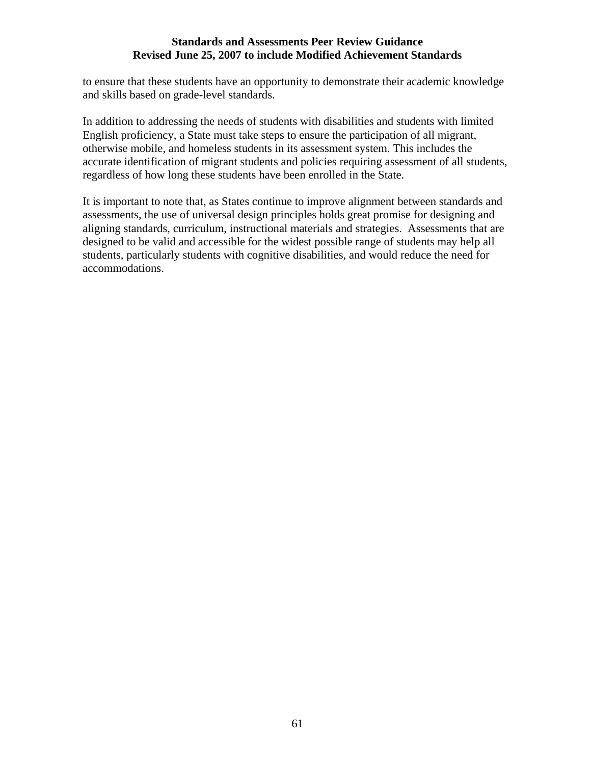to ensure that these students have an opportunity to demonstrate their academic knowledge and skills based on grade-level standards.

In addition to addressing the needs of students with disabilities and students with limited English proficiency, a State must take steps to ensure the participation of all migrant, otherwise mobile, and homeless students in its assessment system. This includes the accurate identification of migrant students and policies requiring assessment of all students, regardless of how long these students have been enrolled in the State.

It is important to note that, as States continue to improve alignment between standards and assessments, the use of universal design principles holds great promise for designing and aligning standards, curriculum, instructional materials and strategies. Assessments that are designed to be valid and accessible for the widest possible range of students may help all students, particularly students with cognitive disabilities, and would reduce the need for accommodations.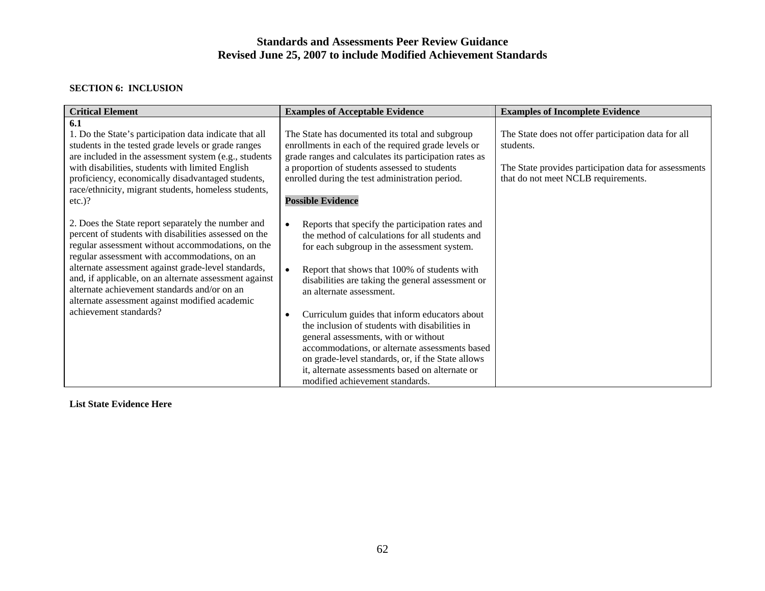#### **SECTION 6: INCLUSION**

| <b>Critical Element</b>                                                                                                                                                                                                                                                                                                                                                                                                                                        | <b>Examples of Acceptable Evidence</b>                                                                                                                                                                                                                                                                                                                                                                                                                                                                                                                                                                                                                             | <b>Examples of Incomplete Evidence</b>                                                                                                                           |
|----------------------------------------------------------------------------------------------------------------------------------------------------------------------------------------------------------------------------------------------------------------------------------------------------------------------------------------------------------------------------------------------------------------------------------------------------------------|--------------------------------------------------------------------------------------------------------------------------------------------------------------------------------------------------------------------------------------------------------------------------------------------------------------------------------------------------------------------------------------------------------------------------------------------------------------------------------------------------------------------------------------------------------------------------------------------------------------------------------------------------------------------|------------------------------------------------------------------------------------------------------------------------------------------------------------------|
| 6.1<br>1. Do the State's participation data indicate that all<br>students in the tested grade levels or grade ranges<br>are included in the assessment system (e.g., students<br>with disabilities, students with limited English<br>proficiency, economically disadvantaged students,<br>race/ethnicity, migrant students, homeless students,<br>$etc.$ )?                                                                                                    | The State has documented its total and subgroup<br>enrollments in each of the required grade levels or<br>grade ranges and calculates its participation rates as<br>a proportion of students assessed to students<br>enrolled during the test administration period.<br><b>Possible Evidence</b>                                                                                                                                                                                                                                                                                                                                                                   | The State does not offer participation data for all<br>students.<br>The State provides participation data for assessments<br>that do not meet NCLB requirements. |
| 2. Does the State report separately the number and<br>percent of students with disabilities assessed on the<br>regular assessment without accommodations, on the<br>regular assessment with accommodations, on an<br>alternate assessment against grade-level standards,<br>and, if applicable, on an alternate assessment against<br>alternate achievement standards and/or on an<br>alternate assessment against modified academic<br>achievement standards? | Reports that specify the participation rates and<br>$\bullet$<br>the method of calculations for all students and<br>for each subgroup in the assessment system.<br>Report that shows that 100% of students with<br>$\bullet$<br>disabilities are taking the general assessment or<br>an alternate assessment.<br>Curriculum guides that inform educators about<br>$\bullet$<br>the inclusion of students with disabilities in<br>general assessments, with or without<br>accommodations, or alternate assessments based<br>on grade-level standards, or, if the State allows<br>it, alternate assessments based on alternate or<br>modified achievement standards. |                                                                                                                                                                  |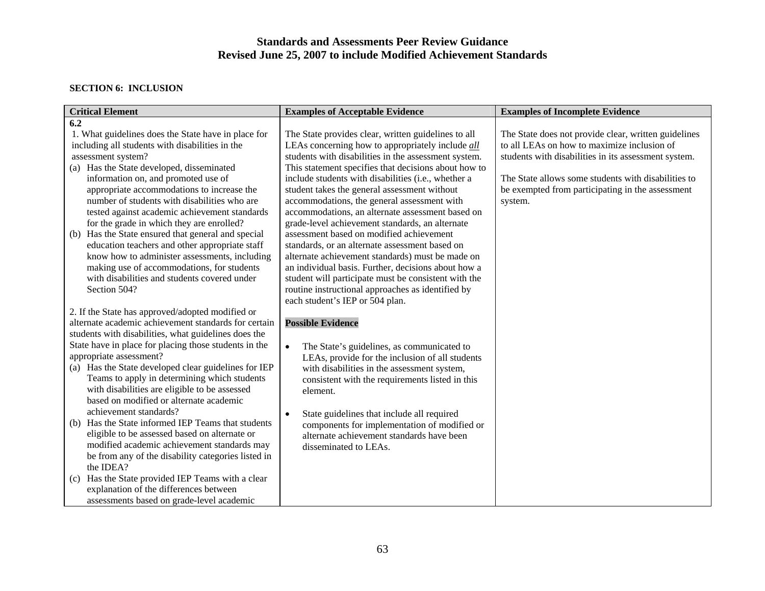#### **SECTION 6: INCLUSION**

| <b>Critical Element</b>                                                                                                                                                                                                                                                                                                                                                                                                                                                                                                                                                                                                                                                                                                                                                                                                                                       | <b>Examples of Acceptable Evidence</b>                                                                                                                                                                                                                                                                                                                                                                                                                                                                                                                                                                                                                                                                                                                                                                                                               | <b>Examples of Incomplete Evidence</b>                                                                                                                                                                                                                                            |
|---------------------------------------------------------------------------------------------------------------------------------------------------------------------------------------------------------------------------------------------------------------------------------------------------------------------------------------------------------------------------------------------------------------------------------------------------------------------------------------------------------------------------------------------------------------------------------------------------------------------------------------------------------------------------------------------------------------------------------------------------------------------------------------------------------------------------------------------------------------|------------------------------------------------------------------------------------------------------------------------------------------------------------------------------------------------------------------------------------------------------------------------------------------------------------------------------------------------------------------------------------------------------------------------------------------------------------------------------------------------------------------------------------------------------------------------------------------------------------------------------------------------------------------------------------------------------------------------------------------------------------------------------------------------------------------------------------------------------|-----------------------------------------------------------------------------------------------------------------------------------------------------------------------------------------------------------------------------------------------------------------------------------|
| 6.2                                                                                                                                                                                                                                                                                                                                                                                                                                                                                                                                                                                                                                                                                                                                                                                                                                                           |                                                                                                                                                                                                                                                                                                                                                                                                                                                                                                                                                                                                                                                                                                                                                                                                                                                      |                                                                                                                                                                                                                                                                                   |
| 1. What guidelines does the State have in place for<br>including all students with disabilities in the<br>assessment system?<br>(a) Has the State developed, disseminated<br>information on, and promoted use of<br>appropriate accommodations to increase the<br>number of students with disabilities who are<br>tested against academic achievement standards<br>for the grade in which they are enrolled?<br>Has the State ensured that general and special<br>(b)<br>education teachers and other appropriate staff<br>know how to administer assessments, including<br>making use of accommodations, for students<br>with disabilities and students covered under<br>Section 504?                                                                                                                                                                        | The State provides clear, written guidelines to all<br>LEAs concerning how to appropriately include <i>all</i><br>students with disabilities in the assessment system.<br>This statement specifies that decisions about how to<br>include students with disabilities (i.e., whether a<br>student takes the general assessment without<br>accommodations, the general assessment with<br>accommodations, an alternate assessment based on<br>grade-level achievement standards, an alternate<br>assessment based on modified achievement<br>standards, or an alternate assessment based on<br>alternate achievement standards) must be made on<br>an individual basis. Further, decisions about how a<br>student will participate must be consistent with the<br>routine instructional approaches as identified by<br>each student's IEP or 504 plan. | The State does not provide clear, written guidelines<br>to all LEAs on how to maximize inclusion of<br>students with disabilities in its assessment system.<br>The State allows some students with disabilities to<br>be exempted from participating in the assessment<br>system. |
| 2. If the State has approved/adopted modified or<br>alternate academic achievement standards for certain<br>students with disabilities, what guidelines does the<br>State have in place for placing those students in the<br>appropriate assessment?<br>(a) Has the State developed clear guidelines for IEP<br>Teams to apply in determining which students<br>with disabilities are eligible to be assessed<br>based on modified or alternate academic<br>achievement standards?<br>Has the State informed IEP Teams that students<br>(b)<br>eligible to be assessed based on alternate or<br>modified academic achievement standards may<br>be from any of the disability categories listed in<br>the IDEA?<br>Has the State provided IEP Teams with a clear<br>(c)<br>explanation of the differences between<br>assessments based on grade-level academic | <b>Possible Evidence</b><br>The State's guidelines, as communicated to<br>$\bullet$<br>LEAs, provide for the inclusion of all students<br>with disabilities in the assessment system,<br>consistent with the requirements listed in this<br>element.<br>State guidelines that include all required<br>components for implementation of modified or<br>alternate achievement standards have been<br>disseminated to LEAs.                                                                                                                                                                                                                                                                                                                                                                                                                             |                                                                                                                                                                                                                                                                                   |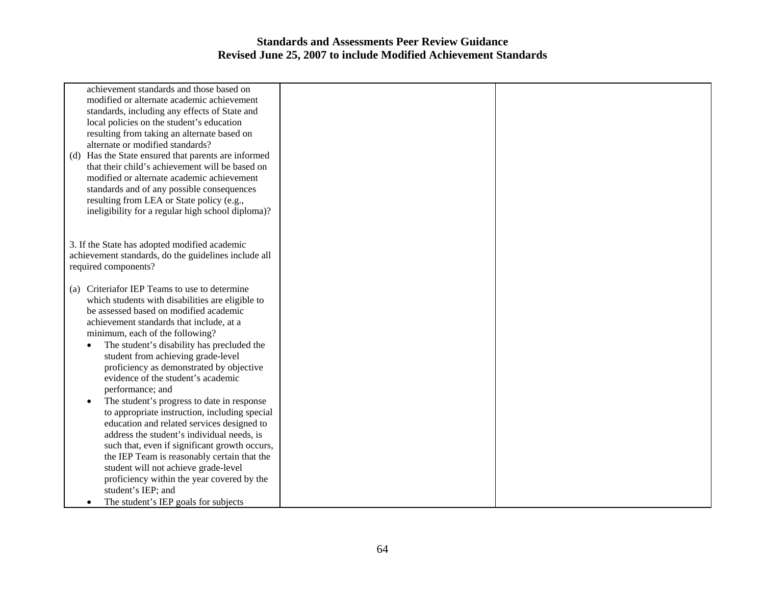| achievement standards and those based on<br>modified or alternate academic achievement<br>standards, including any effects of State and<br>local policies on the student's education<br>resulting from taking an alternate based on<br>alternate or modified standards?<br>Has the State ensured that parents are informed<br>(d)<br>that their child's achievement will be based on<br>modified or alternate academic achievement<br>standards and of any possible consequences<br>resulting from LEA or State policy (e.g.,<br>ineligibility for a regular high school diploma)?                                                                                                                                                                                                                                                                                  |  |
|---------------------------------------------------------------------------------------------------------------------------------------------------------------------------------------------------------------------------------------------------------------------------------------------------------------------------------------------------------------------------------------------------------------------------------------------------------------------------------------------------------------------------------------------------------------------------------------------------------------------------------------------------------------------------------------------------------------------------------------------------------------------------------------------------------------------------------------------------------------------|--|
| 3. If the State has adopted modified academic<br>achievement standards, do the guidelines include all<br>required components?                                                                                                                                                                                                                                                                                                                                                                                                                                                                                                                                                                                                                                                                                                                                       |  |
| (a) Criteriafor IEP Teams to use to determine<br>which students with disabilities are eligible to<br>be assessed based on modified academic<br>achievement standards that include, at a<br>minimum, each of the following?<br>The student's disability has precluded the<br>student from achieving grade-level<br>proficiency as demonstrated by objective<br>evidence of the student's academic<br>performance; and<br>The student's progress to date in response<br>to appropriate instruction, including special<br>education and related services designed to<br>address the student's individual needs, is<br>such that, even if significant growth occurs,<br>the IEP Team is reasonably certain that the<br>student will not achieve grade-level<br>proficiency within the year covered by the<br>student's IEP; and<br>The student's IEP goals for subjects |  |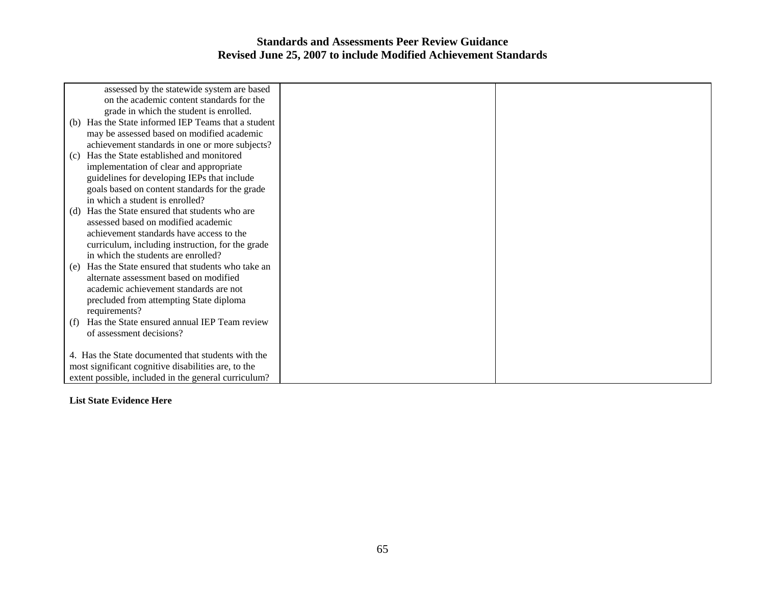| assessed by the statewide system are based             |  |
|--------------------------------------------------------|--|
| on the academic content standards for the              |  |
| grade in which the student is enrolled.                |  |
| (b) Has the State informed IEP Teams that a student    |  |
| may be assessed based on modified academic             |  |
| achievement standards in one or more subjects?         |  |
| Has the State established and monitored<br>(c)         |  |
| implementation of clear and appropriate                |  |
| guidelines for developing IEPs that include            |  |
| goals based on content standards for the grade         |  |
| in which a student is enrolled?                        |  |
| Has the State ensured that students who are<br>(d)     |  |
| assessed based on modified academic                    |  |
| achievement standards have access to the               |  |
| curriculum, including instruction, for the grade       |  |
| in which the students are enrolled?                    |  |
| Has the State ensured that students who take an<br>(e) |  |
| alternate assessment based on modified                 |  |
| academic achievement standards are not                 |  |
| precluded from attempting State diploma                |  |
| requirements?                                          |  |
| Has the State ensured annual IEP Team review<br>(f)    |  |
| of assessment decisions?                               |  |
|                                                        |  |
| 4. Has the State documented that students with the     |  |
| most significant cognitive disabilities are, to the    |  |
| extent possible, included in the general curriculum?   |  |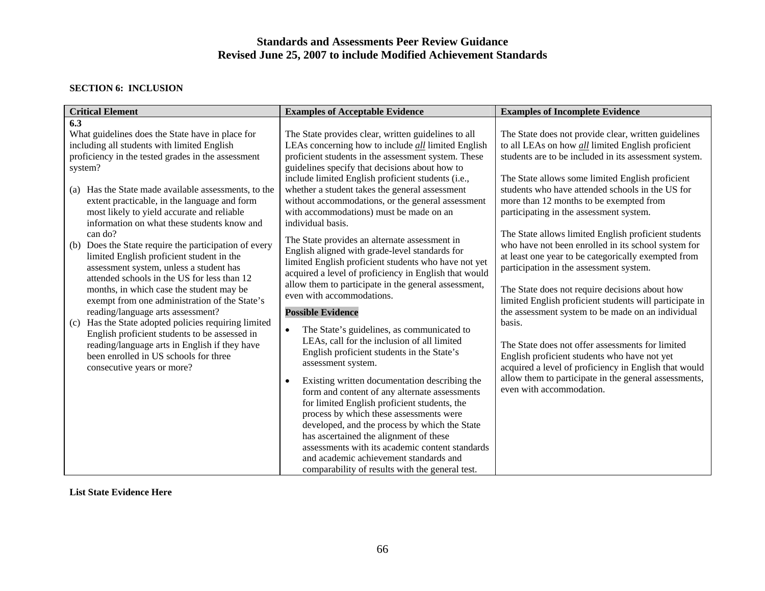#### **SECTION 6: INCLUSION**

| <b>Critical Element</b>                                                                                                                                                                                    | <b>Examples of Acceptable Evidence</b>                                                                                                                                                                                    | <b>Examples of Incomplete Evidence</b>                                                                                                                                                                        |
|------------------------------------------------------------------------------------------------------------------------------------------------------------------------------------------------------------|---------------------------------------------------------------------------------------------------------------------------------------------------------------------------------------------------------------------------|---------------------------------------------------------------------------------------------------------------------------------------------------------------------------------------------------------------|
| 6.3                                                                                                                                                                                                        |                                                                                                                                                                                                                           |                                                                                                                                                                                                               |
| What guidelines does the State have in place for<br>including all students with limited English<br>proficiency in the tested grades in the assessment<br>system?                                           | The State provides clear, written guidelines to all<br>LEAs concerning how to include <i>all</i> limited English<br>proficient students in the assessment system. These<br>guidelines specify that decisions about how to | The State does not provide clear, written guidelines<br>to all LEAs on how <i>all</i> limited English proficient<br>students are to be included in its assessment system.                                     |
| Has the State made available assessments, to the<br>(a)<br>extent practicable, in the language and form<br>most likely to yield accurate and reliable<br>information on what these students know and       | include limited English proficient students (i.e.,<br>whether a student takes the general assessment<br>without accommodations, or the general assessment<br>with accommodations) must be made on an<br>individual basis. | The State allows some limited English proficient<br>students who have attended schools in the US for<br>more than 12 months to be exempted from<br>participating in the assessment system.                    |
| can do?<br>Does the State require the participation of every<br>(b)<br>limited English proficient student in the<br>assessment system, unless a student has<br>attended schools in the US for less than 12 | The State provides an alternate assessment in<br>English aligned with grade-level standards for<br>limited English proficient students who have not yet<br>acquired a level of proficiency in English that would          | The State allows limited English proficient students<br>who have not been enrolled in its school system for<br>at least one year to be categorically exempted from<br>participation in the assessment system. |
| months, in which case the student may be<br>exempt from one administration of the State's<br>reading/language arts assessment?                                                                             | allow them to participate in the general assessment,<br>even with accommodations.<br><b>Possible Evidence</b>                                                                                                             | The State does not require decisions about how<br>limited English proficient students will participate in<br>the assessment system to be made on an individual                                                |
| Has the State adopted policies requiring limited<br>(c)<br>English proficient students to be assessed in<br>reading/language arts in English if they have                                                  | The State's guidelines, as communicated to<br>$\bullet$<br>LEAs, call for the inclusion of all limited<br>English proficient students in the State's                                                                      | basis.<br>The State does not offer assessments for limited                                                                                                                                                    |
| been enrolled in US schools for three<br>consecutive years or more?                                                                                                                                        | assessment system.                                                                                                                                                                                                        | English proficient students who have not yet<br>acquired a level of proficiency in English that would                                                                                                         |
|                                                                                                                                                                                                            | Existing written documentation describing the<br>form and content of any alternate assessments<br>for limited English proficient students, the                                                                            | allow them to participate in the general assessments,<br>even with accommodation.                                                                                                                             |
|                                                                                                                                                                                                            | process by which these assessments were<br>developed, and the process by which the State                                                                                                                                  |                                                                                                                                                                                                               |
|                                                                                                                                                                                                            | has ascertained the alignment of these<br>assessments with its academic content standards                                                                                                                                 |                                                                                                                                                                                                               |
|                                                                                                                                                                                                            | and academic achievement standards and                                                                                                                                                                                    |                                                                                                                                                                                                               |
|                                                                                                                                                                                                            | comparability of results with the general test.                                                                                                                                                                           |                                                                                                                                                                                                               |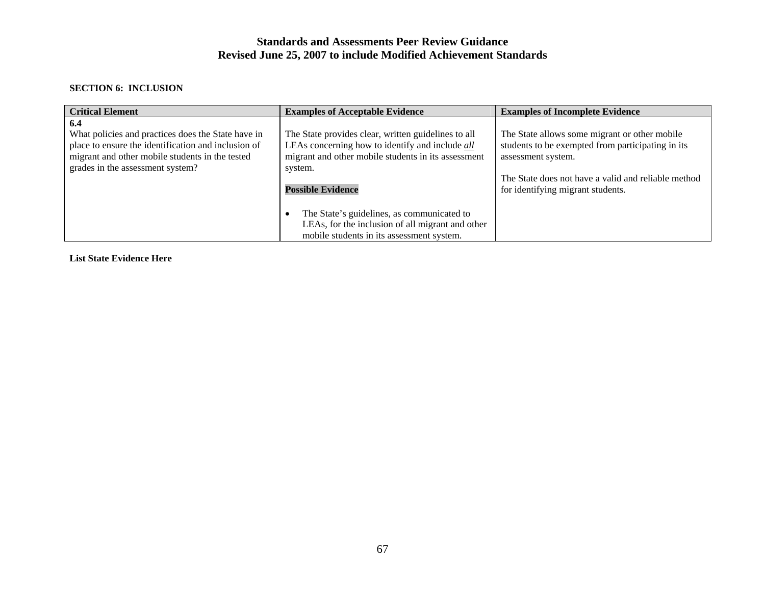#### **SECTION 6: INCLUSION**

| <b>Critical Element</b>                                                                                                                                                                                 | <b>Examples of Acceptable Evidence</b>                                                                                                                                                               | <b>Examples of Incomplete Evidence</b>                                                                                                                                                                               |
|---------------------------------------------------------------------------------------------------------------------------------------------------------------------------------------------------------|------------------------------------------------------------------------------------------------------------------------------------------------------------------------------------------------------|----------------------------------------------------------------------------------------------------------------------------------------------------------------------------------------------------------------------|
| 6.4<br>What policies and practices does the State have in<br>place to ensure the identification and inclusion of<br>migrant and other mobile students in the tested<br>grades in the assessment system? | The State provides clear, written guidelines to all<br>LEAs concerning how to identify and include all<br>migrant and other mobile students in its assessment<br>system.<br><b>Possible Evidence</b> | The State allows some migrant or other mobile<br>students to be exempted from participating in its<br>assessment system.<br>The State does not have a valid and reliable method<br>for identifying migrant students. |
|                                                                                                                                                                                                         | The State's guidelines, as communicated to<br>LEAs, for the inclusion of all migrant and other<br>mobile students in its assessment system.                                                          |                                                                                                                                                                                                                      |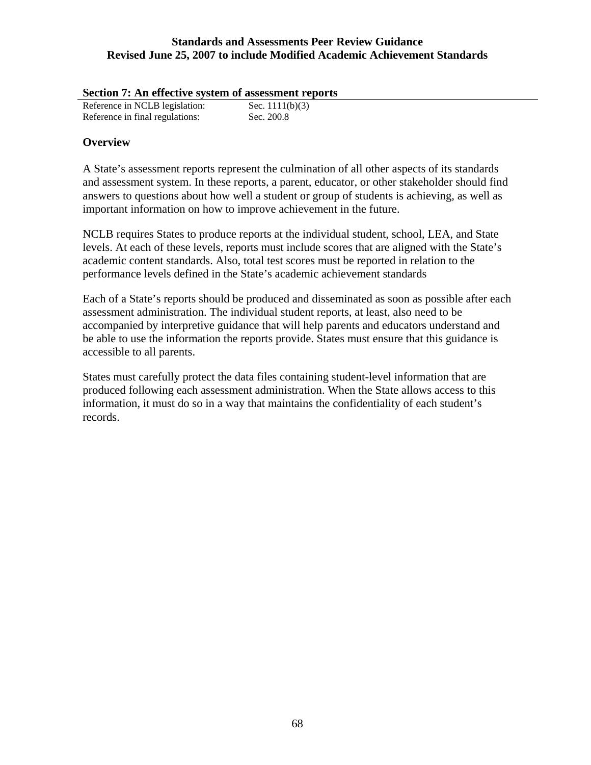| Section 7: An effective system of assessment reports |                   |
|------------------------------------------------------|-------------------|
| Reference in NCLB legislation:                       | Sec. $1111(b)(3)$ |
| Reference in final regulations:                      | Sec. 200.8        |

### **Overview**

A State's assessment reports represent the culmination of all other aspects of its standards and assessment system. In these reports, a parent, educator, or other stakeholder should find answers to questions about how well a student or group of students is achieving, as well as important information on how to improve achievement in the future.

NCLB requires States to produce reports at the individual student, school, LEA, and State levels. At each of these levels, reports must include scores that are aligned with the State's academic content standards. Also, total test scores must be reported in relation to the performance levels defined in the State's academic achievement standards

Each of a State's reports should be produced and disseminated as soon as possible after each assessment administration. The individual student reports, at least, also need to be accompanied by interpretive guidance that will help parents and educators understand and be able to use the information the reports provide. States must ensure that this guidance is accessible to all parents.

States must carefully protect the data files containing student-level information that are produced following each assessment administration. When the State allows access to this information, it must do so in a way that maintains the confidentiality of each student's records.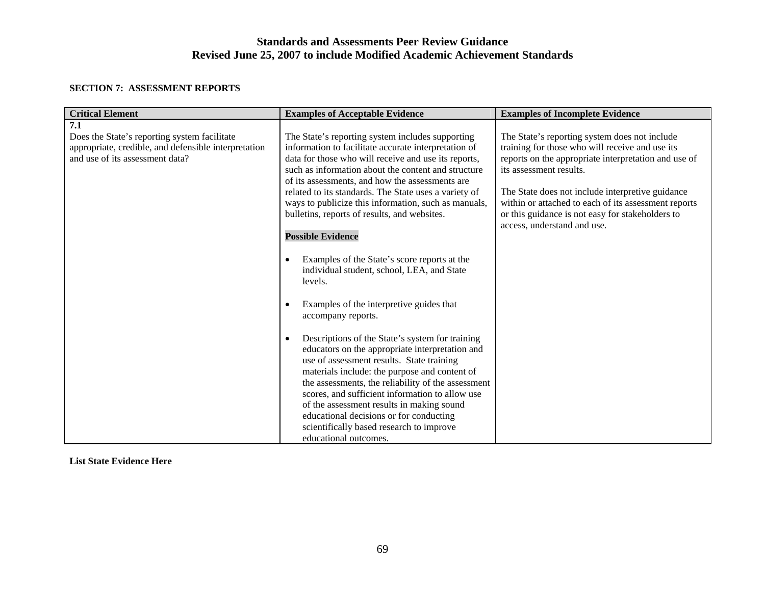#### **SECTION 7: ASSESSMENT REPORTS**

| <b>Critical Element</b>                                                                                                                        | <b>Examples of Acceptable Evidence</b>                                                                                                                                                                                                                                                                                                                                                                                                                                                                                                                                                                                                                                                                                                                                                                                                                                                                                                                                                                                                                                                                                                                 | <b>Examples of Incomplete Evidence</b>                                                                                                                                                                                                                                                                                                                                             |
|------------------------------------------------------------------------------------------------------------------------------------------------|--------------------------------------------------------------------------------------------------------------------------------------------------------------------------------------------------------------------------------------------------------------------------------------------------------------------------------------------------------------------------------------------------------------------------------------------------------------------------------------------------------------------------------------------------------------------------------------------------------------------------------------------------------------------------------------------------------------------------------------------------------------------------------------------------------------------------------------------------------------------------------------------------------------------------------------------------------------------------------------------------------------------------------------------------------------------------------------------------------------------------------------------------------|------------------------------------------------------------------------------------------------------------------------------------------------------------------------------------------------------------------------------------------------------------------------------------------------------------------------------------------------------------------------------------|
| 7.1<br>Does the State's reporting system facilitate<br>appropriate, credible, and defensible interpretation<br>and use of its assessment data? | The State's reporting system includes supporting<br>information to facilitate accurate interpretation of<br>data for those who will receive and use its reports,<br>such as information about the content and structure<br>of its assessments, and how the assessments are<br>related to its standards. The State uses a variety of<br>ways to publicize this information, such as manuals,<br>bulletins, reports of results, and websites.<br><b>Possible Evidence</b><br>Examples of the State's score reports at the<br>$\bullet$<br>individual student, school, LEA, and State<br>levels.<br>Examples of the interpretive guides that<br>accompany reports.<br>Descriptions of the State's system for training<br>$\bullet$<br>educators on the appropriate interpretation and<br>use of assessment results. State training<br>materials include: the purpose and content of<br>the assessments, the reliability of the assessment<br>scores, and sufficient information to allow use<br>of the assessment results in making sound<br>educational decisions or for conducting<br>scientifically based research to improve<br>educational outcomes. | The State's reporting system does not include<br>training for those who will receive and use its<br>reports on the appropriate interpretation and use of<br>its assessment results.<br>The State does not include interpretive guidance<br>within or attached to each of its assessment reports<br>or this guidance is not easy for stakeholders to<br>access, understand and use. |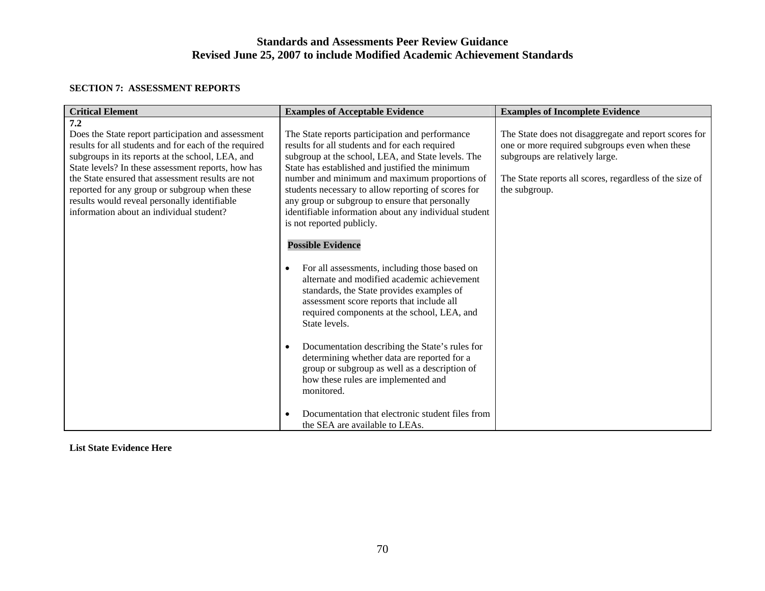#### **SECTION 7: ASSESSMENT REPORTS**

| <b>Critical Element</b>                                                                                                                                                                                                                                                                                                                                                                                                        | <b>Examples of Acceptable Evidence</b>                                                                                                                                                                                                                                                                                                                                                                                                                                                  | <b>Examples of Incomplete Evidence</b>                                                                                                                                                                                 |
|--------------------------------------------------------------------------------------------------------------------------------------------------------------------------------------------------------------------------------------------------------------------------------------------------------------------------------------------------------------------------------------------------------------------------------|-----------------------------------------------------------------------------------------------------------------------------------------------------------------------------------------------------------------------------------------------------------------------------------------------------------------------------------------------------------------------------------------------------------------------------------------------------------------------------------------|------------------------------------------------------------------------------------------------------------------------------------------------------------------------------------------------------------------------|
| 7.2<br>Does the State report participation and assessment<br>results for all students and for each of the required<br>subgroups in its reports at the school, LEA, and<br>State levels? In these assessment reports, how has<br>the State ensured that assessment results are not<br>reported for any group or subgroup when these<br>results would reveal personally identifiable<br>information about an individual student? | The State reports participation and performance<br>results for all students and for each required<br>subgroup at the school, LEA, and State levels. The<br>State has established and justified the minimum<br>number and minimum and maximum proportions of<br>students necessary to allow reporting of scores for<br>any group or subgroup to ensure that personally<br>identifiable information about any individual student<br>is not reported publicly.<br><b>Possible Evidence</b> | The State does not disaggregate and report scores for<br>one or more required subgroups even when these<br>subgroups are relatively large.<br>The State reports all scores, regardless of the size of<br>the subgroup. |
|                                                                                                                                                                                                                                                                                                                                                                                                                                | For all assessments, including those based on<br>$\bullet$<br>alternate and modified academic achievement<br>standards, the State provides examples of<br>assessment score reports that include all<br>required components at the school, LEA, and<br>State levels.                                                                                                                                                                                                                     |                                                                                                                                                                                                                        |
|                                                                                                                                                                                                                                                                                                                                                                                                                                | Documentation describing the State's rules for<br>$\bullet$<br>determining whether data are reported for a<br>group or subgroup as well as a description of<br>how these rules are implemented and<br>monitored.                                                                                                                                                                                                                                                                        |                                                                                                                                                                                                                        |
|                                                                                                                                                                                                                                                                                                                                                                                                                                | Documentation that electronic student files from<br>the SEA are available to LEAs.                                                                                                                                                                                                                                                                                                                                                                                                      |                                                                                                                                                                                                                        |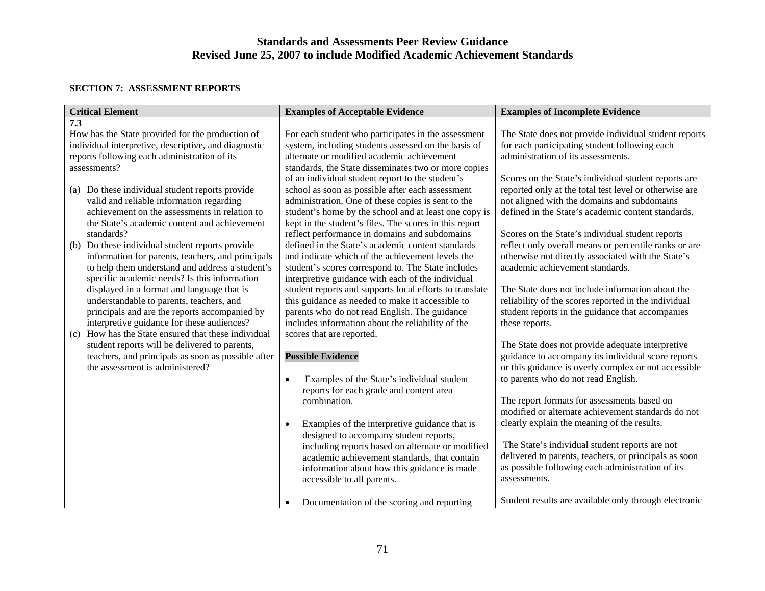### **SECTION 7: ASSESSMENT REPORTS**

| <b>Critical Element</b>                                                                   | <b>Examples of Acceptable Evidence</b>                                                                          | <b>Examples of Incomplete Evidence</b>                                                            |
|-------------------------------------------------------------------------------------------|-----------------------------------------------------------------------------------------------------------------|---------------------------------------------------------------------------------------------------|
| 7.3                                                                                       |                                                                                                                 |                                                                                                   |
| How has the State provided for the production of                                          | For each student who participates in the assessment                                                             | The State does not provide individual student reports                                             |
| individual interpretive, descriptive, and diagnostic                                      | system, including students assessed on the basis of                                                             | for each participating student following each                                                     |
| reports following each administration of its                                              | alternate or modified academic achievement                                                                      | administration of its assessments.                                                                |
| assessments?                                                                              | standards, the State disseminates two or more copies                                                            |                                                                                                   |
|                                                                                           | of an individual student report to the student's                                                                | Scores on the State's individual student reports are                                              |
| Do these individual student reports provide<br>(a)                                        | school as soon as possible after each assessment                                                                | reported only at the total test level or otherwise are                                            |
| valid and reliable information regarding<br>achievement on the assessments in relation to | administration. One of these copies is sent to the                                                              | not aligned with the domains and subdomains<br>defined in the State's academic content standards. |
| the State's academic content and achievement                                              | student's home by the school and at least one copy is<br>kept in the student's files. The scores in this report |                                                                                                   |
| standards?                                                                                | reflect performance in domains and subdomains                                                                   | Scores on the State's individual student reports                                                  |
| Do these individual student reports provide<br>(b)                                        | defined in the State's academic content standards                                                               | reflect only overall means or percentile ranks or are                                             |
| information for parents, teachers, and principals                                         | and indicate which of the achievement levels the                                                                | otherwise not directly associated with the State's                                                |
| to help them understand and address a student's                                           | student's scores correspond to. The State includes                                                              | academic achievement standards.                                                                   |
| specific academic needs? Is this information                                              | interpretive guidance with each of the individual                                                               |                                                                                                   |
| displayed in a format and language that is                                                | student reports and supports local efforts to translate                                                         | The State does not include information about the                                                  |
| understandable to parents, teachers, and                                                  | this guidance as needed to make it accessible to                                                                | reliability of the scores reported in the individual                                              |
| principals and are the reports accompanied by                                             | parents who do not read English. The guidance                                                                   | student reports in the guidance that accompanies                                                  |
| interpretive guidance for these audiences?                                                | includes information about the reliability of the                                                               | these reports.                                                                                    |
| How has the State ensured that these individual<br>(c)                                    | scores that are reported.                                                                                       |                                                                                                   |
| student reports will be delivered to parents,                                             |                                                                                                                 | The State does not provide adequate interpretive                                                  |
| teachers, and principals as soon as possible after                                        | <b>Possible Evidence</b>                                                                                        | guidance to accompany its individual score reports                                                |
| the assessment is administered?                                                           |                                                                                                                 | or this guidance is overly complex or not accessible                                              |
|                                                                                           | Examples of the State's individual student<br>$\bullet$                                                         | to parents who do not read English.                                                               |
|                                                                                           | reports for each grade and content area                                                                         |                                                                                                   |
|                                                                                           | combination.                                                                                                    | The report formats for assessments based on<br>modified or alternate achievement standards do not |
|                                                                                           |                                                                                                                 | clearly explain the meaning of the results.                                                       |
|                                                                                           | Examples of the interpretive guidance that is<br>$\bullet$<br>designed to accompany student reports,            |                                                                                                   |
|                                                                                           | including reports based on alternate or modified                                                                | The State's individual student reports are not                                                    |
|                                                                                           | academic achievement standards, that contain                                                                    | delivered to parents, teachers, or principals as soon                                             |
|                                                                                           | information about how this guidance is made                                                                     | as possible following each administration of its                                                  |
|                                                                                           | accessible to all parents.                                                                                      | assessments.                                                                                      |
|                                                                                           |                                                                                                                 |                                                                                                   |
|                                                                                           | Documentation of the scoring and reporting<br>$\bullet$                                                         | Student results are available only through electronic                                             |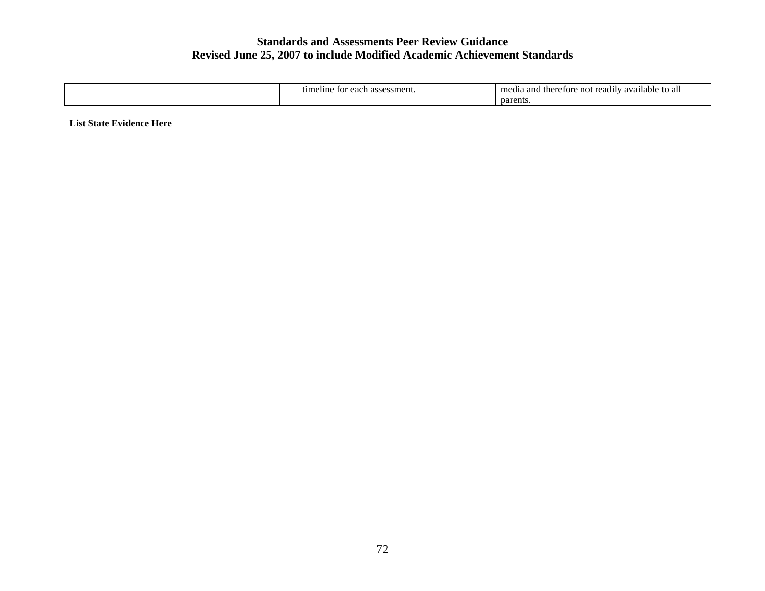| <del>מרו</del> י<br>eline<br>CO.<br>∍aer<br>sment.<br>ame.<br>. н.<br>.<br>- 61. | яn<br>2.0333<br>readily<br>ailable<br>etore.<br>.ne<br>no<br>megia<br>то ап<br>$\alpha$ |
|----------------------------------------------------------------------------------|-----------------------------------------------------------------------------------------|
|                                                                                  | parents                                                                                 |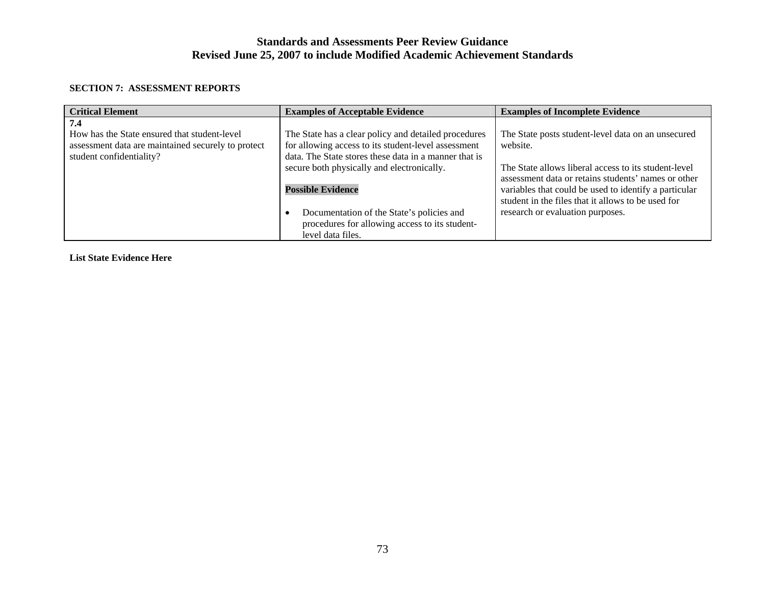#### **SECTION 7: ASSESSMENT REPORTS**

| <b>Critical Element</b>                                                                                                               | <b>Examples of Acceptable Evidence</b>                                                                                                                                                                             | <b>Examples of Incomplete Evidence</b>                                                                                                                                        |
|---------------------------------------------------------------------------------------------------------------------------------------|--------------------------------------------------------------------------------------------------------------------------------------------------------------------------------------------------------------------|-------------------------------------------------------------------------------------------------------------------------------------------------------------------------------|
| 7.4<br>How has the State ensured that student-level<br>assessment data are maintained securely to protect<br>student confidentiality? | The State has a clear policy and detailed procedures<br>for allowing access to its student-level assessment<br>data. The State stores these data in a manner that is<br>secure both physically and electronically. | The State posts student-level data on an unsecured<br>website.<br>The State allows liberal access to its student-level<br>assessment data or retains students' names or other |
|                                                                                                                                       | <b>Possible Evidence</b><br>Documentation of the State's policies and<br>procedures for allowing access to its student-<br>level data files.                                                                       | variables that could be used to identify a particular<br>student in the files that it allows to be used for<br>research or evaluation purposes.                               |